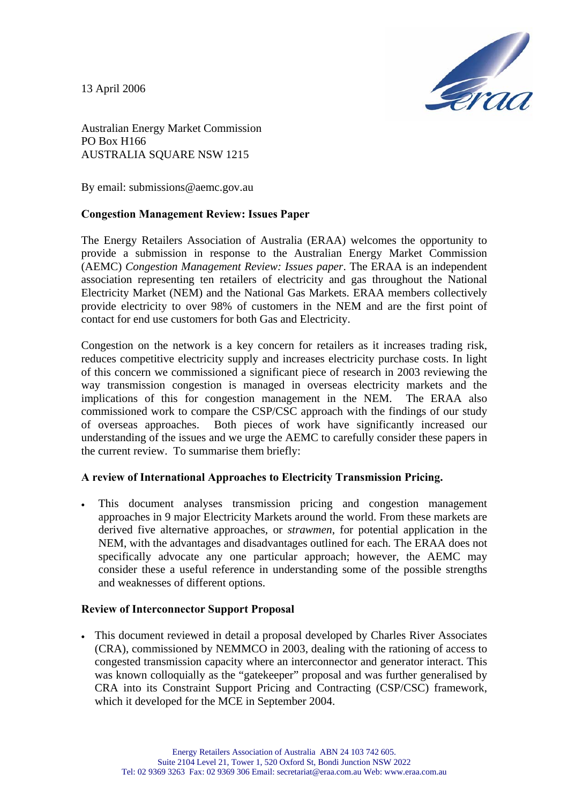13 April 2006



Australian Energy Market Commission PO Box H166 AUSTRALIA SQUARE NSW 1215

By email: submissions@aemc.gov.au

# **Congestion Management Review: Issues Paper**

The Energy Retailers Association of Australia (ERAA) welcomes the opportunity to provide a submission in response to the Australian Energy Market Commission (AEMC) *Congestion Management Review: Issues paper*. The ERAA is an independent association representing ten retailers of electricity and gas throughout the National Electricity Market (NEM) and the National Gas Markets. ERAA members collectively provide electricity to over 98% of customers in the NEM and are the first point of contact for end use customers for both Gas and Electricity.

Congestion on the network is a key concern for retailers as it increases trading risk, reduces competitive electricity supply and increases electricity purchase costs. In light of this concern we commissioned a significant piece of research in 2003 reviewing the way transmission congestion is managed in overseas electricity markets and the implications of this for congestion management in the NEM. The ERAA also commissioned work to compare the CSP/CSC approach with the findings of our study of overseas approaches. Both pieces of work have significantly increased our understanding of the issues and we urge the AEMC to carefully consider these papers in the current review. To summarise them briefly:

# **A review of International Approaches to Electricity Transmission Pricing.**

• This document analyses transmission pricing and congestion management approaches in 9 major Electricity Markets around the world. From these markets are derived five alternative approaches, or *strawmen*, for potential application in the NEM, with the advantages and disadvantages outlined for each. The ERAA does not specifically advocate any one particular approach; however, the AEMC may consider these a useful reference in understanding some of the possible strengths and weaknesses of different options.

# **Review of Interconnector Support Proposal**

• This document reviewed in detail a proposal developed by Charles River Associates (CRA), commissioned by NEMMCO in 2003, dealing with the rationing of access to congested transmission capacity where an interconnector and generator interact. This was known colloquially as the "gatekeeper" proposal and was further generalised by CRA into its Constraint Support Pricing and Contracting (CSP/CSC) framework, which it developed for the MCE in September 2004.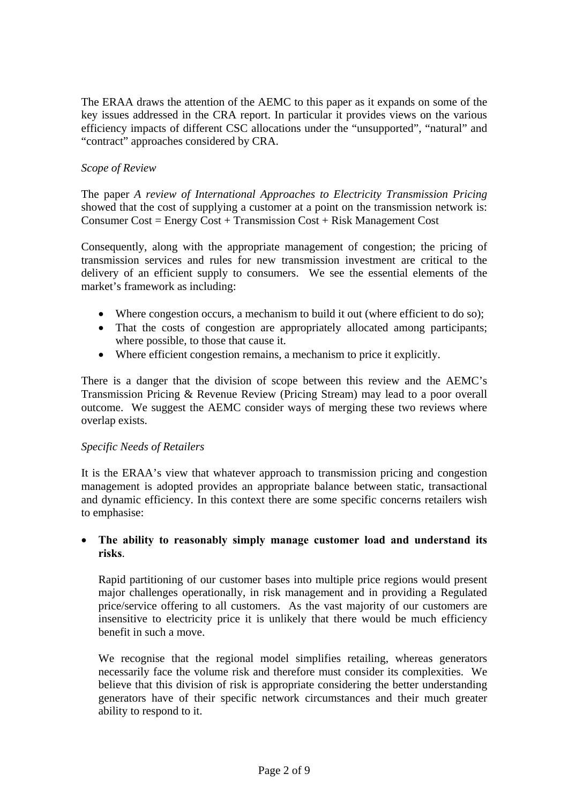The ERAA draws the attention of the AEMC to this paper as it expands on some of the key issues addressed in the CRA report. In particular it provides views on the various efficiency impacts of different CSC allocations under the "unsupported", "natural" and "contract" approaches considered by CRA.

### *Scope of Review*

The paper *A review of International Approaches to Electricity Transmission Pricing* showed that the cost of supplying a customer at a point on the transmission network is: Consumer Cost = Energy Cost + Transmission Cost + Risk Management Cost

Consequently, along with the appropriate management of congestion; the pricing of transmission services and rules for new transmission investment are critical to the delivery of an efficient supply to consumers. We see the essential elements of the market's framework as including:

- Where congestion occurs, a mechanism to build it out (where efficient to do so);
- That the costs of congestion are appropriately allocated among participants; where possible, to those that cause it.
- Where efficient congestion remains, a mechanism to price it explicitly.

There is a danger that the division of scope between this review and the AEMC's Transmission Pricing & Revenue Review (Pricing Stream) may lead to a poor overall outcome. We suggest the AEMC consider ways of merging these two reviews where overlap exists.

# *Specific Needs of Retailers*

It is the ERAA's view that whatever approach to transmission pricing and congestion management is adopted provides an appropriate balance between static, transactional and dynamic efficiency. In this context there are some specific concerns retailers wish to emphasise:

#### • **The ability to reasonably simply manage customer load and understand its risks**.

Rapid partitioning of our customer bases into multiple price regions would present major challenges operationally, in risk management and in providing a Regulated price/service offering to all customers. As the vast majority of our customers are insensitive to electricity price it is unlikely that there would be much efficiency benefit in such a move.

We recognise that the regional model simplifies retailing, whereas generators necessarily face the volume risk and therefore must consider its complexities. We believe that this division of risk is appropriate considering the better understanding generators have of their specific network circumstances and their much greater ability to respond to it.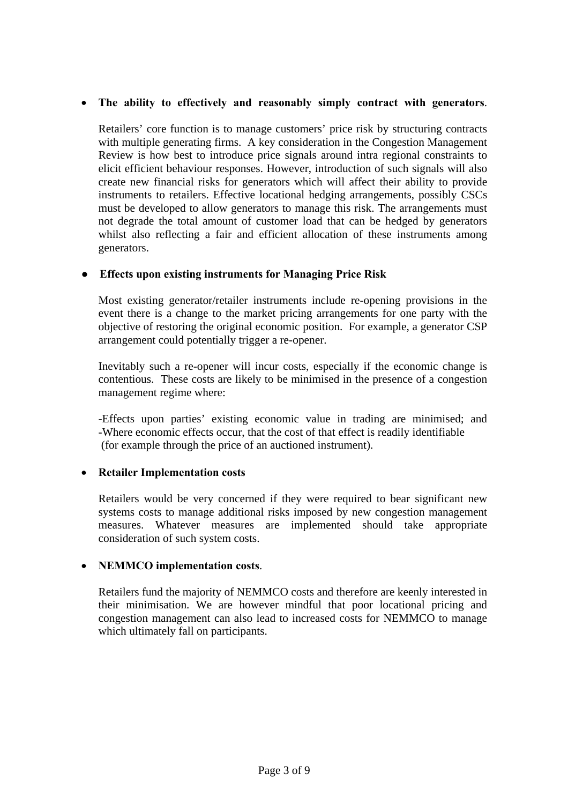### • **The ability to effectively and reasonably simply contract with generators**.

Retailers' core function is to manage customers' price risk by structuring contracts with multiple generating firms. A key consideration in the Congestion Management Review is how best to introduce price signals around intra regional constraints to elicit efficient behaviour responses. However, introduction of such signals will also create new financial risks for generators which will affect their ability to provide instruments to retailers. Effective locational hedging arrangements, possibly CSCs must be developed to allow generators to manage this risk. The arrangements must not degrade the total amount of customer load that can be hedged by generators whilst also reflecting a fair and efficient allocation of these instruments among generators.

#### **● Effects upon existing instruments for Managing Price Risk**

Most existing generator/retailer instruments include re-opening provisions in the event there is a change to the market pricing arrangements for one party with the objective of restoring the original economic position. For example, a generator CSP arrangement could potentially trigger a re-opener.

Inevitably such a re-opener will incur costs, especially if the economic change is contentious. These costs are likely to be minimised in the presence of a congestion management regime where:

-Effects upon parties' existing economic value in trading are minimised; and -Where economic effects occur, that the cost of that effect is readily identifiable (for example through the price of an auctioned instrument).

#### • **Retailer Implementation costs**

Retailers would be very concerned if they were required to bear significant new systems costs to manage additional risks imposed by new congestion management measures. Whatever measures are implemented should take appropriate consideration of such system costs.

#### • **NEMMCO implementation costs**.

Retailers fund the majority of NEMMCO costs and therefore are keenly interested in their minimisation. We are however mindful that poor locational pricing and congestion management can also lead to increased costs for NEMMCO to manage which ultimately fall on participants.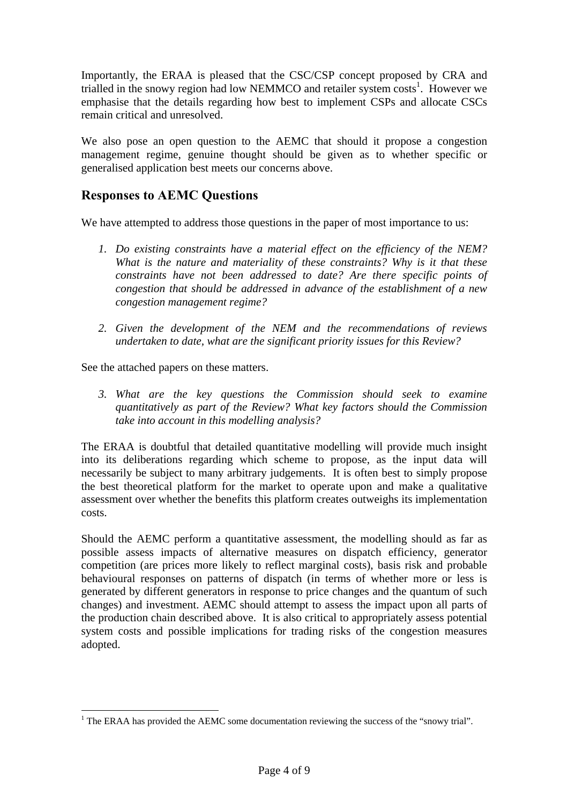Importantly, the ERAA is pleased that the CSC/CSP concept proposed by CRA and trialled in the snowy region had low NEMMCO and retailer system costs<sup>[1](#page-3-0)</sup>. However we emphasise that the details regarding how best to implement CSPs and allocate CSCs remain critical and unresolved.

We also pose an open question to the AEMC that should it propose a congestion management regime, genuine thought should be given as to whether specific or generalised application best meets our concerns above.

# **Responses to AEMC Questions**

We have attempted to address those questions in the paper of most importance to us:

- *1. Do existing constraints have a material effect on the efficiency of the NEM? What is the nature and materiality of these constraints? Why is it that these constraints have not been addressed to date? Are there specific points of congestion that should be addressed in advance of the establishment of a new congestion management regime?*
- *2. Given the development of the NEM and the recommendations of reviews undertaken to date, what are the significant priority issues for this Review?*

See the attached papers on these matters.

 $\overline{a}$ 

*3. What are the key questions the Commission should seek to examine quantitatively as part of the Review? What key factors should the Commission take into account in this modelling analysis?* 

The ERAA is doubtful that detailed quantitative modelling will provide much insight into its deliberations regarding which scheme to propose, as the input data will necessarily be subject to many arbitrary judgements. It is often best to simply propose the best theoretical platform for the market to operate upon and make a qualitative assessment over whether the benefits this platform creates outweighs its implementation costs.

Should the AEMC perform a quantitative assessment, the modelling should as far as possible assess impacts of alternative measures on dispatch efficiency, generator competition (are prices more likely to reflect marginal costs), basis risk and probable behavioural responses on patterns of dispatch (in terms of whether more or less is generated by different generators in response to price changes and the quantum of such changes) and investment. AEMC should attempt to assess the impact upon all parts of the production chain described above. It is also critical to appropriately assess potential system costs and possible implications for trading risks of the congestion measures adopted.

<span id="page-3-0"></span> $<sup>1</sup>$  The ERAA has provided the AEMC some documentation reviewing the success of the "snowy trial".</sup>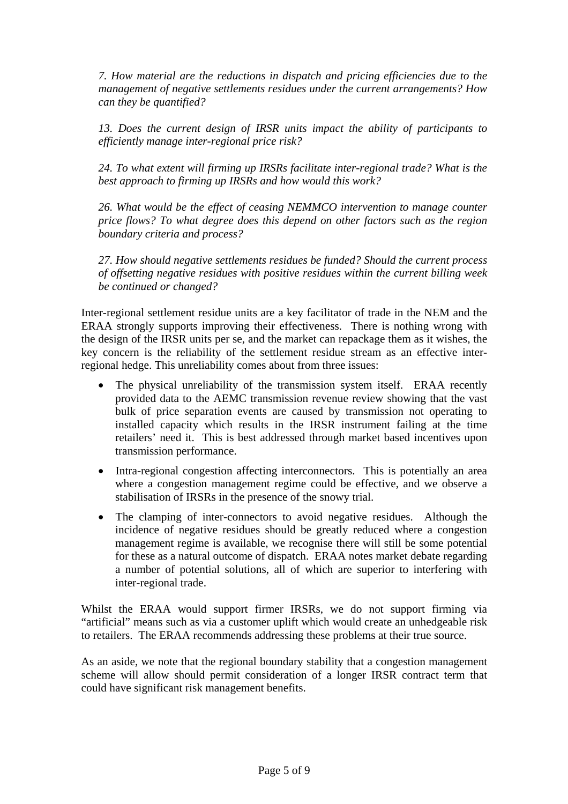*7. How material are the reductions in dispatch and pricing efficiencies due to the management of negative settlements residues under the current arrangements? How can they be quantified?* 

*13. Does the current design of IRSR units impact the ability of participants to efficiently manage inter-regional price risk?* 

*24. To what extent will firming up IRSRs facilitate inter-regional trade? What is the best approach to firming up IRSRs and how would this work?* 

*26. What would be the effect of ceasing NEMMCO intervention to manage counter price flows? To what degree does this depend on other factors such as the region boundary criteria and process?* 

*27. How should negative settlements residues be funded? Should the current process of offsetting negative residues with positive residues within the current billing week be continued or changed?* 

Inter-regional settlement residue units are a key facilitator of trade in the NEM and the ERAA strongly supports improving their effectiveness. There is nothing wrong with the design of the IRSR units per se, and the market can repackage them as it wishes, the key concern is the reliability of the settlement residue stream as an effective interregional hedge. This unreliability comes about from three issues:

- The physical unreliability of the transmission system itself. ERAA recently provided data to the AEMC transmission revenue review showing that the vast bulk of price separation events are caused by transmission not operating to installed capacity which results in the IRSR instrument failing at the time retailers' need it. This is best addressed through market based incentives upon transmission performance.
- Intra-regional congestion affecting interconnectors. This is potentially an area where a congestion management regime could be effective, and we observe a stabilisation of IRSRs in the presence of the snowy trial.
- The clamping of inter-connectors to avoid negative residues. Although the incidence of negative residues should be greatly reduced where a congestion management regime is available, we recognise there will still be some potential for these as a natural outcome of dispatch. ERAA notes market debate regarding a number of potential solutions, all of which are superior to interfering with inter-regional trade.

Whilst the ERAA would support firmer IRSRs, we do not support firming via "artificial" means such as via a customer uplift which would create an unhedgeable risk to retailers. The ERAA recommends addressing these problems at their true source.

As an aside, we note that the regional boundary stability that a congestion management scheme will allow should permit consideration of a longer IRSR contract term that could have significant risk management benefits.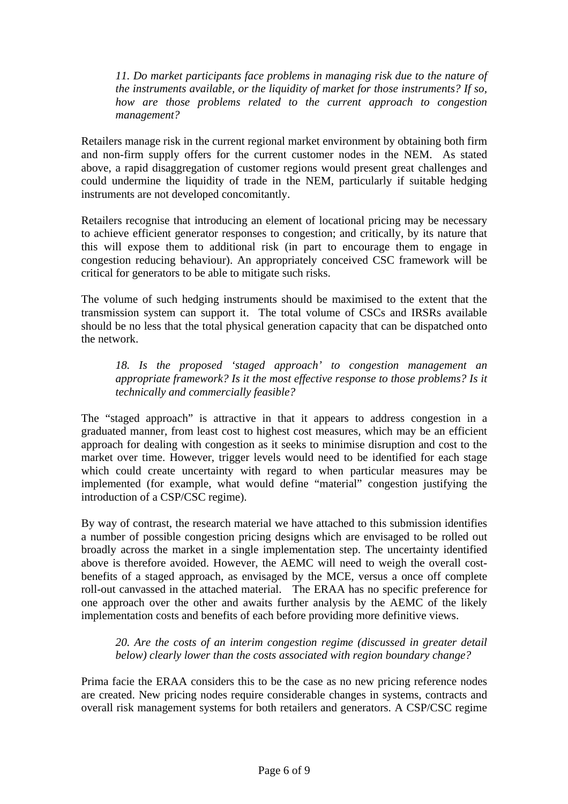*11. Do market participants face problems in managing risk due to the nature of the instruments available, or the liquidity of market for those instruments? If so, how are those problems related to the current approach to congestion management?* 

Retailers manage risk in the current regional market environment by obtaining both firm and non-firm supply offers for the current customer nodes in the NEM. As stated above, a rapid disaggregation of customer regions would present great challenges and could undermine the liquidity of trade in the NEM, particularly if suitable hedging instruments are not developed concomitantly.

Retailers recognise that introducing an element of locational pricing may be necessary to achieve efficient generator responses to congestion; and critically, by its nature that this will expose them to additional risk (in part to encourage them to engage in congestion reducing behaviour). An appropriately conceived CSC framework will be critical for generators to be able to mitigate such risks.

The volume of such hedging instruments should be maximised to the extent that the transmission system can support it. The total volume of CSCs and IRSRs available should be no less that the total physical generation capacity that can be dispatched onto the network.

*18. Is the proposed 'staged approach' to congestion management an appropriate framework? Is it the most effective response to those problems? Is it technically and commercially feasible?* 

The "staged approach" is attractive in that it appears to address congestion in a graduated manner, from least cost to highest cost measures, which may be an efficient approach for dealing with congestion as it seeks to minimise disruption and cost to the market over time. However, trigger levels would need to be identified for each stage which could create uncertainty with regard to when particular measures may be implemented (for example, what would define "material" congestion justifying the introduction of a CSP/CSC regime).

By way of contrast, the research material we have attached to this submission identifies a number of possible congestion pricing designs which are envisaged to be rolled out broadly across the market in a single implementation step. The uncertainty identified above is therefore avoided. However, the AEMC will need to weigh the overall costbenefits of a staged approach, as envisaged by the MCE, versus a once off complete roll-out canvassed in the attached material. The ERAA has no specific preference for one approach over the other and awaits further analysis by the AEMC of the likely implementation costs and benefits of each before providing more definitive views.

*20. Are the costs of an interim congestion regime (discussed in greater detail below) clearly lower than the costs associated with region boundary change?* 

Prima facie the ERAA considers this to be the case as no new pricing reference nodes are created. New pricing nodes require considerable changes in systems, contracts and overall risk management systems for both retailers and generators. A CSP/CSC regime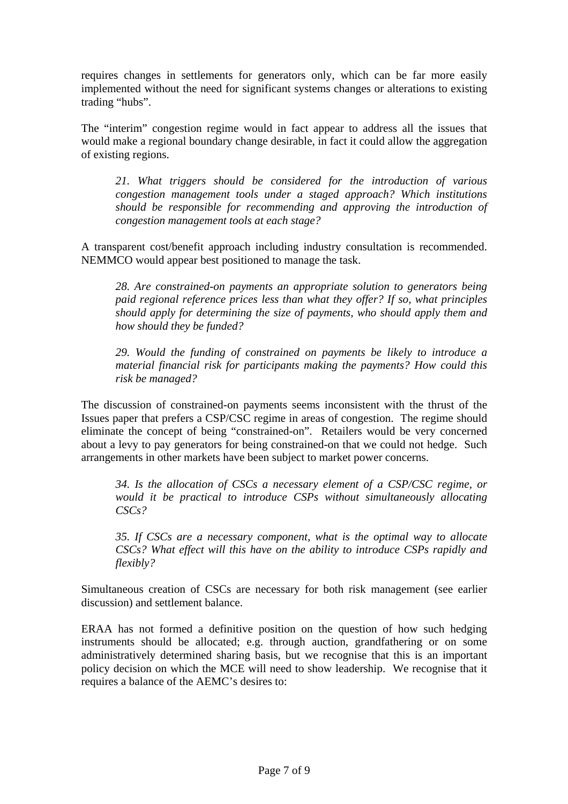requires changes in settlements for generators only, which can be far more easily implemented without the need for significant systems changes or alterations to existing trading "hubs".

The "interim" congestion regime would in fact appear to address all the issues that would make a regional boundary change desirable, in fact it could allow the aggregation of existing regions.

*21. What triggers should be considered for the introduction of various congestion management tools under a staged approach? Which institutions should be responsible for recommending and approving the introduction of congestion management tools at each stage?* 

A transparent cost/benefit approach including industry consultation is recommended. NEMMCO would appear best positioned to manage the task.

*28. Are constrained-on payments an appropriate solution to generators being paid regional reference prices less than what they offer? If so, what principles should apply for determining the size of payments, who should apply them and how should they be funded?* 

*29. Would the funding of constrained on payments be likely to introduce a material financial risk for participants making the payments? How could this risk be managed?* 

The discussion of constrained-on payments seems inconsistent with the thrust of the Issues paper that prefers a CSP/CSC regime in areas of congestion. The regime should eliminate the concept of being "constrained-on". Retailers would be very concerned about a levy to pay generators for being constrained-on that we could not hedge. Such arrangements in other markets have been subject to market power concerns.

*34. Is the allocation of CSCs a necessary element of a CSP/CSC regime, or would it be practical to introduce CSPs without simultaneously allocating CSCs?* 

*35. If CSCs are a necessary component, what is the optimal way to allocate CSCs? What effect will this have on the ability to introduce CSPs rapidly and flexibly?* 

Simultaneous creation of CSCs are necessary for both risk management (see earlier discussion) and settlement balance.

ERAA has not formed a definitive position on the question of how such hedging instruments should be allocated; e.g. through auction, grandfathering or on some administratively determined sharing basis, but we recognise that this is an important policy decision on which the MCE will need to show leadership. We recognise that it requires a balance of the AEMC's desires to: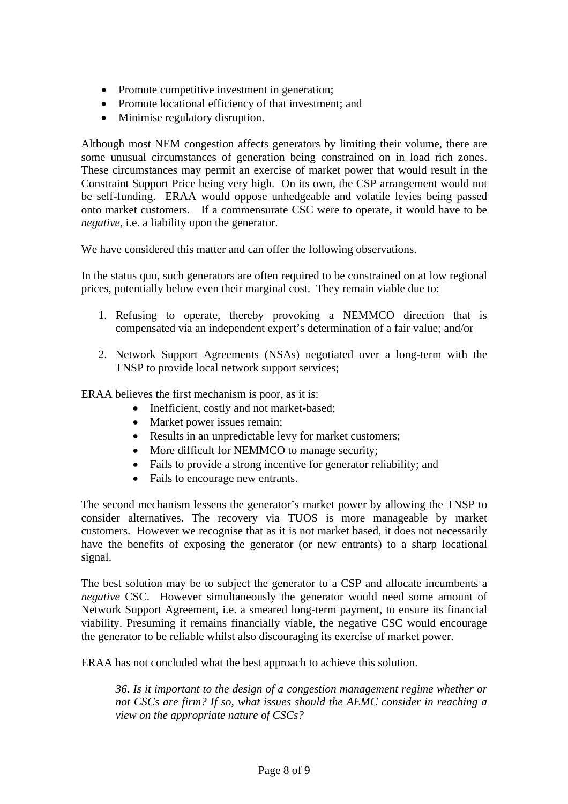- Promote competitive investment in generation;
- Promote locational efficiency of that investment; and
- Minimise regulatory disruption.

Although most NEM congestion affects generators by limiting their volume, there are some unusual circumstances of generation being constrained on in load rich zones. These circumstances may permit an exercise of market power that would result in the Constraint Support Price being very high. On its own, the CSP arrangement would not be self-funding. ERAA would oppose unhedgeable and volatile levies being passed onto market customers. If a commensurate CSC were to operate, it would have to be *negative*, i.e. a liability upon the generator.

We have considered this matter and can offer the following observations.

In the status quo, such generators are often required to be constrained on at low regional prices, potentially below even their marginal cost. They remain viable due to:

- 1. Refusing to operate, thereby provoking a NEMMCO direction that is compensated via an independent expert's determination of a fair value; and/or
- 2. Network Support Agreements (NSAs) negotiated over a long-term with the TNSP to provide local network support services;

ERAA believes the first mechanism is poor, as it is:

- Inefficient, costly and not market-based;
- Market power issues remain;
- Results in an unpredictable levy for market customers;
- More difficult for NEMMCO to manage security;
- Fails to provide a strong incentive for generator reliability; and
- Fails to encourage new entrants.

The second mechanism lessens the generator's market power by allowing the TNSP to consider alternatives. The recovery via TUOS is more manageable by market customers. However we recognise that as it is not market based, it does not necessarily have the benefits of exposing the generator (or new entrants) to a sharp locational signal.

The best solution may be to subject the generator to a CSP and allocate incumbents a *negative* CSC. However simultaneously the generator would need some amount of Network Support Agreement, i.e. a smeared long-term payment, to ensure its financial viability. Presuming it remains financially viable, the negative CSC would encourage the generator to be reliable whilst also discouraging its exercise of market power.

ERAA has not concluded what the best approach to achieve this solution.

*36. Is it important to the design of a congestion management regime whether or not CSCs are firm? If so, what issues should the AEMC consider in reaching a view on the appropriate nature of CSCs?*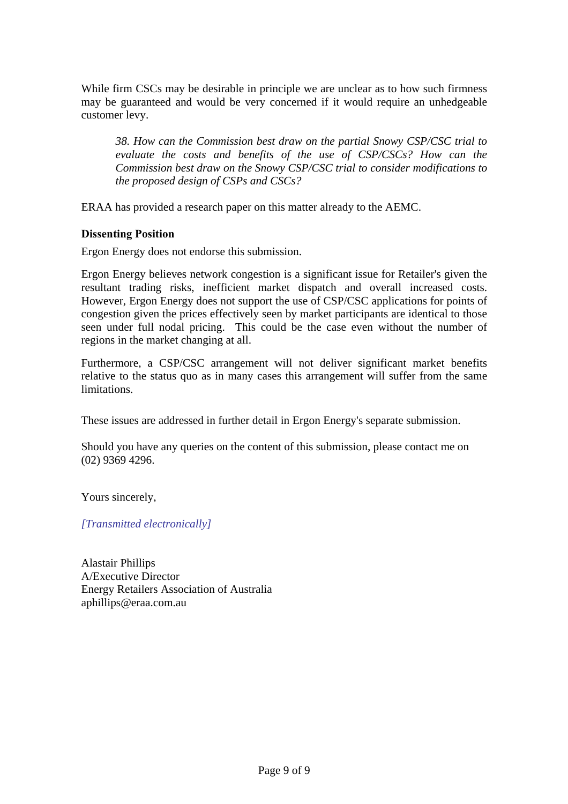While firm CSCs may be desirable in principle we are unclear as to how such firmness may be guaranteed and would be very concerned if it would require an unhedgeable customer levy.

*38. How can the Commission best draw on the partial Snowy CSP/CSC trial to evaluate the costs and benefits of the use of CSP/CSCs? How can the Commission best draw on the Snowy CSP/CSC trial to consider modifications to the proposed design of CSPs and CSCs?* 

ERAA has provided a research paper on this matter already to the AEMC.

#### **Dissenting Position**

Ergon Energy does not endorse this submission.

Ergon Energy believes network congestion is a significant issue for Retailer's given the resultant trading risks, inefficient market dispatch and overall increased costs. However, Ergon Energy does not support the use of CSP/CSC applications for points of congestion given the prices effectively seen by market participants are identical to those seen under full nodal pricing. This could be the case even without the number of regions in the market changing at all.

Furthermore, a CSP/CSC arrangement will not deliver significant market benefits relative to the status quo as in many cases this arrangement will suffer from the same limitations.

These issues are addressed in further detail in Ergon Energy's separate submission.

Should you have any queries on the content of this submission, please contact me on (02) 9369 4296.

Yours sincerely,

*[Transmitted electronically]*

Alastair Phillips A/Executive Director Energy Retailers Association of Australia aphillips@eraa.com.au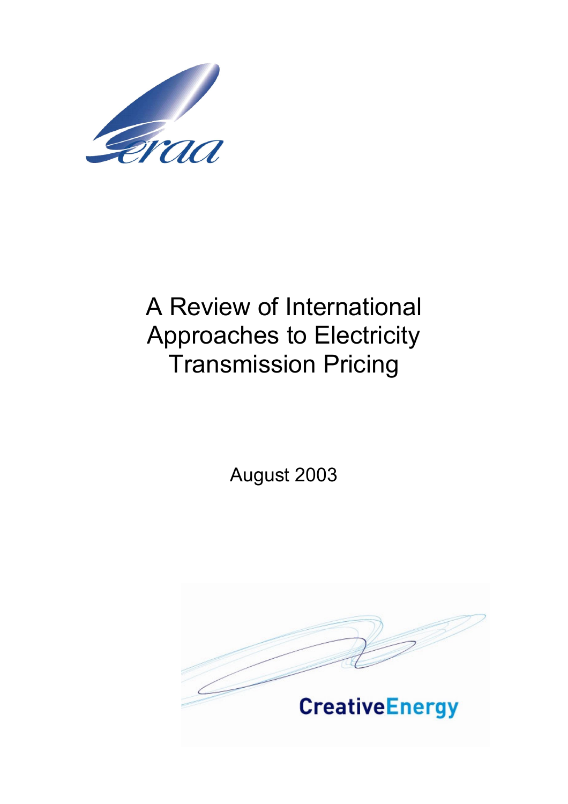

# A Review of International Approaches to Electricity Transmission Pricing

August 2003

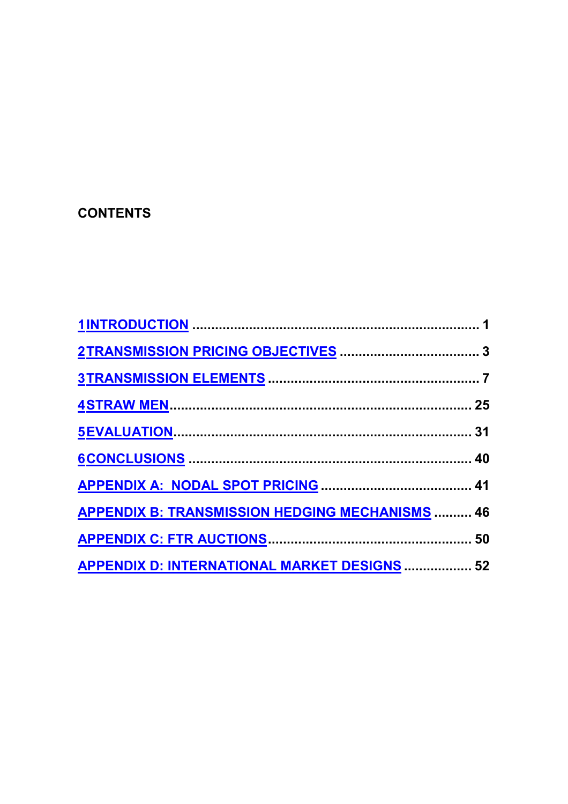# **CONTENTS**

| <b>APPENDIX B: TRANSMISSION HEDGING MECHANISMS  46</b> |  |
|--------------------------------------------------------|--|
|                                                        |  |
| <b>APPENDIX D: INTERNATIONAL MARKET DESIGNS  52</b>    |  |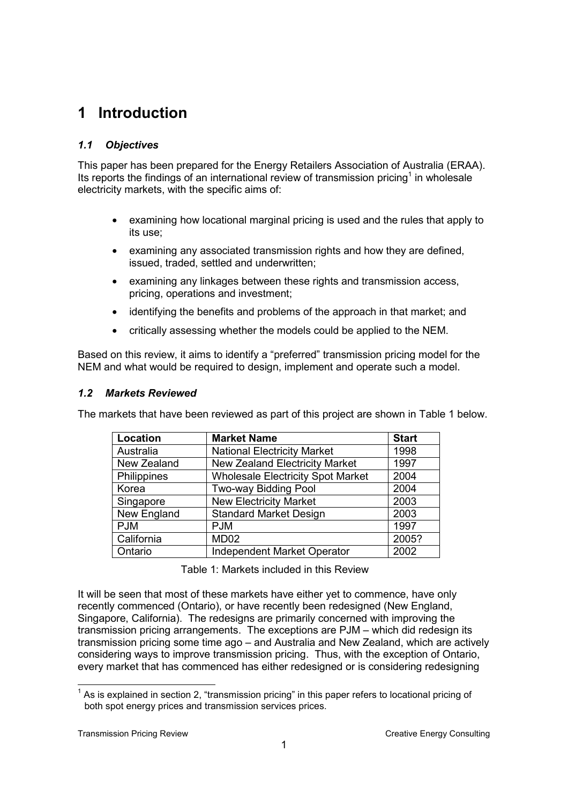# **1 Introduction**

#### *1.1 Objectives*

This paper has been prepared for the Energy Retailers Association of Australia (ERAA). Its reports the findings of an international review of transmission pricing<sup>1</sup> in wholesale electricity markets, with the specific aims of:

- examining how locational marginal pricing is used and the rules that apply to its use;
- examining any associated transmission rights and how they are defined, issued, traded, settled and underwritten;
- examining any linkages between these rights and transmission access, pricing, operations and investment;
- identifying the benefits and problems of the approach in that market; and
- critically assessing whether the models could be applied to the NEM.

Based on this review, it aims to identify a "preferred" transmission pricing model for the NEM and what would be required to design, implement and operate such a model.

#### *1.2 Markets Reviewed*

The markets that have been reviewed as part of this project are shown in Table 1 below.

| Location    | <b>Market Name</b>                       | <b>Start</b> |
|-------------|------------------------------------------|--------------|
| Australia   | <b>National Electricity Market</b>       | 1998         |
| New Zealand | <b>New Zealand Electricity Market</b>    | 1997         |
| Philippines | <b>Wholesale Electricity Spot Market</b> | 2004         |
| Korea       | Two-way Bidding Pool                     | 2004         |
| Singapore   | <b>New Electricity Market</b>            | 2003         |
| New England | <b>Standard Market Design</b>            | 2003         |
| <b>PJM</b>  | <b>PJM</b>                               | 1997         |
| California  | MD <sub>02</sub>                         | 2005?        |
| Ontario     | Independent Market Operator              | 2002         |

Table 1: Markets included in this Review

It will be seen that most of these markets have either yet to commence, have only recently commenced (Ontario), or have recently been redesigned (New England, Singapore, California). The redesigns are primarily concerned with improving the transmission pricing arrangements. The exceptions are PJM – which did redesign its transmission pricing some time ago – and Australia and New Zealand, which are actively considering ways to improve transmission pricing. Thus, with the exception of Ontario, every market that has commenced has either redesigned or is considering redesigning

  $1$  As is explained in section 2, "transmission pricing" in this paper refers to locational pricing of both spot energy prices and transmission services prices.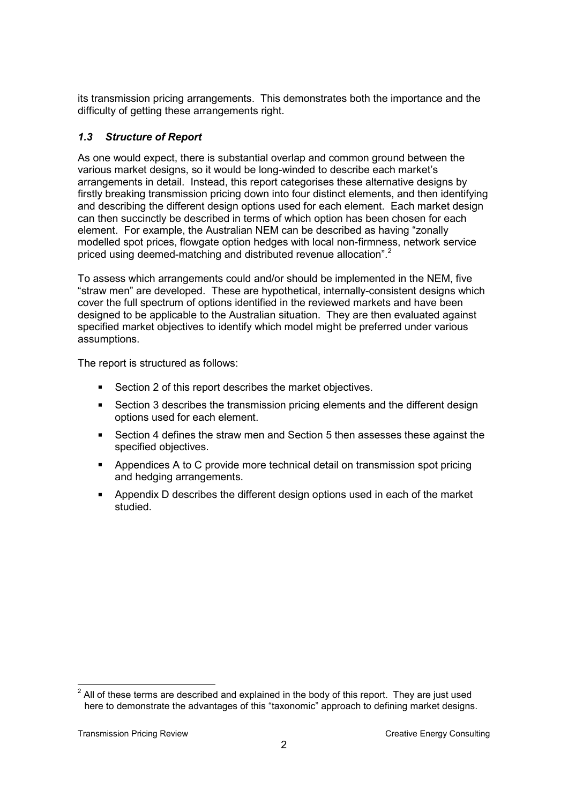its transmission pricing arrangements. This demonstrates both the importance and the difficulty of getting these arrangements right.

# *1.3 Structure of Report*

As one would expect, there is substantial overlap and common ground between the various market designs, so it would be long-winded to describe each market's arrangements in detail. Instead, this report categorises these alternative designs by firstly breaking transmission pricing down into four distinct elements, and then identifying and describing the different design options used for each element. Each market design can then succinctly be described in terms of which option has been chosen for each element. For example, the Australian NEM can be described as having "zonally modelled spot prices, flowgate option hedges with local non-firmness, network service priced using deemed-matching and distributed revenue allocation".<sup>2</sup>

To assess which arrangements could and/or should be implemented in the NEM, five "straw men" are developed. These are hypothetical, internally-consistent designs which cover the full spectrum of options identified in the reviewed markets and have been designed to be applicable to the Australian situation. They are then evaluated against specified market objectives to identify which model might be preferred under various assumptions.

The report is structured as follows:

- Section 2 of this report describes the market objectives.
- Section 3 describes the transmission pricing elements and the different design options used for each element.
- Section 4 defines the straw men and Section 5 then assesses these against the specified objectives.
- **Appendices A to C provide more technical detail on transmission spot pricing** and hedging arrangements.
- Appendix D describes the different design options used in each of the market studied.

 2 All of these terms are described and explained in the body of this report. They are just used here to demonstrate the advantages of this "taxonomic" approach to defining market designs.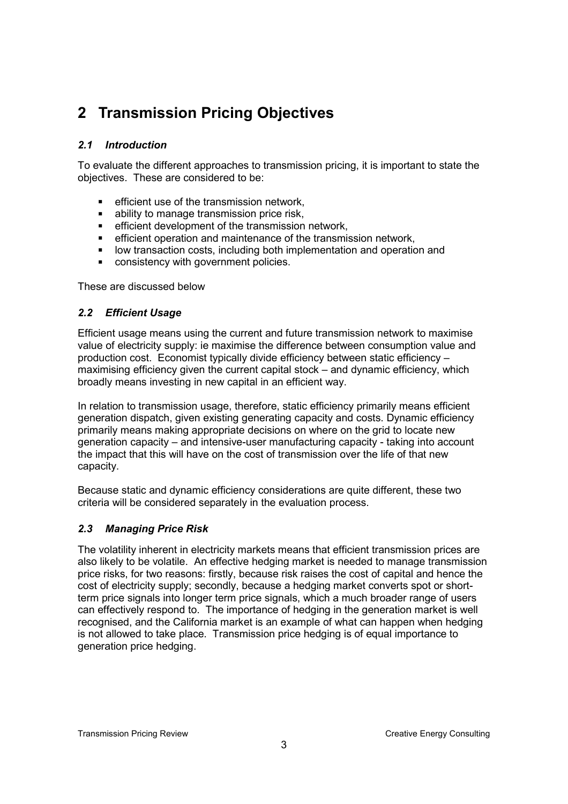# **2 Transmission Pricing Objectives**

### *2.1 Introduction*

To evaluate the different approaches to transmission pricing, it is important to state the objectives. These are considered to be:

- **EXECUTE:** efficient use of the transmission network,
- **ability to manage transmission price risk,**
- **EXECTE EXECTE FIGURE 1** efficient development of the transmission network,
- **EXECTEENT** efficient operation and maintenance of the transmission network,
- **IDOM** transaction costs, including both implementation and operation and
- consistency with government policies.

These are discussed below

#### *2.2 Efficient Usage*

Efficient usage means using the current and future transmission network to maximise value of electricity supply: ie maximise the difference between consumption value and production cost. Economist typically divide efficiency between static efficiency – maximising efficiency given the current capital stock – and dynamic efficiency, which broadly means investing in new capital in an efficient way.

In relation to transmission usage, therefore, static efficiency primarily means efficient generation dispatch, given existing generating capacity and costs. Dynamic efficiency primarily means making appropriate decisions on where on the grid to locate new generation capacity – and intensive-user manufacturing capacity - taking into account the impact that this will have on the cost of transmission over the life of that new capacity.

Because static and dynamic efficiency considerations are quite different, these two criteria will be considered separately in the evaluation process.

# *2.3 Managing Price Risk*

The volatility inherent in electricity markets means that efficient transmission prices are also likely to be volatile. An effective hedging market is needed to manage transmission price risks, for two reasons: firstly, because risk raises the cost of capital and hence the cost of electricity supply; secondly, because a hedging market converts spot or shortterm price signals into longer term price signals, which a much broader range of users can effectively respond to. The importance of hedging in the generation market is well recognised, and the California market is an example of what can happen when hedging is not allowed to take place. Transmission price hedging is of equal importance to generation price hedging.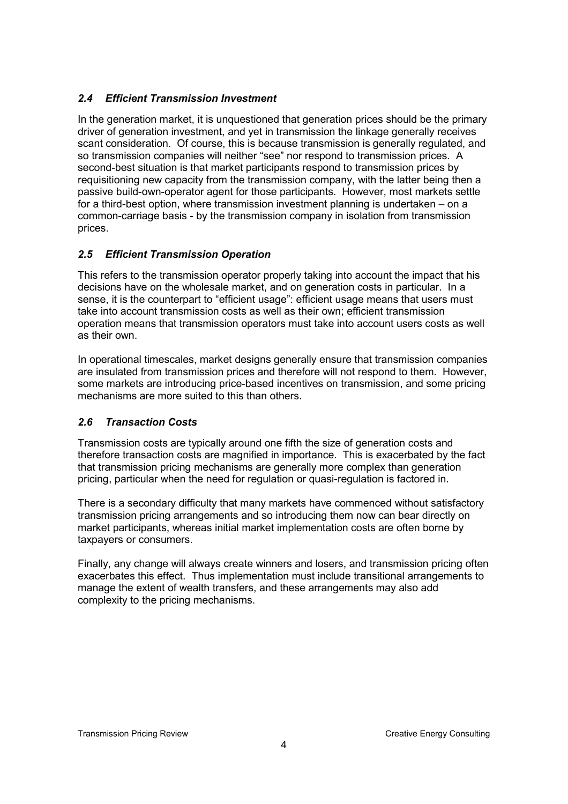# *2.4 Efficient Transmission Investment*

In the generation market, it is unquestioned that generation prices should be the primary driver of generation investment, and yet in transmission the linkage generally receives scant consideration. Of course, this is because transmission is generally regulated, and so transmission companies will neither "see" nor respond to transmission prices. A second-best situation is that market participants respond to transmission prices by requisitioning new capacity from the transmission company, with the latter being then a passive build-own-operator agent for those participants. However, most markets settle for a third-best option, where transmission investment planning is undertaken – on a common-carriage basis - by the transmission company in isolation from transmission prices.

# *2.5 Efficient Transmission Operation*

This refers to the transmission operator properly taking into account the impact that his decisions have on the wholesale market, and on generation costs in particular. In a sense, it is the counterpart to "efficient usage": efficient usage means that users must take into account transmission costs as well as their own; efficient transmission operation means that transmission operators must take into account users costs as well as their own.

In operational timescales, market designs generally ensure that transmission companies are insulated from transmission prices and therefore will not respond to them. However, some markets are introducing price-based incentives on transmission, and some pricing mechanisms are more suited to this than others.

# *2.6 Transaction Costs*

Transmission costs are typically around one fifth the size of generation costs and therefore transaction costs are magnified in importance. This is exacerbated by the fact that transmission pricing mechanisms are generally more complex than generation pricing, particular when the need for regulation or quasi-regulation is factored in.

There is a secondary difficulty that many markets have commenced without satisfactory transmission pricing arrangements and so introducing them now can bear directly on market participants, whereas initial market implementation costs are often borne by taxpayers or consumers.

Finally, any change will always create winners and losers, and transmission pricing often exacerbates this effect. Thus implementation must include transitional arrangements to manage the extent of wealth transfers, and these arrangements may also add complexity to the pricing mechanisms.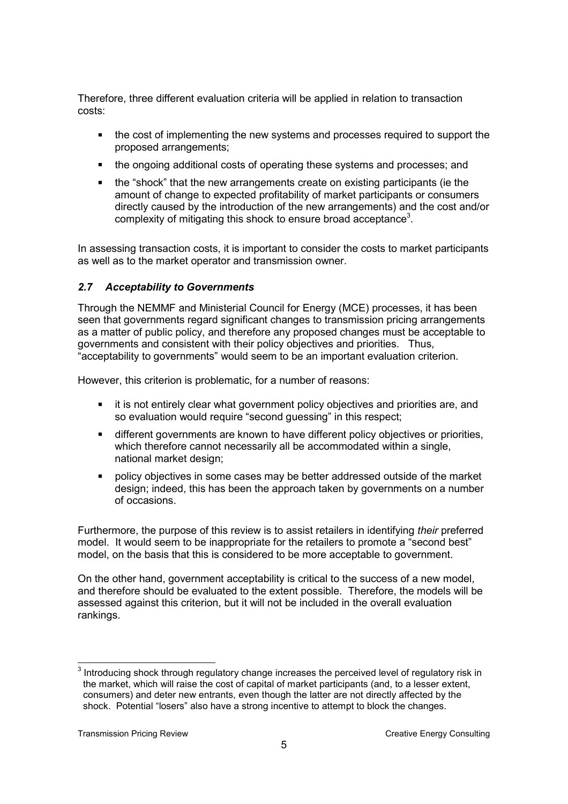Therefore, three different evaluation criteria will be applied in relation to transaction costs:

- the cost of implementing the new systems and processes required to support the proposed arrangements;
- the ongoing additional costs of operating these systems and processes; and
- the "shock" that the new arrangements create on existing participants (ie the amount of change to expected profitability of market participants or consumers directly caused by the introduction of the new arrangements) and the cost and/or complexity of mitigating this shock to ensure broad acceptance<sup>3</sup>.

In assessing transaction costs, it is important to consider the costs to market participants as well as to the market operator and transmission owner.

# *2.7 Acceptability to Governments*

Through the NEMMF and Ministerial Council for Energy (MCE) processes, it has been seen that governments regard significant changes to transmission pricing arrangements as a matter of public policy, and therefore any proposed changes must be acceptable to governments and consistent with their policy objectives and priorities. Thus, "acceptability to governments" would seem to be an important evaluation criterion.

However, this criterion is problematic, for a number of reasons:

- it is not entirely clear what government policy objectives and priorities are, and so evaluation would require "second guessing" in this respect;
- different governments are known to have different policy objectives or priorities, which therefore cannot necessarily all be accommodated within a single, national market design;
- **policy objectives in some cases may be better addressed outside of the market** design; indeed, this has been the approach taken by governments on a number of occasions.

Furthermore, the purpose of this review is to assist retailers in identifying *their* preferred model. It would seem to be inappropriate for the retailers to promote a "second best" model, on the basis that this is considered to be more acceptable to government.

On the other hand, government acceptability is critical to the success of a new model, and therefore should be evaluated to the extent possible. Therefore, the models will be assessed against this criterion, but it will not be included in the overall evaluation rankings.

 $\overline{a}$ 3 Introducing shock through regulatory change increases the perceived level of regulatory risk in the market, which will raise the cost of capital of market participants (and, to a lesser extent, consumers) and deter new entrants, even though the latter are not directly affected by the shock. Potential "losers" also have a strong incentive to attempt to block the changes.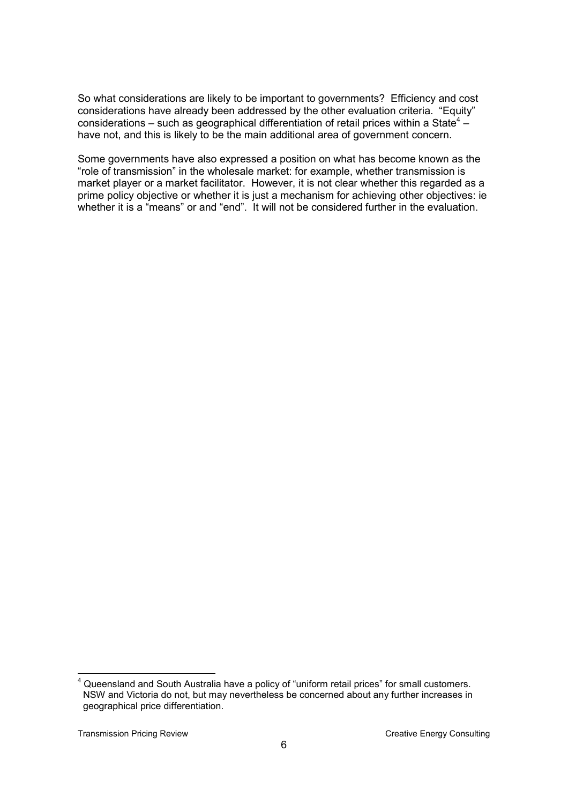So what considerations are likely to be important to governments? Efficiency and cost considerations have already been addressed by the other evaluation criteria. "Equity" considerations – such as geographical differentiation of retail prices within a State<sup>4</sup> – have not, and this is likely to be the main additional area of government concern.

Some governments have also expressed a position on what has become known as the "role of transmission" in the wholesale market: for example, whether transmission is market player or a market facilitator. However, it is not clear whether this regarded as a prime policy objective or whether it is just a mechanism for achieving other objectives: ie whether it is a "means" or and "end". It will not be considered further in the evaluation.

 $\overline{\phantom{a}}$ 4 Queensland and South Australia have a policy of "uniform retail prices" for small customers. NSW and Victoria do not, but may nevertheless be concerned about any further increases in geographical price differentiation.

Transmission Pricing Review **Creative Energy Consulting** Creative Energy Consulting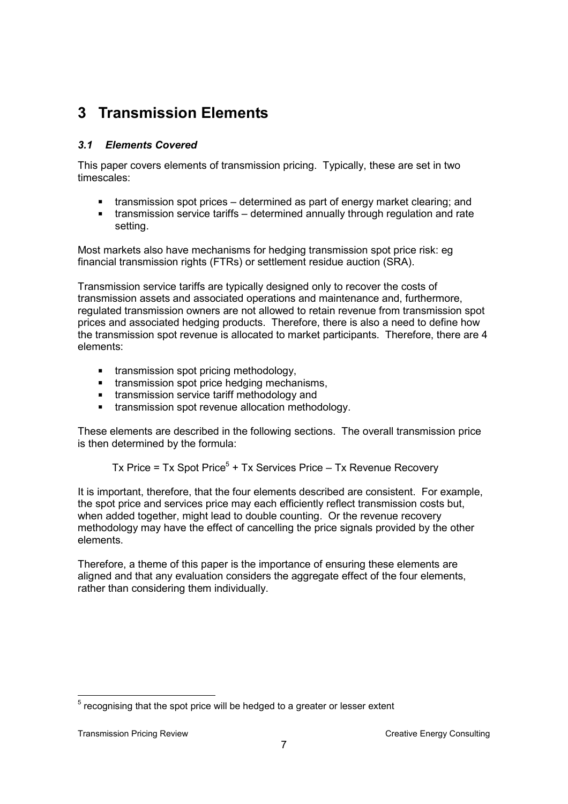# **3 Transmission Elements**

# *3.1 Elements Covered*

This paper covers elements of transmission pricing. Typically, these are set in two timescales:

- **the 1** transmission spot prices determined as part of energy market clearing; and
- transmission service tariffs determined annually through regulation and rate setting.

Most markets also have mechanisms for hedging transmission spot price risk: eg financial transmission rights (FTRs) or settlement residue auction (SRA).

Transmission service tariffs are typically designed only to recover the costs of transmission assets and associated operations and maintenance and, furthermore, regulated transmission owners are not allowed to retain revenue from transmission spot prices and associated hedging products. Therefore, there is also a need to define how the transmission spot revenue is allocated to market participants. Therefore, there are 4 elements:

- **transmission spot pricing methodology,**
- **transmission spot price hedging mechanisms.**
- **transmission service tariff methodology and**
- **transmission spot revenue allocation methodology.**

These elements are described in the following sections. The overall transmission price is then determined by the formula:

Tx Price = Tx Spot Price<sup>5</sup> + Tx Services Price – Tx Revenue Recovery

It is important, therefore, that the four elements described are consistent. For example, the spot price and services price may each efficiently reflect transmission costs but, when added together, might lead to double counting. Or the revenue recovery methodology may have the effect of cancelling the price signals provided by the other elements.

Therefore, a theme of this paper is the importance of ensuring these elements are aligned and that any evaluation considers the aggregate effect of the four elements, rather than considering them individually.

  $5$  recognising that the spot price will be hedged to a greater or lesser extent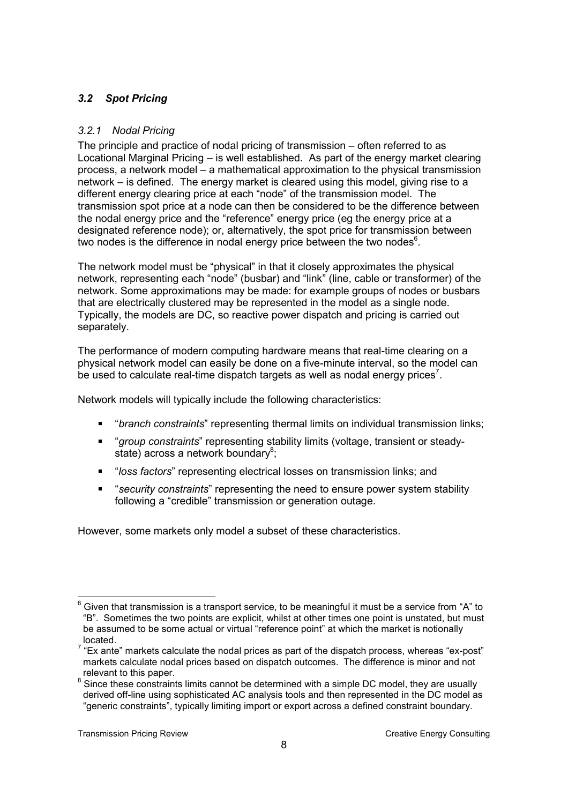# *3.2 Spot Pricing*

#### *3.2.1 Nodal Pricing*

The principle and practice of nodal pricing of transmission – often referred to as Locational Marginal Pricing – is well established. As part of the energy market clearing process, a network model – a mathematical approximation to the physical transmission network – is defined. The energy market is cleared using this model, giving rise to a different energy clearing price at each "node" of the transmission model. The transmission spot price at a node can then be considered to be the difference between the nodal energy price and the "reference" energy price (eg the energy price at a designated reference node); or, alternatively, the spot price for transmission between two nodes is the difference in nodal energy price between the two nodes $6$ .

The network model must be "physical" in that it closely approximates the physical network, representing each "node" (busbar) and "link" (line, cable or transformer) of the network. Some approximations may be made: for example groups of nodes or busbars that are electrically clustered may be represented in the model as a single node. Typically, the models are DC, so reactive power dispatch and pricing is carried out separately.

The performance of modern computing hardware means that real-time clearing on a physical network model can easily be done on a five-minute interval, so the model can be used to calculate real-time dispatch targets as well as nodal energy prices<sup>7</sup>.

Network models will typically include the following characteristics:

- "*branch constraints*" representing thermal limits on individual transmission links;
- "*group constraints*" representing stability limits (voltage, transient or steadystate) across a network boundary<sup>8</sup>;
- "*loss factors*" representing electrical losses on transmission links; and
- "*security constraints*" representing the need to ensure power system stability following a "credible" transmission or generation outage.

However, some markets only model a subset of these characteristics.

<sup>————————————————————&</sup>lt;br><sup>6</sup> Given that transmission is a transport service, to be meaningful it must be a service from "A" to "B". Sometimes the two points are explicit, whilst at other times one point is unstated, but must be assumed to be some actual or virtual "reference point" at which the market is notionally <sub>,</sub> located.<br><sup>7</sup> "Ex ante" markets calculate the nodal prices as part of the dispatch process, whereas "ex-post"

markets calculate nodal prices based on dispatch outcomes. The difference is minor and not relevant to this paper.

<sup>8</sup> Since these constraints limits cannot be determined with a simple DC model, they are usually derived off-line using sophisticated AC analysis tools and then represented in the DC model as "generic constraints", typically limiting import or export across a defined constraint boundary.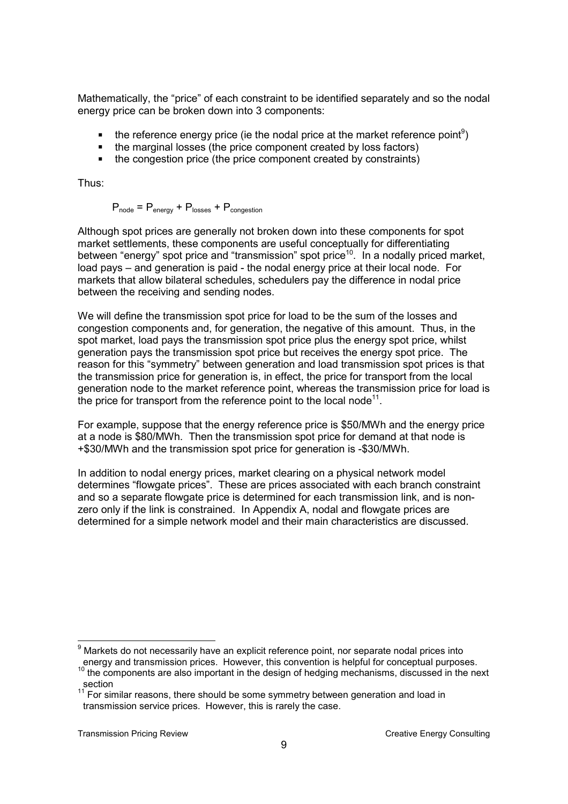Mathematically, the "price" of each constraint to be identified separately and so the nodal energy price can be broken down into 3 components:

- $\blacksquare$  the reference energy price (ie the nodal price at the market reference point<sup>9</sup>)
- $\blacksquare$  the marginal losses (the price component created by loss factors)
- the congestion price (the price component created by constraints)

Thus:

 $P_{\text{node}} = P_{\text{energy}} + P_{\text{losses}} + P_{\text{congestion}}$ 

Although spot prices are generally not broken down into these components for spot market settlements, these components are useful conceptually for differentiating between "energy" spot price and "transmission" spot price<sup>10</sup>. In a nodally priced market, load pays – and generation is paid - the nodal energy price at their local node. For markets that allow bilateral schedules, schedulers pay the difference in nodal price between the receiving and sending nodes.

We will define the transmission spot price for load to be the sum of the losses and congestion components and, for generation, the negative of this amount. Thus, in the spot market, load pays the transmission spot price plus the energy spot price, whilst generation pays the transmission spot price but receives the energy spot price. The reason for this "symmetry" between generation and load transmission spot prices is that the transmission price for generation is, in effect, the price for transport from the local generation node to the market reference point, whereas the transmission price for load is the price for transport from the reference point to the local node<sup>11</sup>.

For example, suppose that the energy reference price is \$50/MWh and the energy price at a node is \$80/MWh. Then the transmission spot price for demand at that node is +\$30/MWh and the transmission spot price for generation is -\$30/MWh.

In addition to nodal energy prices, market clearing on a physical network model determines "flowgate prices". These are prices associated with each branch constraint and so a separate flowgate price is determined for each transmission link, and is nonzero only if the link is constrained. In Appendix A, nodal and flowgate prices are determined for a simple network model and their main characteristics are discussed.

 $\overline{a}$  $^9$  Markets do not necessarily have an explicit reference point, nor separate nodal prices into energy and transmission prices. However, this convention is helpful for conceptual purposes.

 $10$  the components are also important in the design of hedging mechanisms, discussed in the next section

 $11$  For similar reasons, there should be some symmetry between generation and load in transmission service prices. However, this is rarely the case.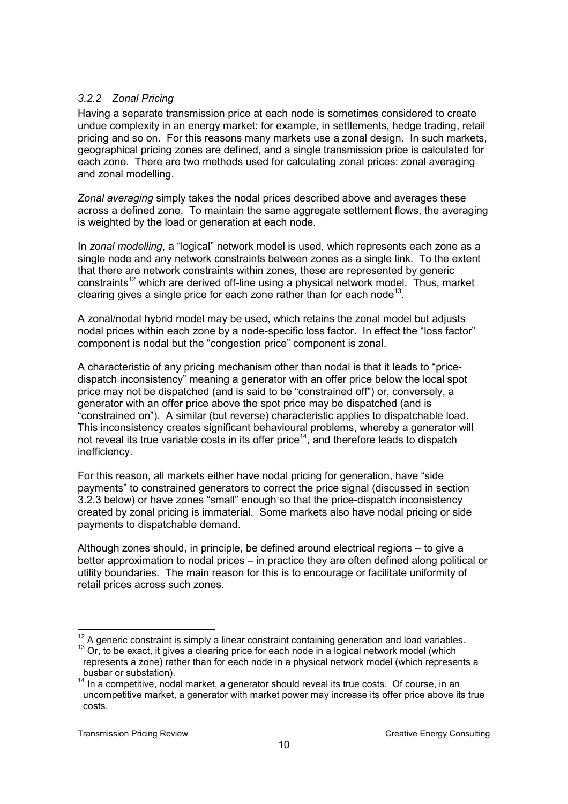### *3.2.2 Zonal Pricing*

Having a separate transmission price at each node is sometimes considered to create undue complexity in an energy market: for example, in settlements, hedge trading, retail pricing and so on. For this reasons many markets use a zonal design. In such markets, geographical pricing zones are defined, and a single transmission price is calculated for each zone. There are two methods used for calculating zonal prices: zonal averaging and zonal modelling.

*Zonal averaging* simply takes the nodal prices described above and averages these across a defined zone. To maintain the same aggregate settlement flows, the averaging is weighted by the load or generation at each node.

In *zonal modelling*, a "logical" network model is used, which represents each zone as a single node and any network constraints between zones as a single link. To the extent that there are network constraints within zones, these are represented by generic  $const$ raints<sup>12</sup> which are derived off-line using a physical network model. Thus, market clearing gives a single price for each zone rather than for each node<sup>13</sup>.

A zonal/nodal hybrid model may be used, which retains the zonal model but adjusts nodal prices within each zone by a node-specific loss factor. In effect the "loss factor" component is nodal but the "congestion price" component is zonal.

A characteristic of any pricing mechanism other than nodal is that it leads to "pricedispatch inconsistency" meaning a generator with an offer price below the local spot price may not be dispatched (and is said to be "constrained off") or, conversely, a generator with an offer price above the spot price may be dispatched (and is "constrained on"). A similar (but reverse) characteristic applies to dispatchable load. This inconsistency creates significant behavioural problems, whereby a generator will not reveal its true variable costs in its offer price<sup>14</sup>, and therefore leads to dispatch inefficiency.

For this reason, all markets either have nodal pricing for generation, have "side payments" to constrained generators to correct the price signal (discussed in section 3.2.3 below) or have zones "small" enough so that the price-dispatch inconsistency created by zonal pricing is immaterial. Some markets also have nodal pricing or side payments to dispatchable demand.

Although zones should, in principle, be defined around electrical regions – to give a better approximation to nodal prices – in practice they are often defined along political or utility boundaries. The main reason for this is to encourage or facilitate uniformity of retail prices across such zones.

 $^{12}$  A generic constraint is simply a linear constraint containing generation and load variables.<br><sup>13</sup> Or, to be exact, it gives a clearing price for each node in a logical network model (which

represents a zone) rather than for each node in a physical network model (which represents a busbar or substation).

In a competitive, nodal market, a generator should reveal its true costs. Of course, in an uncompetitive market, a generator with market power may increase its offer price above its true costs.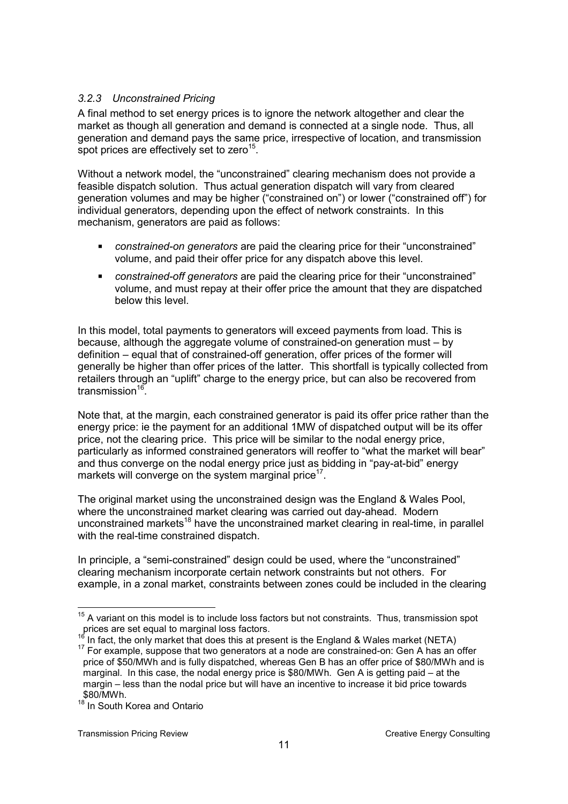#### *3.2.3 Unconstrained Pricing*

A final method to set energy prices is to ignore the network altogether and clear the market as though all generation and demand is connected at a single node. Thus, all generation and demand pays the same price, irrespective of location, and transmission spot prices are effectively set to zero<sup>15</sup>.

Without a network model, the "unconstrained" clearing mechanism does not provide a feasible dispatch solution. Thus actual generation dispatch will vary from cleared generation volumes and may be higher ("constrained on") or lower ("constrained off") for individual generators, depending upon the effect of network constraints. In this mechanism, generators are paid as follows:

- *constrained-on generators* are paid the clearing price for their "unconstrained" volume, and paid their offer price for any dispatch above this level.
- *constrained-off generators* are paid the clearing price for their "unconstrained" volume, and must repay at their offer price the amount that they are dispatched below this level.

In this model, total payments to generators will exceed payments from load. This is because, although the aggregate volume of constrained-on generation must – by definition – equal that of constrained-off generation, offer prices of the former will generally be higher than offer prices of the latter. This shortfall is typically collected from retailers through an "uplift" charge to the energy price, but can also be recovered from transmission $16$ .

Note that, at the margin, each constrained generator is paid its offer price rather than the energy price: ie the payment for an additional 1MW of dispatched output will be its offer price, not the clearing price. This price will be similar to the nodal energy price, particularly as informed constrained generators will reoffer to "what the market will bear" and thus converge on the nodal energy price just as bidding in "pay-at-bid" energy markets will converge on the system marginal price<sup>17</sup>.

The original market using the unconstrained design was the England & Wales Pool, where the unconstrained market clearing was carried out day-ahead. Modern unconstrained markets<sup>18</sup> have the unconstrained market clearing in real-time, in parallel with the real-time constrained dispatch.

In principle, a "semi-constrained" design could be used, where the "unconstrained" clearing mechanism incorporate certain network constraints but not others. For example, in a zonal market, constraints between zones could be included in the clearing

 $\overline{a}$ 

 $15$  A variant on this model is to include loss factors but not constraints. Thus, transmission spot prices are set equal to marginal loss factors.

<sup>&</sup>lt;sup>16</sup> In fact, the only market that does this at present is the England & Wales market (NETA) <sup>17</sup> For example, suppose that two generators at a node are constrained-on: Gen A has an offer price of \$50/MWh and is fully dispatched, whereas Gen B has an offer price of \$80/MWh and is marginal. In this case, the nodal energy price is \$80/MWh. Gen A is getting paid – at the margin – less than the nodal price but will have an incentive to increase it bid price towards \$80/MWh.

<sup>&</sup>lt;sup>18</sup> In South Korea and Ontario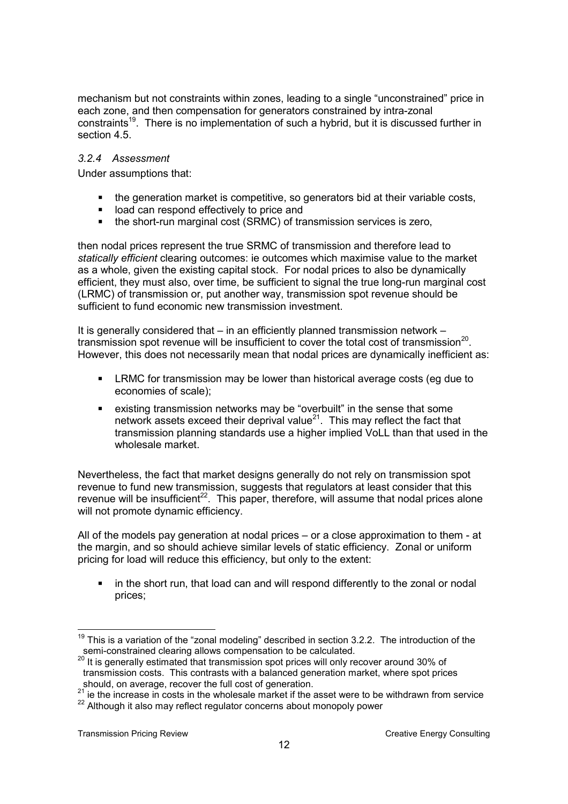mechanism but not constraints within zones, leading to a single "unconstrained" price in each zone, and then compensation for generators constrained by intra-zonal constraints<sup>19</sup>. There is no implementation of such a hybrid, but it is discussed further in section 4.5.

#### *3.2.4 Assessment*

Under assumptions that:

- the generation market is competitive, so generators bid at their variable costs,
- load can respond effectively to price and
- the short-run marginal cost (SRMC) of transmission services is zero,

then nodal prices represent the true SRMC of transmission and therefore lead to *statically efficient* clearing outcomes: ie outcomes which maximise value to the market as a whole, given the existing capital stock. For nodal prices to also be dynamically efficient, they must also, over time, be sufficient to signal the true long-run marginal cost (LRMC) of transmission or, put another way, transmission spot revenue should be sufficient to fund economic new transmission investment.

It is generally considered that – in an efficiently planned transmission network – transmission spot revenue will be insufficient to cover the total cost of transmission<sup>20</sup>. However, this does not necessarily mean that nodal prices are dynamically inefficient as:

- **EXECT FORMC for transmission may be lower than historical average costs (eg due to** economies of scale);
- existing transmission networks may be "overbuilt" in the sense that some network assets exceed their deprival value<sup>21</sup>. This may reflect the fact that transmission planning standards use a higher implied VoLL than that used in the wholesale market.

Nevertheless, the fact that market designs generally do not rely on transmission spot revenue to fund new transmission, suggests that regulators at least consider that this revenue will be insufficient<sup>22</sup>. This paper, therefore, will assume that nodal prices alone will not promote dynamic efficiency.

All of the models pay generation at nodal prices – or a close approximation to them - at the margin, and so should achieve similar levels of static efficiency. Zonal or uniform pricing for load will reduce this efficiency, but only to the extent:

 in the short run, that load can and will respond differently to the zonal or nodal prices;

 $19$  This is a variation of the "zonal modeling" described in section 3.2.2. The introduction of the semi-constrained clearing allows compensation to be calculated.

<sup>&</sup>lt;sup>20</sup> It is generally estimated that transmission spot prices will only recover around 30% of transmission costs. This contrasts with a balanced generation market, where spot prices should, on average, recover the full cost of generation.

 $21$  ie the increase in costs in the wholesale market if the asset were to be withdrawn from service

<sup>&</sup>lt;sup>22</sup> Although it also may reflect regulator concerns about monopoly power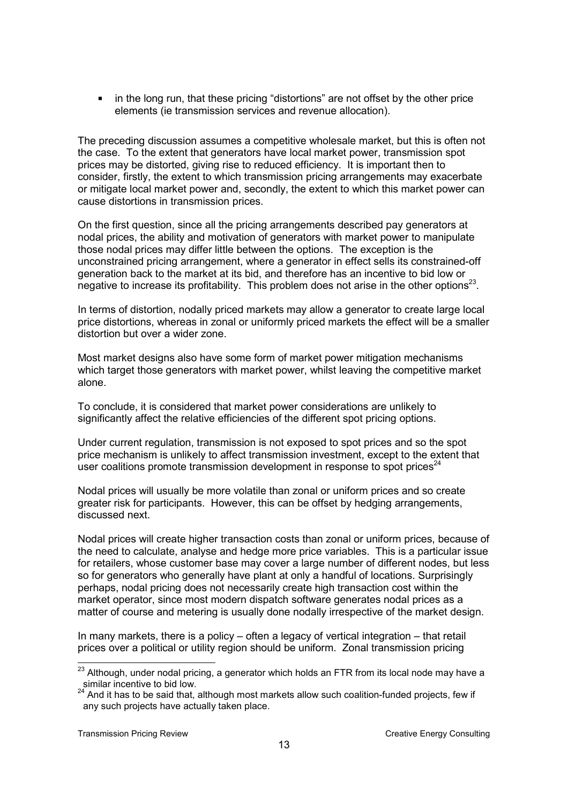**ightharror in the long run, that these pricing "distortions" are not offset by the other price** elements (ie transmission services and revenue allocation).

The preceding discussion assumes a competitive wholesale market, but this is often not the case. To the extent that generators have local market power, transmission spot prices may be distorted, giving rise to reduced efficiency. It is important then to consider, firstly, the extent to which transmission pricing arrangements may exacerbate or mitigate local market power and, secondly, the extent to which this market power can cause distortions in transmission prices.

On the first question, since all the pricing arrangements described pay generators at nodal prices, the ability and motivation of generators with market power to manipulate those nodal prices may differ little between the options. The exception is the unconstrained pricing arrangement, where a generator in effect sells its constrained-off generation back to the market at its bid, and therefore has an incentive to bid low or negative to increase its profitability. This problem does not arise in the other options<sup>23</sup>.

In terms of distortion, nodally priced markets may allow a generator to create large local price distortions, whereas in zonal or uniformly priced markets the effect will be a smaller distortion but over a wider zone.

Most market designs also have some form of market power mitigation mechanisms which target those generators with market power, whilst leaving the competitive market alone.

To conclude, it is considered that market power considerations are unlikely to significantly affect the relative efficiencies of the different spot pricing options.

Under current regulation, transmission is not exposed to spot prices and so the spot price mechanism is unlikely to affect transmission investment, except to the extent that user coalitions promote transmission development in response to spot prices<sup> $24$ </sup>

Nodal prices will usually be more volatile than zonal or uniform prices and so create greater risk for participants. However, this can be offset by hedging arrangements, discussed next.

Nodal prices will create higher transaction costs than zonal or uniform prices, because of the need to calculate, analyse and hedge more price variables. This is a particular issue for retailers, whose customer base may cover a large number of different nodes, but less so for generators who generally have plant at only a handful of locations. Surprisingly perhaps, nodal pricing does not necessarily create high transaction cost within the market operator, since most modern dispatch software generates nodal prices as a matter of course and metering is usually done nodally irrespective of the market design.

In many markets, there is a policy – often a legacy of vertical integration – that retail prices over a political or utility region should be uniform. Zonal transmission pricing

 $\overline{a}$ 

 $^{23}$  Although, under nodal pricing, a generator which holds an FTR from its local node may have a similar incentive to bid low.

 $^{24}$  And it has to be said that, although most markets allow such coalition-funded projects, few if any such projects have actually taken place.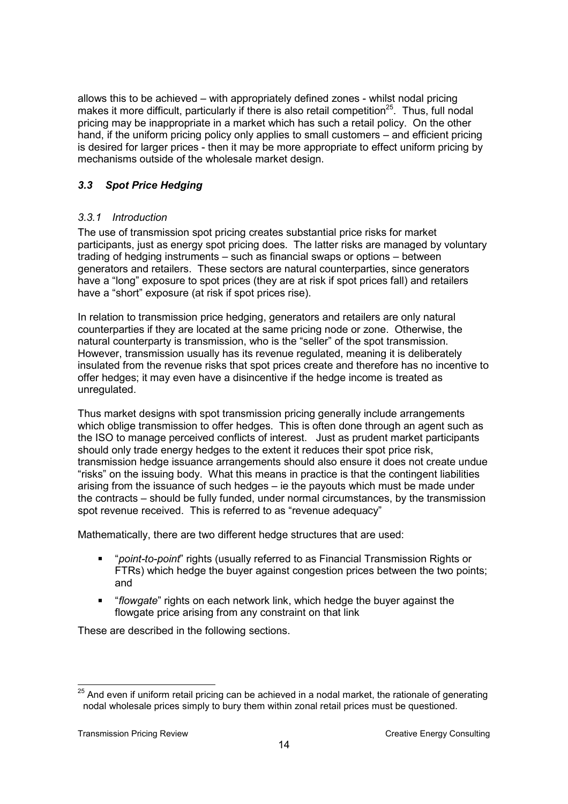allows this to be achieved – with appropriately defined zones - whilst nodal pricing makes it more difficult, particularly if there is also retail competition<sup>25</sup>. Thus, full nodal pricing may be inappropriate in a market which has such a retail policy. On the other hand, if the uniform pricing policy only applies to small customers – and efficient pricing is desired for larger prices - then it may be more appropriate to effect uniform pricing by mechanisms outside of the wholesale market design.

# *3.3 Spot Price Hedging*

# *3.3.1 Introduction*

The use of transmission spot pricing creates substantial price risks for market participants, just as energy spot pricing does. The latter risks are managed by voluntary trading of hedging instruments – such as financial swaps or options – between generators and retailers. These sectors are natural counterparties, since generators have a "long" exposure to spot prices (they are at risk if spot prices fall) and retailers have a "short" exposure (at risk if spot prices rise).

In relation to transmission price hedging, generators and retailers are only natural counterparties if they are located at the same pricing node or zone. Otherwise, the natural counterparty is transmission, who is the "seller" of the spot transmission. However, transmission usually has its revenue regulated, meaning it is deliberately insulated from the revenue risks that spot prices create and therefore has no incentive to offer hedges; it may even have a disincentive if the hedge income is treated as unregulated.

Thus market designs with spot transmission pricing generally include arrangements which oblige transmission to offer hedges. This is often done through an agent such as the ISO to manage perceived conflicts of interest. Just as prudent market participants should only trade energy hedges to the extent it reduces their spot price risk, transmission hedge issuance arrangements should also ensure it does not create undue "risks" on the issuing body. What this means in practice is that the contingent liabilities arising from the issuance of such hedges – ie the payouts which must be made under the contracts – should be fully funded, under normal circumstances, by the transmission spot revenue received. This is referred to as "revenue adequacy"

Mathematically, there are two different hedge structures that are used:

- "*point-to-point*" rights (usually referred to as Financial Transmission Rights or FTRs) which hedge the buyer against congestion prices between the two points; and
- "*flowgate*" rights on each network link, which hedge the buyer against the flowgate price arising from any constraint on that link

These are described in the following sections.

Transmission Pricing Review **Creative Energy Consulting** Creative Energy Consulting

 And even if uniform retail pricing can be achieved in a nodal market, the rationale of generating nodal wholesale prices simply to bury them within zonal retail prices must be questioned.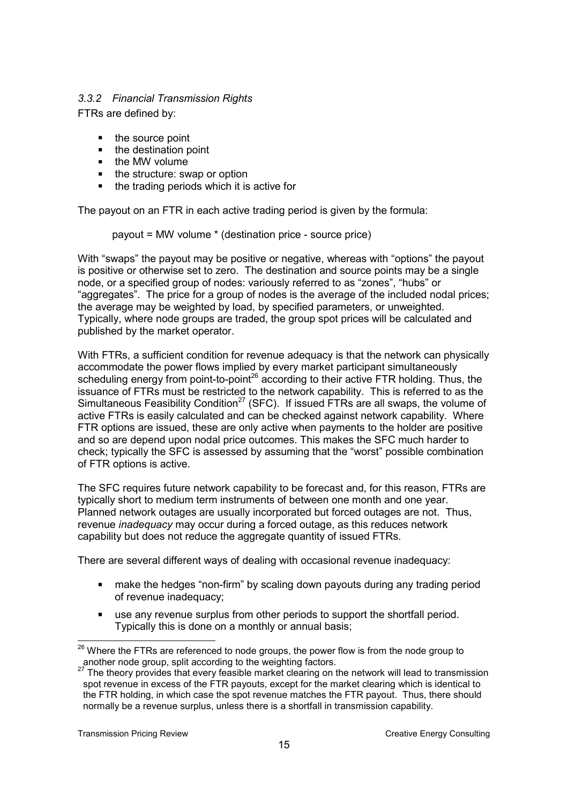#### *3.3.2 Financial Transmission Rights*

FTRs are defined by:

- $\blacksquare$  the source point
- the destination point
- $\blacksquare$  the MW volume
- $\blacksquare$  the structure: swap or option
- $\blacksquare$  the trading periods which it is active for

The payout on an FTR in each active trading period is given by the formula:

payout = MW volume \* (destination price - source price)

With "swaps" the payout may be positive or negative, whereas with "options" the payout is positive or otherwise set to zero. The destination and source points may be a single node, or a specified group of nodes: variously referred to as "zones", "hubs" or "aggregates". The price for a group of nodes is the average of the included nodal prices; the average may be weighted by load, by specified parameters, or unweighted. Typically, where node groups are traded, the group spot prices will be calculated and published by the market operator.

With FTRs, a sufficient condition for revenue adequacy is that the network can physically accommodate the power flows implied by every market participant simultaneously scheduling energy from point-to-point<sup>26</sup> according to their active FTR holding. Thus, the issuance of FTRs must be restricted to the network capability. This is referred to as the Simultaneous Feasibility Condition<sup>27</sup> (SFC). If issued FTRs are all swaps, the volume of active FTRs is easily calculated and can be checked against network capability. Where FTR options are issued, these are only active when payments to the holder are positive and so are depend upon nodal price outcomes. This makes the SFC much harder to check; typically the SFC is assessed by assuming that the "worst" possible combination of FTR options is active.

The SFC requires future network capability to be forecast and, for this reason, FTRs are typically short to medium term instruments of between one month and one year. Planned network outages are usually incorporated but forced outages are not. Thus, revenue *inadequacy* may occur during a forced outage, as this reduces network capability but does not reduce the aggregate quantity of issued FTRs.

There are several different ways of dealing with occasional revenue inadequacy:

- make the hedges "non-firm" by scaling down payouts during any trading period of revenue inadequacy;
- use any revenue surplus from other periods to support the shortfall period. Typically this is done on a monthly or annual basis;

 $\overline{a}$  $^{26}$  Where the FTRs are referenced to node groups, the power flow is from the node group to another node group, split according to the weighting factors.

 $27$  The theory provides that every feasible market clearing on the network will lead to transmission spot revenue in excess of the FTR payouts, except for the market clearing which is identical to the FTR holding, in which case the spot revenue matches the FTR payout. Thus, there should normally be a revenue surplus, unless there is a shortfall in transmission capability.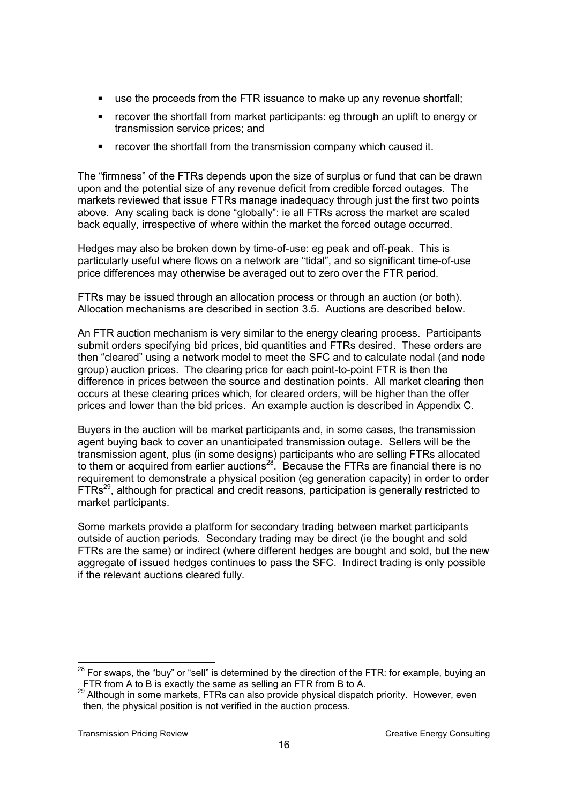- use the proceeds from the FTR issuance to make up any revenue shortfall;
- **F** recover the shortfall from market participants: eg through an uplift to energy or transmission service prices; and
- **F** recover the shortfall from the transmission company which caused it.

The "firmness" of the FTRs depends upon the size of surplus or fund that can be drawn upon and the potential size of any revenue deficit from credible forced outages. The markets reviewed that issue FTRs manage inadequacy through just the first two points above. Any scaling back is done "globally": ie all FTRs across the market are scaled back equally, irrespective of where within the market the forced outage occurred.

Hedges may also be broken down by time-of-use: eg peak and off-peak. This is particularly useful where flows on a network are "tidal", and so significant time-of-use price differences may otherwise be averaged out to zero over the FTR period.

FTRs may be issued through an allocation process or through an auction (or both). Allocation mechanisms are described in section 3.5. Auctions are described below.

An FTR auction mechanism is very similar to the energy clearing process. Participants submit orders specifying bid prices, bid quantities and FTRs desired. These orders are then "cleared" using a network model to meet the SFC and to calculate nodal (and node group) auction prices. The clearing price for each point-to-point FTR is then the difference in prices between the source and destination points. All market clearing then occurs at these clearing prices which, for cleared orders, will be higher than the offer prices and lower than the bid prices. An example auction is described in Appendix C.

Buyers in the auction will be market participants and, in some cases, the transmission agent buying back to cover an unanticipated transmission outage. Sellers will be the transmission agent, plus (in some designs) participants who are selling FTRs allocated to them or acquired from earlier auctions<sup>28</sup>. Because the FTRs are financial there is no requirement to demonstrate a physical position (eg generation capacity) in order to order FTRs29, although for practical and credit reasons, participation is generally restricted to market participants.

Some markets provide a platform for secondary trading between market participants outside of auction periods. Secondary trading may be direct (ie the bought and sold FTRs are the same) or indirect (where different hedges are bought and sold, but the new aggregate of issued hedges continues to pass the SFC. Indirect trading is only possible if the relevant auctions cleared fully.

 $\overline{a}$ 

 $^{28}$  For swaps, the "buy" or "sell" is determined by the direction of the FTR: for example, buying an FTR from A to B is exactly the same as selling an FTR from B to A.

<sup>&</sup>lt;sup>29</sup> Although in some markets, FTRs can also provide physical dispatch priority. However, even then, the physical position is not verified in the auction process.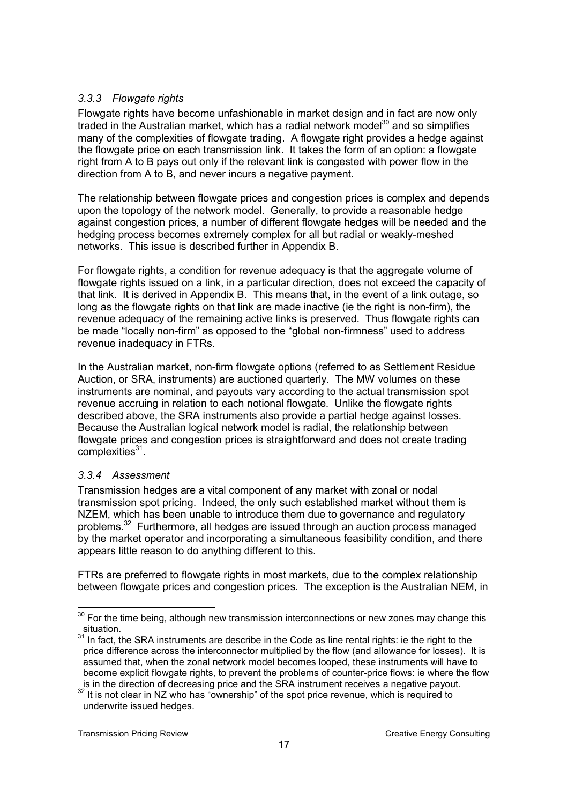# *3.3.3 Flowgate rights*

Flowgate rights have become unfashionable in market design and in fact are now only traded in the Australian market, which has a radial network model $30$  and so simplifies many of the complexities of flowgate trading. A flowgate right provides a hedge against the flowgate price on each transmission link. It takes the form of an option: a flowgate right from A to B pays out only if the relevant link is congested with power flow in the direction from A to B, and never incurs a negative payment.

The relationship between flowgate prices and congestion prices is complex and depends upon the topology of the network model. Generally, to provide a reasonable hedge against congestion prices, a number of different flowgate hedges will be needed and the hedging process becomes extremely complex for all but radial or weakly-meshed networks. This issue is described further in Appendix B.

For flowgate rights, a condition for revenue adequacy is that the aggregate volume of flowgate rights issued on a link, in a particular direction, does not exceed the capacity of that link. It is derived in Appendix B. This means that, in the event of a link outage, so long as the flowgate rights on that link are made inactive (ie the right is non-firm), the revenue adequacy of the remaining active links is preserved. Thus flowgate rights can be made "locally non-firm" as opposed to the "global non-firmness" used to address revenue inadequacy in FTRs.

In the Australian market, non-firm flowgate options (referred to as Settlement Residue Auction, or SRA, instruments) are auctioned quarterly. The MW volumes on these instruments are nominal, and payouts vary according to the actual transmission spot revenue accruing in relation to each notional flowgate. Unlike the flowgate rights described above, the SRA instruments also provide a partial hedge against losses. Because the Australian logical network model is radial, the relationship between flowgate prices and congestion prices is straightforward and does not create trading complexities $31$ .

#### *3.3.4 Assessment*

 $\overline{a}$ 

Transmission hedges are a vital component of any market with zonal or nodal transmission spot pricing. Indeed, the only such established market without them is NZEM, which has been unable to introduce them due to governance and regulatory problems.32 Furthermore, all hedges are issued through an auction process managed by the market operator and incorporating a simultaneous feasibility condition, and there appears little reason to do anything different to this.

FTRs are preferred to flowgate rights in most markets, due to the complex relationship between flowgate prices and congestion prices. The exception is the Australian NEM, in

 $30$  For the time being, although new transmission interconnections or new zones may change this situation.

 $31$  In fact, the SRA instruments are describe in the Code as line rental rights: ie the right to the price difference across the interconnector multiplied by the flow (and allowance for losses). It is assumed that, when the zonal network model becomes looped, these instruments will have to become explicit flowgate rights, to prevent the problems of counter-price flows: ie where the flow is in the direction of decreasing price and the SRA instrument receives a negative payout.

<sup>&</sup>lt;sup>32</sup> It is not clear in NZ who has "ownership" of the spot price revenue, which is required to underwrite issued hedges.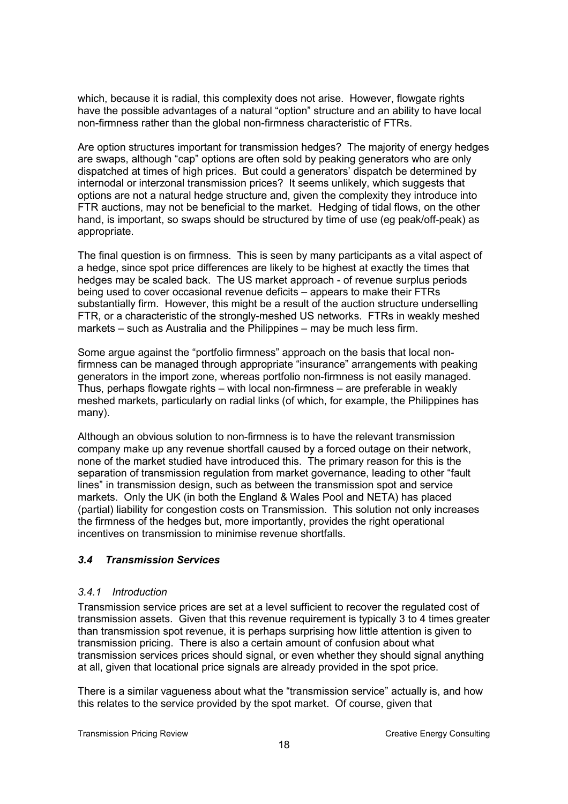which, because it is radial, this complexity does not arise. However, flowgate rights have the possible advantages of a natural "option" structure and an ability to have local non-firmness rather than the global non-firmness characteristic of FTRs.

Are option structures important for transmission hedges? The majority of energy hedges are swaps, although "cap" options are often sold by peaking generators who are only dispatched at times of high prices. But could a generators' dispatch be determined by internodal or interzonal transmission prices? It seems unlikely, which suggests that options are not a natural hedge structure and, given the complexity they introduce into FTR auctions, may not be beneficial to the market. Hedging of tidal flows, on the other hand, is important, so swaps should be structured by time of use (eg peak/off-peak) as appropriate.

The final question is on firmness. This is seen by many participants as a vital aspect of a hedge, since spot price differences are likely to be highest at exactly the times that hedges may be scaled back. The US market approach - of revenue surplus periods being used to cover occasional revenue deficits – appears to make their FTRs substantially firm. However, this might be a result of the auction structure underselling FTR, or a characteristic of the strongly-meshed US networks. FTRs in weakly meshed markets – such as Australia and the Philippines – may be much less firm.

Some argue against the "portfolio firmness" approach on the basis that local nonfirmness can be managed through appropriate "insurance" arrangements with peaking generators in the import zone, whereas portfolio non-firmness is not easily managed. Thus, perhaps flowgate rights – with local non-firmness – are preferable in weakly meshed markets, particularly on radial links (of which, for example, the Philippines has many).

Although an obvious solution to non-firmness is to have the relevant transmission company make up any revenue shortfall caused by a forced outage on their network, none of the market studied have introduced this. The primary reason for this is the separation of transmission regulation from market governance, leading to other "fault lines" in transmission design, such as between the transmission spot and service markets. Only the UK (in both the England & Wales Pool and NETA) has placed (partial) liability for congestion costs on Transmission. This solution not only increases the firmness of the hedges but, more importantly, provides the right operational incentives on transmission to minimise revenue shortfalls.

#### *3.4 Transmission Services*

#### *3.4.1 Introduction*

Transmission service prices are set at a level sufficient to recover the regulated cost of transmission assets. Given that this revenue requirement is typically 3 to 4 times greater than transmission spot revenue, it is perhaps surprising how little attention is given to transmission pricing. There is also a certain amount of confusion about what transmission services prices should signal, or even whether they should signal anything at all, given that locational price signals are already provided in the spot price.

There is a similar vagueness about what the "transmission service" actually is, and how this relates to the service provided by the spot market. Of course, given that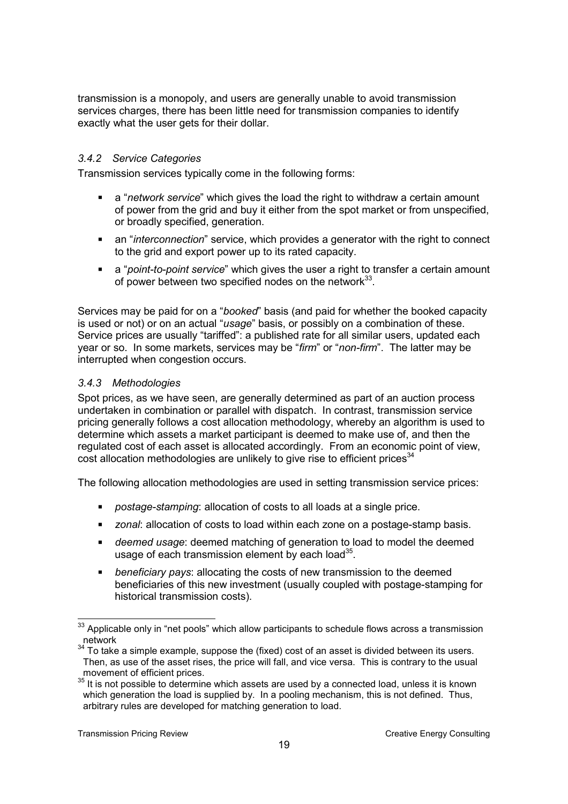transmission is a monopoly, and users are generally unable to avoid transmission services charges, there has been little need for transmission companies to identify exactly what the user gets for their dollar.

#### *3.4.2 Service Categories*

Transmission services typically come in the following forms:

- a "*network service*" which gives the load the right to withdraw a certain amount of power from the grid and buy it either from the spot market or from unspecified, or broadly specified, generation.
- an "*interconnection*" service, which provides a generator with the right to connect to the grid and export power up to its rated capacity.
- a "*point-to-point service*" which gives the user a right to transfer a certain amount of power between two specified nodes on the network $33$ .

Services may be paid for on a "*booked*" basis (and paid for whether the booked capacity is used or not) or on an actual "*usage*" basis, or possibly on a combination of these. Service prices are usually "tariffed": a published rate for all similar users, updated each year or so. In some markets, services may be "*firm*" or "*non-firm*". The latter may be interrupted when congestion occurs.

#### *3.4.3 Methodologies*

Spot prices, as we have seen, are generally determined as part of an auction process undertaken in combination or parallel with dispatch. In contrast, transmission service pricing generally follows a cost allocation methodology, whereby an algorithm is used to determine which assets a market participant is deemed to make use of, and then the regulated cost of each asset is allocated accordingly. From an economic point of view,  $cost$  allocation methodologies are unlikely to give rise to efficient prices $34$ 

The following allocation methodologies are used in setting transmission service prices:

- *postage-stamping*: allocation of costs to all loads at a single price.
- *zonal*: allocation of costs to load within each zone on a postage-stamp basis.
- *deemed usage*: deemed matching of generation to load to model the deemed usage of each transmission element by each load $^{35}$ .
- *beneficiary pays*: allocating the costs of new transmission to the deemed beneficiaries of this new investment (usually coupled with postage-stamping for historical transmission costs).

  $^{33}$  Applicable only in "net pools" which allow participants to schedule flows across a transmission network

 $34$  To take a simple example, suppose the (fixed) cost of an asset is divided between its users. Then, as use of the asset rises, the price will fall, and vice versa. This is contrary to the usual movement of efficient prices.

 $35$  It is not possible to determine which assets are used by a connected load, unless it is known which generation the load is supplied by. In a pooling mechanism, this is not defined. Thus, arbitrary rules are developed for matching generation to load.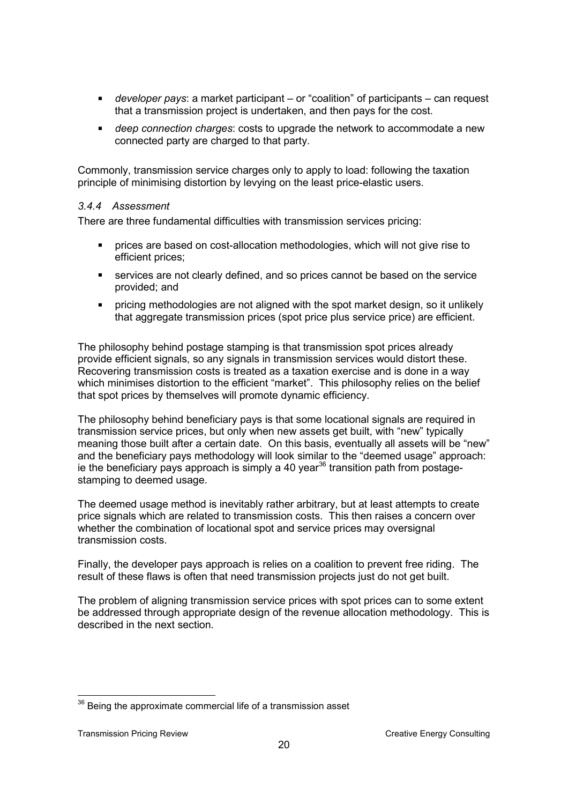- *developer pays*: a market participant or "coalition" of participants can request that a transmission project is undertaken, and then pays for the cost.
- *deep connection charges*: costs to upgrade the network to accommodate a new connected party are charged to that party.

Commonly, transmission service charges only to apply to load: following the taxation principle of minimising distortion by levying on the least price-elastic users.

#### *3.4.4 Assessment*

There are three fundamental difficulties with transmission services pricing:

- **PED FIGUST 2018 In 2018 2019 The State of the State State Inc.** Prices are based on cost-allocation methodologies, which will not give rise to efficient prices;
- services are not clearly defined, and so prices cannot be based on the service provided; and
- pricing methodologies are not aligned with the spot market design, so it unlikely that aggregate transmission prices (spot price plus service price) are efficient.

The philosophy behind postage stamping is that transmission spot prices already provide efficient signals, so any signals in transmission services would distort these. Recovering transmission costs is treated as a taxation exercise and is done in a way which minimises distortion to the efficient "market". This philosophy relies on the belief that spot prices by themselves will promote dynamic efficiency.

The philosophy behind beneficiary pays is that some locational signals are required in transmission service prices, but only when new assets get built, with "new" typically meaning those built after a certain date. On this basis, eventually all assets will be "new" and the beneficiary pays methodology will look similar to the "deemed usage" approach: ie the beneficiary pays approach is simply a 40 year<sup>36</sup> transition path from postagestamping to deemed usage.

The deemed usage method is inevitably rather arbitrary, but at least attempts to create price signals which are related to transmission costs. This then raises a concern over whether the combination of locational spot and service prices may oversignal transmission costs.

Finally, the developer pays approach is relies on a coalition to prevent free riding. The result of these flaws is often that need transmission projects just do not get built.

The problem of aligning transmission service prices with spot prices can to some extent be addressed through appropriate design of the revenue allocation methodology. This is described in the next section.

Being the approximate commercial life of a transmission asset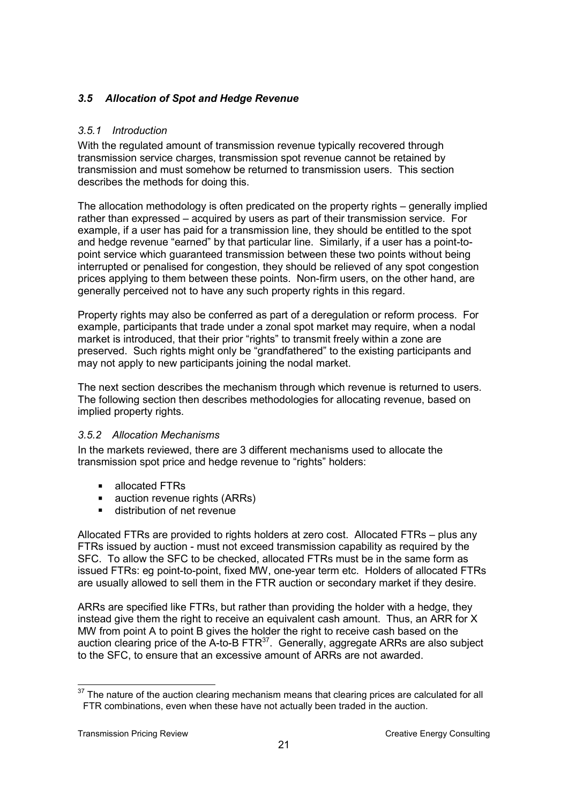# *3.5 Allocation of Spot and Hedge Revenue*

# *3.5.1 Introduction*

With the regulated amount of transmission revenue typically recovered through transmission service charges, transmission spot revenue cannot be retained by transmission and must somehow be returned to transmission users. This section describes the methods for doing this.

The allocation methodology is often predicated on the property rights – generally implied rather than expressed – acquired by users as part of their transmission service. For example, if a user has paid for a transmission line, they should be entitled to the spot and hedge revenue "earned" by that particular line. Similarly, if a user has a point-topoint service which guaranteed transmission between these two points without being interrupted or penalised for congestion, they should be relieved of any spot congestion prices applying to them between these points. Non-firm users, on the other hand, are generally perceived not to have any such property rights in this regard.

Property rights may also be conferred as part of a deregulation or reform process. For example, participants that trade under a zonal spot market may require, when a nodal market is introduced, that their prior "rights" to transmit freely within a zone are preserved. Such rights might only be "grandfathered" to the existing participants and may not apply to new participants joining the nodal market.

The next section describes the mechanism through which revenue is returned to users. The following section then describes methodologies for allocating revenue, based on implied property rights.

#### *3.5.2 Allocation Mechanisms*

In the markets reviewed, there are 3 different mechanisms used to allocate the transmission spot price and hedge revenue to "rights" holders:

- **allocated FTRs**
- auction revenue rights (ARRs)
- distribution of net revenue

Allocated FTRs are provided to rights holders at zero cost. Allocated FTRs – plus any FTRs issued by auction - must not exceed transmission capability as required by the SFC. To allow the SFC to be checked, allocated FTRs must be in the same form as issued FTRs: eg point-to-point, fixed MW, one-year term etc. Holders of allocated FTRs are usually allowed to sell them in the FTR auction or secondary market if they desire.

ARRs are specified like FTRs, but rather than providing the holder with a hedge, they instead give them the right to receive an equivalent cash amount. Thus, an ARR for X MW from point A to point B gives the holder the right to receive cash based on the auction clearing price of the  $A$ -to-B FTR $^{37}$ . Generally, aggregate ARRs are also subject to the SFC, to ensure that an excessive amount of ARRs are not awarded.

 The nature of the auction clearing mechanism means that clearing prices are calculated for all FTR combinations, even when these have not actually been traded in the auction.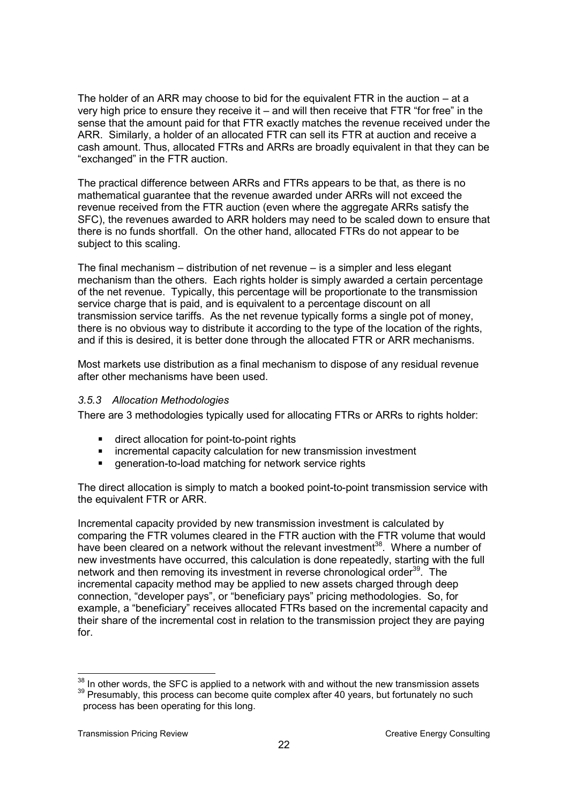The holder of an ARR may choose to bid for the equivalent FTR in the auction – at a very high price to ensure they receive it – and will then receive that FTR "for free" in the sense that the amount paid for that FTR exactly matches the revenue received under the ARR. Similarly, a holder of an allocated FTR can sell its FTR at auction and receive a cash amount. Thus, allocated FTRs and ARRs are broadly equivalent in that they can be "exchanged" in the FTR auction.

The practical difference between ARRs and FTRs appears to be that, as there is no mathematical guarantee that the revenue awarded under ARRs will not exceed the revenue received from the FTR auction (even where the aggregate ARRs satisfy the SFC), the revenues awarded to ARR holders may need to be scaled down to ensure that there is no funds shortfall. On the other hand, allocated FTRs do not appear to be subject to this scaling.

The final mechanism – distribution of net revenue – is a simpler and less elegant mechanism than the others. Each rights holder is simply awarded a certain percentage of the net revenue. Typically, this percentage will be proportionate to the transmission service charge that is paid, and is equivalent to a percentage discount on all transmission service tariffs. As the net revenue typically forms a single pot of money, there is no obvious way to distribute it according to the type of the location of the rights, and if this is desired, it is better done through the allocated FTR or ARR mechanisms.

Most markets use distribution as a final mechanism to dispose of any residual revenue after other mechanisms have been used.

#### *3.5.3 Allocation Methodologies*

There are 3 methodologies typically used for allocating FTRs or ARRs to rights holder:

- direct allocation for point-to-point rights
- incremental capacity calculation for new transmission investment
- generation-to-load matching for network service rights

The direct allocation is simply to match a booked point-to-point transmission service with the equivalent FTR or ARR.

Incremental capacity provided by new transmission investment is calculated by comparing the FTR volumes cleared in the FTR auction with the FTR volume that would have been cleared on a network without the relevant investment<sup>38</sup>. Where a number of new investments have occurred, this calculation is done repeatedly, starting with the full network and then removing its investment in reverse chronological order<sup>39</sup>. The incremental capacity method may be applied to new assets charged through deep connection, "developer pays", or "beneficiary pays" pricing methodologies. So, for example, a "beneficiary" receives allocated FTRs based on the incremental capacity and their share of the incremental cost in relation to the transmission project they are paying for.

 $\overline{a}$  $38$  In other words, the SFC is applied to a network with and without the new transmission assets  $39$  Presumably, this process can become quite complex after 40 years, but fortunately no such process has been operating for this long.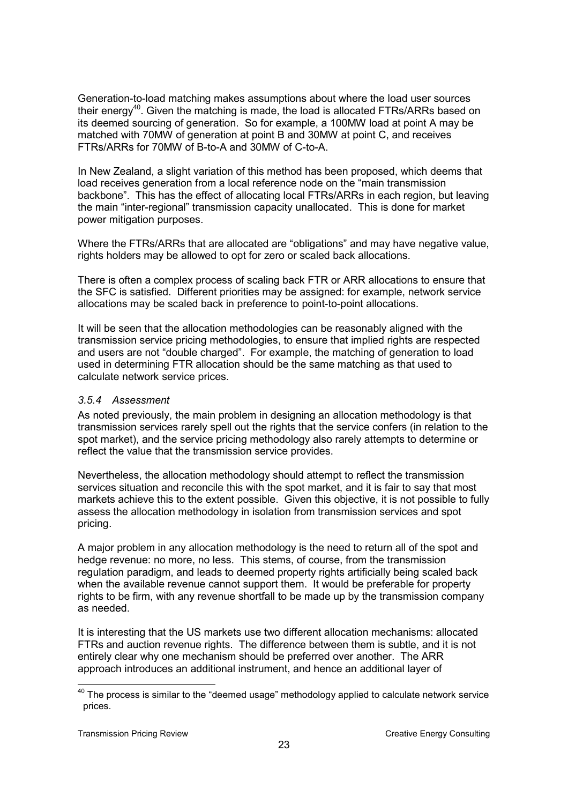Generation-to-load matching makes assumptions about where the load user sources their energy<sup>40</sup>. Given the matching is made, the load is allocated FTRs/ARRs based on its deemed sourcing of generation. So for example, a 100MW load at point A may be matched with 70MW of generation at point B and 30MW at point C, and receives FTRs/ARRs for 70MW of B-to-A and 30MW of C-to-A.

In New Zealand, a slight variation of this method has been proposed, which deems that load receives generation from a local reference node on the "main transmission backbone". This has the effect of allocating local FTRs/ARRs in each region, but leaving the main "inter-regional" transmission capacity unallocated. This is done for market power mitigation purposes.

Where the FTRs/ARRs that are allocated are "obligations" and may have negative value, rights holders may be allowed to opt for zero or scaled back allocations.

There is often a complex process of scaling back FTR or ARR allocations to ensure that the SFC is satisfied. Different priorities may be assigned: for example, network service allocations may be scaled back in preference to point-to-point allocations.

It will be seen that the allocation methodologies can be reasonably aligned with the transmission service pricing methodologies, to ensure that implied rights are respected and users are not "double charged". For example, the matching of generation to load used in determining FTR allocation should be the same matching as that used to calculate network service prices.

#### *3.5.4 Assessment*

As noted previously, the main problem in designing an allocation methodology is that transmission services rarely spell out the rights that the service confers (in relation to the spot market), and the service pricing methodology also rarely attempts to determine or reflect the value that the transmission service provides.

Nevertheless, the allocation methodology should attempt to reflect the transmission services situation and reconcile this with the spot market, and it is fair to say that most markets achieve this to the extent possible. Given this objective, it is not possible to fully assess the allocation methodology in isolation from transmission services and spot pricing.

A major problem in any allocation methodology is the need to return all of the spot and hedge revenue: no more, no less. This stems, of course, from the transmission regulation paradigm, and leads to deemed property rights artificially being scaled back when the available revenue cannot support them. It would be preferable for property rights to be firm, with any revenue shortfall to be made up by the transmission company as needed.

It is interesting that the US markets use two different allocation mechanisms: allocated FTRs and auction revenue rights. The difference between them is subtle, and it is not entirely clear why one mechanism should be preferred over another. The ARR approach introduces an additional instrument, and hence an additional layer of

  $^{40}$  The process is similar to the "deemed usage" methodology applied to calculate network service prices.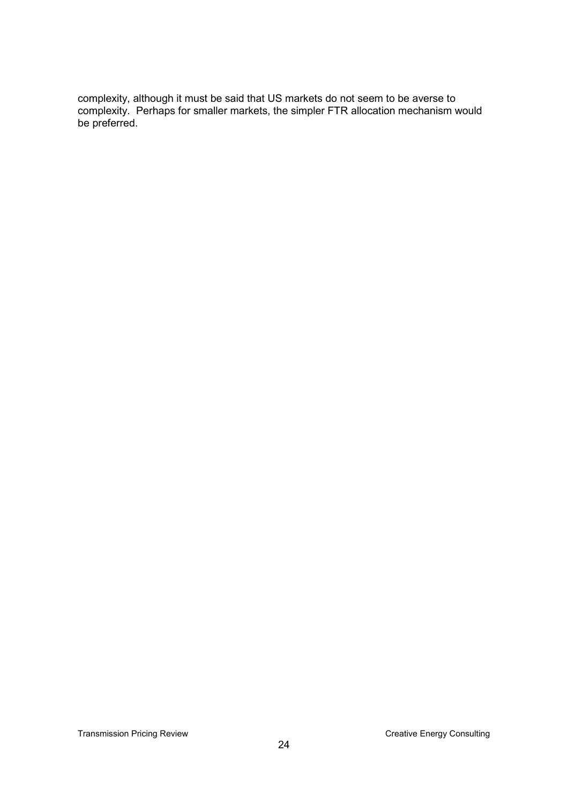complexity, although it must be said that US markets do not seem to be averse to complexity. Perhaps for smaller markets, the simpler FTR allocation mechanism would be preferred.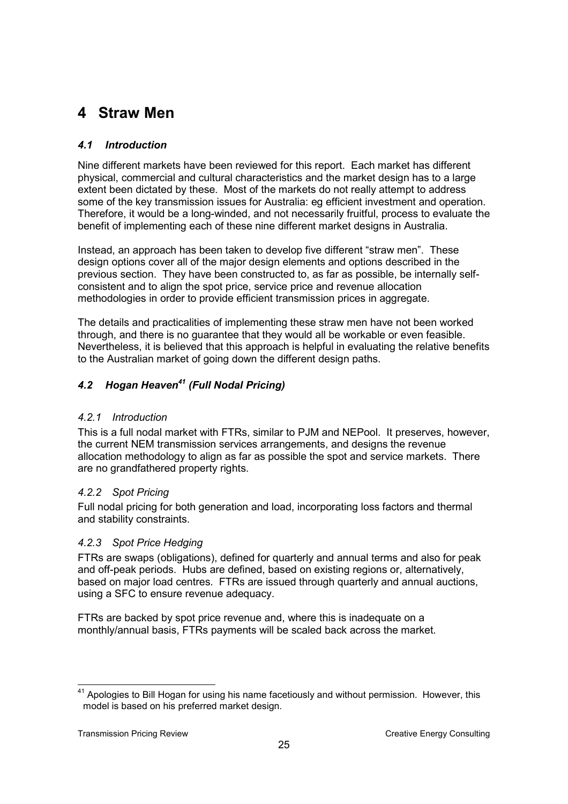# **4 Straw Men**

# *4.1 Introduction*

Nine different markets have been reviewed for this report. Each market has different physical, commercial and cultural characteristics and the market design has to a large extent been dictated by these. Most of the markets do not really attempt to address some of the key transmission issues for Australia: eg efficient investment and operation. Therefore, it would be a long-winded, and not necessarily fruitful, process to evaluate the benefit of implementing each of these nine different market designs in Australia.

Instead, an approach has been taken to develop five different "straw men". These design options cover all of the major design elements and options described in the previous section. They have been constructed to, as far as possible, be internally selfconsistent and to align the spot price, service price and revenue allocation methodologies in order to provide efficient transmission prices in aggregate.

The details and practicalities of implementing these straw men have not been worked through, and there is no guarantee that they would all be workable or even feasible. Nevertheless, it is believed that this approach is helpful in evaluating the relative benefits to the Australian market of going down the different design paths.

# *4.2 Hogan Heaven41 (Full Nodal Pricing)*

# *4.2.1 Introduction*

This is a full nodal market with FTRs, similar to PJM and NEPool. It preserves, however, the current NEM transmission services arrangements, and designs the revenue allocation methodology to align as far as possible the spot and service markets. There are no grandfathered property rights.

# *4.2.2 Spot Pricing*

Full nodal pricing for both generation and load, incorporating loss factors and thermal and stability constraints.

# *4.2.3 Spot Price Hedging*

FTRs are swaps (obligations), defined for quarterly and annual terms and also for peak and off-peak periods. Hubs are defined, based on existing regions or, alternatively, based on major load centres. FTRs are issued through quarterly and annual auctions, using a SFC to ensure revenue adequacy.

FTRs are backed by spot price revenue and, where this is inadequate on a monthly/annual basis, FTRs payments will be scaled back across the market.

 Apologies to Bill Hogan for using his name facetiously and without permission. However, this model is based on his preferred market design.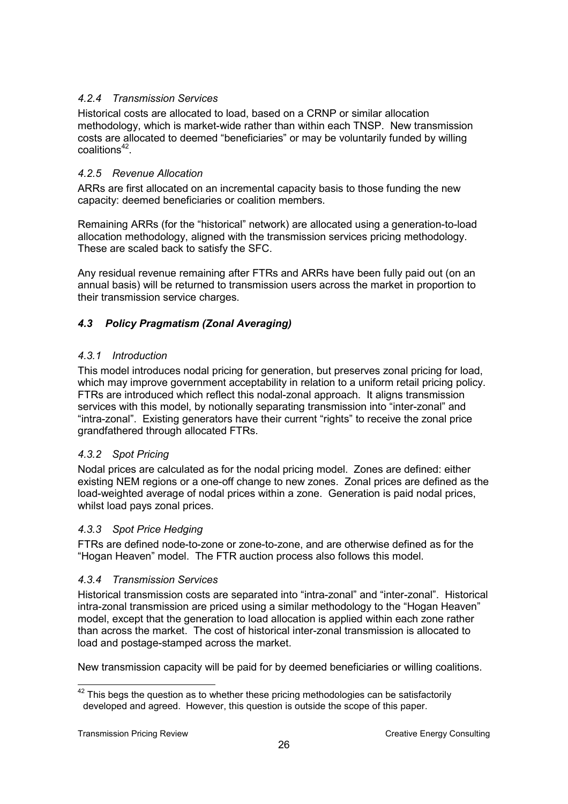#### *4.2.4 Transmission Services*

Historical costs are allocated to load, based on a CRNP or similar allocation methodology, which is market-wide rather than within each TNSP. New transmission costs are allocated to deemed "beneficiaries" or may be voluntarily funded by willing  $\text{coalitions}^{42}$ .

#### *4.2.5 Revenue Allocation*

ARRs are first allocated on an incremental capacity basis to those funding the new capacity: deemed beneficiaries or coalition members.

Remaining ARRs (for the "historical" network) are allocated using a generation-to-load allocation methodology, aligned with the transmission services pricing methodology. These are scaled back to satisfy the SFC.

Any residual revenue remaining after FTRs and ARRs have been fully paid out (on an annual basis) will be returned to transmission users across the market in proportion to their transmission service charges.

#### *4.3 Policy Pragmatism (Zonal Averaging)*

#### *4.3.1 Introduction*

This model introduces nodal pricing for generation, but preserves zonal pricing for load, which may improve government acceptability in relation to a uniform retail pricing policy. FTRs are introduced which reflect this nodal-zonal approach. It aligns transmission services with this model, by notionally separating transmission into "inter-zonal" and "intra-zonal". Existing generators have their current "rights" to receive the zonal price grandfathered through allocated FTRs.

#### *4.3.2 Spot Pricing*

Nodal prices are calculated as for the nodal pricing model. Zones are defined: either existing NEM regions or a one-off change to new zones. Zonal prices are defined as the load-weighted average of nodal prices within a zone. Generation is paid nodal prices, whilst load pays zonal prices.

#### *4.3.3 Spot Price Hedging*

FTRs are defined node-to-zone or zone-to-zone, and are otherwise defined as for the "Hogan Heaven" model. The FTR auction process also follows this model.

#### *4.3.4 Transmission Services*

Historical transmission costs are separated into "intra-zonal" and "inter-zonal". Historical intra-zonal transmission are priced using a similar methodology to the "Hogan Heaven" model, except that the generation to load allocation is applied within each zone rather than across the market. The cost of historical inter-zonal transmission is allocated to load and postage-stamped across the market.

New transmission capacity will be paid for by deemed beneficiaries or willing coalitions.

  $42$  This begs the question as to whether these pricing methodologies can be satisfactorily developed and agreed. However, this question is outside the scope of this paper.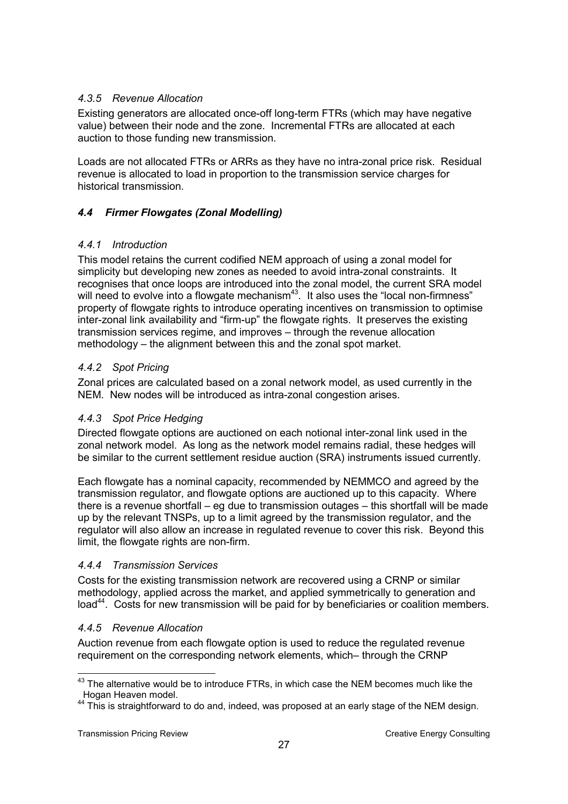#### *4.3.5 Revenue Allocation*

Existing generators are allocated once-off long-term FTRs (which may have negative value) between their node and the zone. Incremental FTRs are allocated at each auction to those funding new transmission.

Loads are not allocated FTRs or ARRs as they have no intra-zonal price risk. Residual revenue is allocated to load in proportion to the transmission service charges for historical transmission.

#### *4.4 Firmer Flowgates (Zonal Modelling)*

#### *4.4.1 Introduction*

This model retains the current codified NEM approach of using a zonal model for simplicity but developing new zones as needed to avoid intra-zonal constraints. It recognises that once loops are introduced into the zonal model, the current SRA model will need to evolve into a flowgate mechanism<sup>43</sup>. It also uses the "local non-firmness" property of flowgate rights to introduce operating incentives on transmission to optimise inter-zonal link availability and "firm-up" the flowgate rights. It preserves the existing transmission services regime, and improves – through the revenue allocation methodology – the alignment between this and the zonal spot market.

#### *4.4.2 Spot Pricing*

Zonal prices are calculated based on a zonal network model, as used currently in the NEM. New nodes will be introduced as intra-zonal congestion arises.

#### *4.4.3 Spot Price Hedging*

Directed flowgate options are auctioned on each notional inter-zonal link used in the zonal network model. As long as the network model remains radial, these hedges will be similar to the current settlement residue auction (SRA) instruments issued currently.

Each flowgate has a nominal capacity, recommended by NEMMCO and agreed by the transmission regulator, and flowgate options are auctioned up to this capacity. Where there is a revenue shortfall – eg due to transmission outages – this shortfall will be made up by the relevant TNSPs, up to a limit agreed by the transmission regulator, and the regulator will also allow an increase in regulated revenue to cover this risk. Beyond this limit, the flowgate rights are non-firm.

#### *4.4.4 Transmission Services*

Costs for the existing transmission network are recovered using a CRNP or similar methodology, applied across the market, and applied symmetrically to generation and load<sup>44</sup>. Costs for new transmission will be paid for by beneficiaries or coalition members.

#### *4.4.5 Revenue Allocation*

Auction revenue from each flowgate option is used to reduce the regulated revenue requirement on the corresponding network elements, which– through the CRNP

 $\overline{\phantom{a}}$  $^{43}$  The alternative would be to introduce FTRs, in which case the NEM becomes much like the Hogan Heaven model.

<sup>&</sup>lt;sup>44</sup> This is straightforward to do and, indeed, was proposed at an early stage of the NEM design.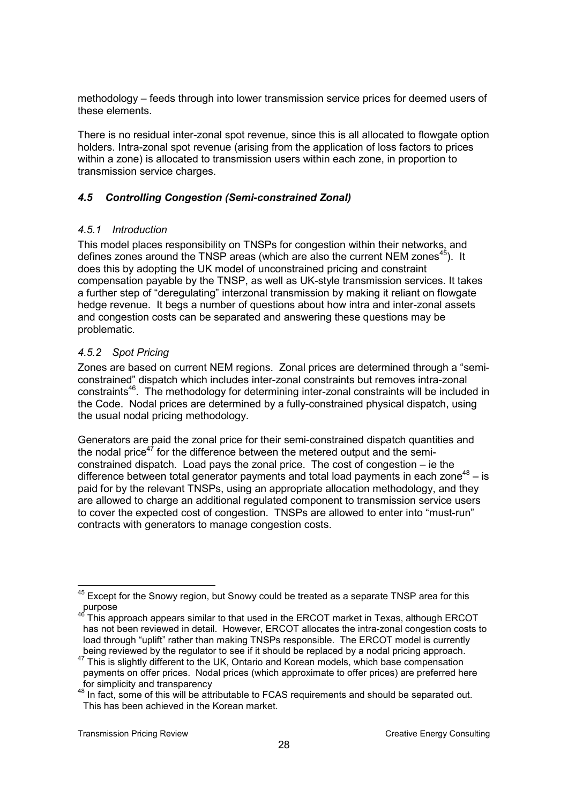methodology – feeds through into lower transmission service prices for deemed users of these elements.

There is no residual inter-zonal spot revenue, since this is all allocated to flowgate option holders. Intra-zonal spot revenue (arising from the application of loss factors to prices within a zone) is allocated to transmission users within each zone, in proportion to transmission service charges.

#### *4.5 Controlling Congestion (Semi-constrained Zonal)*

#### *4.5.1 Introduction*

This model places responsibility on TNSPs for congestion within their networks, and defines zones around the TNSP areas (which are also the current NEM zones<sup>45</sup>). It does this by adopting the UK model of unconstrained pricing and constraint compensation payable by the TNSP, as well as UK-style transmission services. It takes a further step of "deregulating" interzonal transmission by making it reliant on flowgate hedge revenue. It begs a number of questions about how intra and inter-zonal assets and congestion costs can be separated and answering these questions may be problematic.

#### *4.5.2 Spot Pricing*

Zones are based on current NEM regions. Zonal prices are determined through a "semiconstrained" dispatch which includes inter-zonal constraints but removes intra-zonal constraints46. The methodology for determining inter-zonal constraints will be included in the Code. Nodal prices are determined by a fully-constrained physical dispatch, using the usual nodal pricing methodology.

Generators are paid the zonal price for their semi-constrained dispatch quantities and the nodal price<sup>47</sup> for the difference between the metered output and the semiconstrained dispatch. Load pays the zonal price. The cost of congestion – ie the difference between total generator payments and total load payments in each zone<sup>48</sup> – is paid for by the relevant TNSPs, using an appropriate allocation methodology, and they are allowed to charge an additional regulated component to transmission service users to cover the expected cost of congestion. TNSPs are allowed to enter into "must-run" contracts with generators to manage congestion costs.

  $45$  Except for the Snowy region, but Snowy could be treated as a separate TNSP area for this  $p$ urpose

<sup>46</sup> This approach appears similar to that used in the ERCOT market in Texas, although ERCOT has not been reviewed in detail. However, ERCOT allocates the intra-zonal congestion costs to load through "uplift" rather than making TNSPs responsible. The ERCOT model is currently being reviewed by the regulator to see if it should be replaced by a nodal pricing approach.

 $47$  This is slightly different to the UK, Ontario and Korean models, which base compensation payments on offer prices. Nodal prices (which approximate to offer prices) are preferred here for simplicity and transparency

<sup>48</sup> In fact, some of this will be attributable to FCAS requirements and should be separated out. This has been achieved in the Korean market.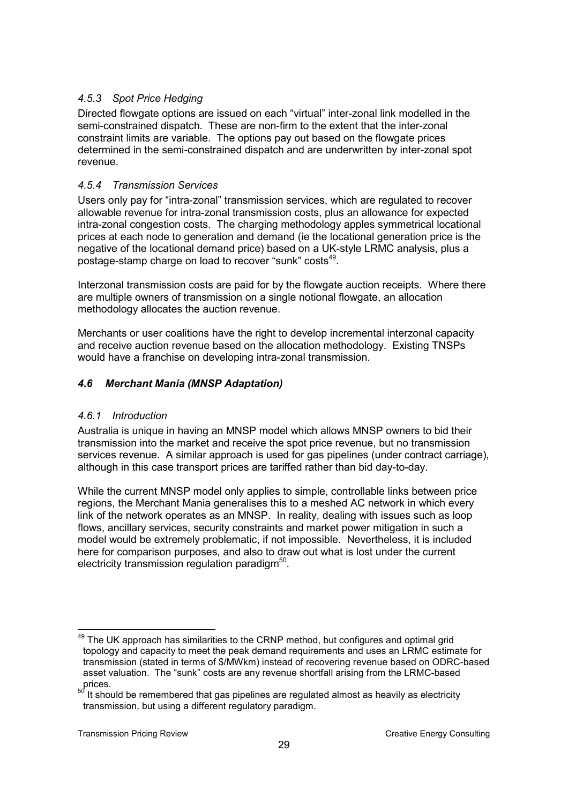#### *4.5.3 Spot Price Hedging*

Directed flowgate options are issued on each "virtual" inter-zonal link modelled in the semi-constrained dispatch. These are non-firm to the extent that the inter-zonal constraint limits are variable. The options pay out based on the flowgate prices determined in the semi-constrained dispatch and are underwritten by inter-zonal spot revenue.

#### *4.5.4 Transmission Services*

Users only pay for "intra-zonal" transmission services, which are regulated to recover allowable revenue for intra-zonal transmission costs, plus an allowance for expected intra-zonal congestion costs. The charging methodology apples symmetrical locational prices at each node to generation and demand (ie the locational generation price is the negative of the locational demand price) based on a UK-style LRMC analysis, plus a postage-stamp charge on load to recover "sunk" costs<sup>49</sup>.

Interzonal transmission costs are paid for by the flowgate auction receipts. Where there are multiple owners of transmission on a single notional flowgate, an allocation methodology allocates the auction revenue.

Merchants or user coalitions have the right to develop incremental interzonal capacity and receive auction revenue based on the allocation methodology. Existing TNSPs would have a franchise on developing intra-zonal transmission.

#### *4.6 Merchant Mania (MNSP Adaptation)*

#### *4.6.1 Introduction*

Australia is unique in having an MNSP model which allows MNSP owners to bid their transmission into the market and receive the spot price revenue, but no transmission services revenue. A similar approach is used for gas pipelines (under contract carriage), although in this case transport prices are tariffed rather than bid day-to-day.

While the current MNSP model only applies to simple, controllable links between price regions, the Merchant Mania generalises this to a meshed AC network in which every link of the network operates as an MNSP. In reality, dealing with issues such as loop flows, ancillary services, security constraints and market power mitigation in such a model would be extremely problematic, if not impossible. Nevertheless, it is included here for comparison purposes, and also to draw out what is lost under the current electricity transmission regulation paradigm $50$ .

  $49$  The UK approach has similarities to the CRNP method, but configures and optimal grid topology and capacity to meet the peak demand requirements and uses an LRMC estimate for transmission (stated in terms of \$/MWkm) instead of recovering revenue based on ODRC-based asset valuation. The "sunk" costs are any revenue shortfall arising from the LRMC-based  $\frac{50}{20}$ .

It should be remembered that gas pipelines are regulated almost as heavily as electricity transmission, but using a different regulatory paradigm.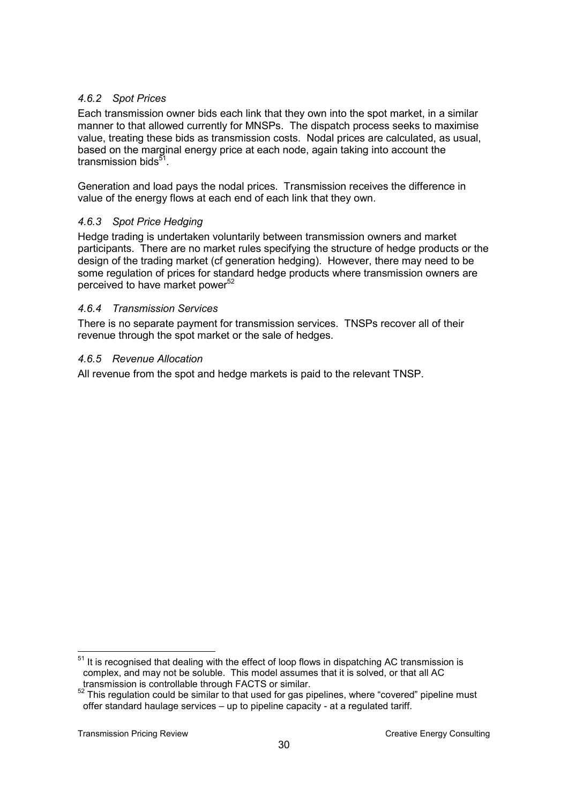#### *4.6.2 Spot Prices*

Each transmission owner bids each link that they own into the spot market, in a similar manner to that allowed currently for MNSPs. The dispatch process seeks to maximise value, treating these bids as transmission costs. Nodal prices are calculated, as usual, based on the marginal energy price at each node, again taking into account the transmission bids $^{51}$ .

Generation and load pays the nodal prices. Transmission receives the difference in value of the energy flows at each end of each link that they own.

#### *4.6.3 Spot Price Hedging*

Hedge trading is undertaken voluntarily between transmission owners and market participants. There are no market rules specifying the structure of hedge products or the design of the trading market (cf generation hedging). However, there may need to be some regulation of prices for standard hedge products where transmission owners are perceived to have market power<sup>52</sup>

#### *4.6.4 Transmission Services*

There is no separate payment for transmission services. TNSPs recover all of their revenue through the spot market or the sale of hedges.

#### *4.6.5 Revenue Allocation*

All revenue from the spot and hedge markets is paid to the relevant TNSP.

  $51$  It is recognised that dealing with the effect of loop flows in dispatching AC transmission is complex, and may not be soluble. This model assumes that it is solved, or that all AC transmission is controllable through FACTS or similar.

<sup>&</sup>lt;sup>52</sup> This regulation could be similar to that used for gas pipelines, where "covered" pipeline must offer standard haulage services – up to pipeline capacity - at a regulated tariff.

Transmission Pricing Review Creative Energy Consulting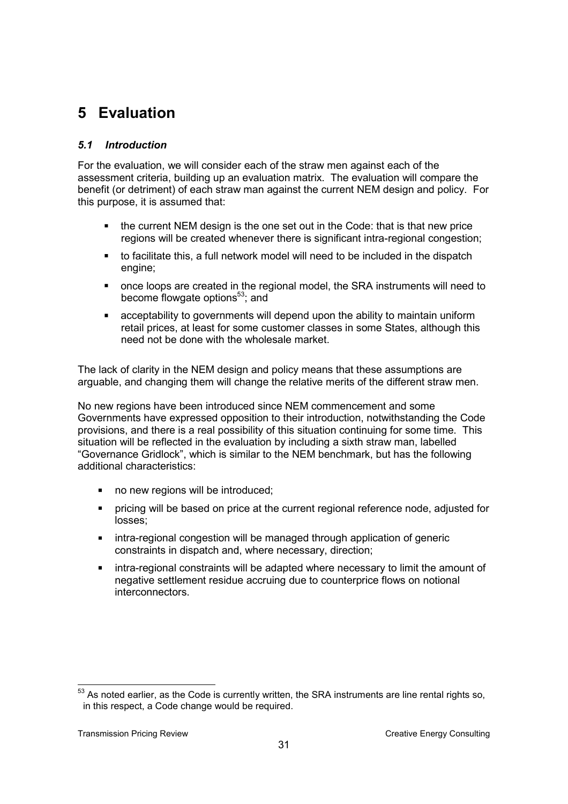# **5 Evaluation**

#### *5.1 Introduction*

For the evaluation, we will consider each of the straw men against each of the assessment criteria, building up an evaluation matrix. The evaluation will compare the benefit (or detriment) of each straw man against the current NEM design and policy. For this purpose, it is assumed that:

- the current NEM design is the one set out in the Code: that is that new price regions will be created whenever there is significant intra-regional congestion;
- to facilitate this, a full network model will need to be included in the dispatch engine;
- once loops are created in the regional model, the SRA instruments will need to become flowgate options<sup>53</sup>; and
- acceptability to governments will depend upon the ability to maintain uniform retail prices, at least for some customer classes in some States, although this need not be done with the wholesale market.

The lack of clarity in the NEM design and policy means that these assumptions are arguable, and changing them will change the relative merits of the different straw men.

No new regions have been introduced since NEM commencement and some Governments have expressed opposition to their introduction, notwithstanding the Code provisions, and there is a real possibility of this situation continuing for some time. This situation will be reflected in the evaluation by including a sixth straw man, labelled "Governance Gridlock", which is similar to the NEM benchmark, but has the following additional characteristics:

- no new regions will be introduced;
- pricing will be based on price at the current regional reference node, adjusted for losses;
- **EXTERN** intra-regional congestion will be managed through application of generic constraints in dispatch and, where necessary, direction;
- intra-regional constraints will be adapted where necessary to limit the amount of negative settlement residue accruing due to counterprice flows on notional interconnectors.

  $53$  As noted earlier, as the Code is currently written, the SRA instruments are line rental rights so, in this respect, a Code change would be required.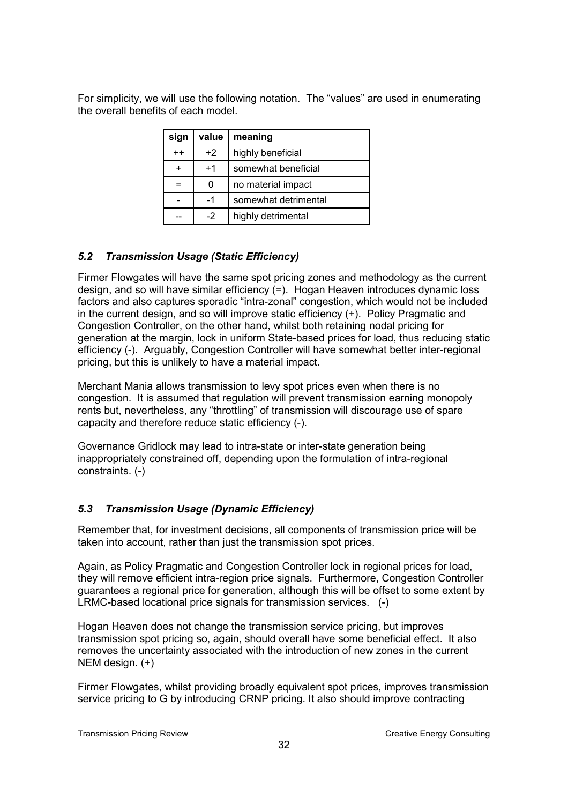For simplicity, we will use the following notation. The "values" are used in enumerating the overall benefits of each model.

| sign    | value | meaning              |
|---------|-------|----------------------|
| $^{++}$ | $+2$  | highly beneficial    |
|         | $+1$  | somewhat beneficial  |
|         | 0     | no material impact   |
|         | $-1$  | somewhat detrimental |
|         | $-2$  | highly detrimental   |

#### *5.2 Transmission Usage (Static Efficiency)*

Firmer Flowgates will have the same spot pricing zones and methodology as the current design, and so will have similar efficiency (=). Hogan Heaven introduces dynamic loss factors and also captures sporadic "intra-zonal" congestion, which would not be included in the current design, and so will improve static efficiency (+). Policy Pragmatic and Congestion Controller, on the other hand, whilst both retaining nodal pricing for generation at the margin, lock in uniform State-based prices for load, thus reducing static efficiency (-). Arguably, Congestion Controller will have somewhat better inter-regional pricing, but this is unlikely to have a material impact.

Merchant Mania allows transmission to levy spot prices even when there is no congestion. It is assumed that regulation will prevent transmission earning monopoly rents but, nevertheless, any "throttling" of transmission will discourage use of spare capacity and therefore reduce static efficiency (-).

Governance Gridlock may lead to intra-state or inter-state generation being inappropriately constrained off, depending upon the formulation of intra-regional constraints. (-)

#### *5.3 Transmission Usage (Dynamic Efficiency)*

Remember that, for investment decisions, all components of transmission price will be taken into account, rather than just the transmission spot prices.

Again, as Policy Pragmatic and Congestion Controller lock in regional prices for load, they will remove efficient intra-region price signals. Furthermore, Congestion Controller guarantees a regional price for generation, although this will be offset to some extent by LRMC-based locational price signals for transmission services. (-)

Hogan Heaven does not change the transmission service pricing, but improves transmission spot pricing so, again, should overall have some beneficial effect. It also removes the uncertainty associated with the introduction of new zones in the current NEM design. (+)

Firmer Flowgates, whilst providing broadly equivalent spot prices, improves transmission service pricing to G by introducing CRNP pricing. It also should improve contracting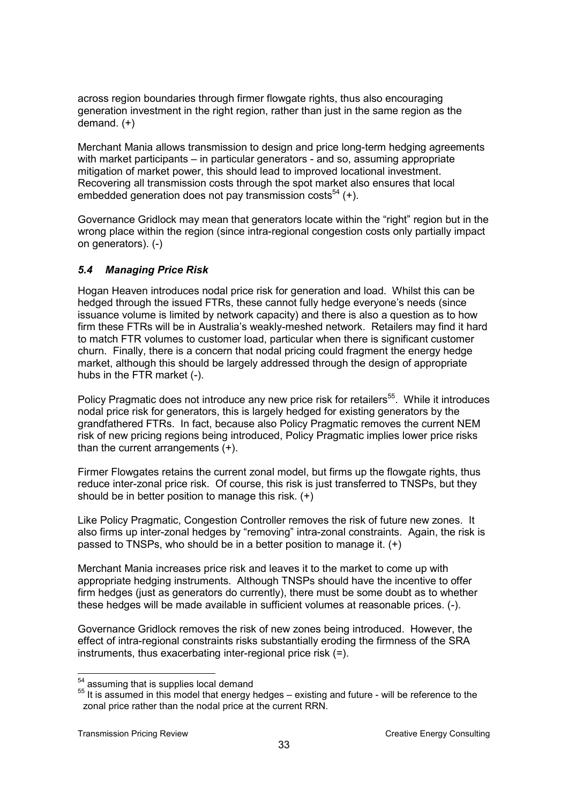across region boundaries through firmer flowgate rights, thus also encouraging generation investment in the right region, rather than just in the same region as the demand. (+)

Merchant Mania allows transmission to design and price long-term hedging agreements with market participants – in particular generators - and so, assuming appropriate mitigation of market power, this should lead to improved locational investment. Recovering all transmission costs through the spot market also ensures that local embedded generation does not pay transmission costs<sup>54</sup>  $(+)$ .

Governance Gridlock may mean that generators locate within the "right" region but in the wrong place within the region (since intra-regional congestion costs only partially impact on generators). (-)

#### *5.4 Managing Price Risk*

Hogan Heaven introduces nodal price risk for generation and load. Whilst this can be hedged through the issued FTRs, these cannot fully hedge everyone's needs (since issuance volume is limited by network capacity) and there is also a question as to how firm these FTRs will be in Australia's weakly-meshed network. Retailers may find it hard to match FTR volumes to customer load, particular when there is significant customer churn. Finally, there is a concern that nodal pricing could fragment the energy hedge market, although this should be largely addressed through the design of appropriate hubs in the FTR market (-).

Policy Pragmatic does not introduce any new price risk for retailers<sup>55</sup>. While it introduces nodal price risk for generators, this is largely hedged for existing generators by the grandfathered FTRs. In fact, because also Policy Pragmatic removes the current NEM risk of new pricing regions being introduced, Policy Pragmatic implies lower price risks than the current arrangements (+).

Firmer Flowgates retains the current zonal model, but firms up the flowgate rights, thus reduce inter-zonal price risk. Of course, this risk is just transferred to TNSPs, but they should be in better position to manage this risk. (+)

Like Policy Pragmatic, Congestion Controller removes the risk of future new zones. It also firms up inter-zonal hedges by "removing" intra-zonal constraints. Again, the risk is passed to TNSPs, who should be in a better position to manage it. (+)

Merchant Mania increases price risk and leaves it to the market to come up with appropriate hedging instruments. Although TNSPs should have the incentive to offer firm hedges (just as generators do currently), there must be some doubt as to whether these hedges will be made available in sufficient volumes at reasonable prices. (-).

Governance Gridlock removes the risk of new zones being introduced. However, the effect of intra-regional constraints risks substantially eroding the firmness of the SRA instruments, thus exacerbating inter-regional price risk (=).

<sup>54</sup> assuming that is supplies local demand

 $55$  It is assumed in this model that energy hedges – existing and future - will be reference to the zonal price rather than the nodal price at the current RRN.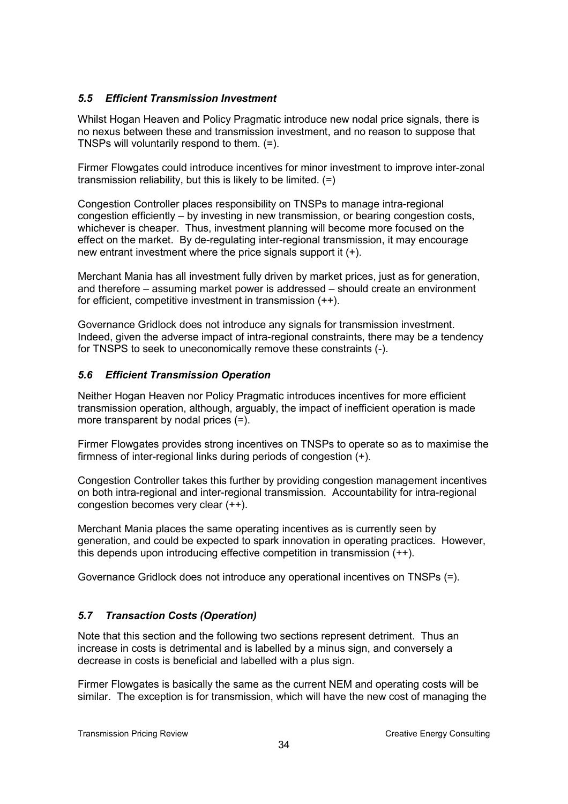#### *5.5 Efficient Transmission Investment*

Whilst Hogan Heaven and Policy Pragmatic introduce new nodal price signals, there is no nexus between these and transmission investment, and no reason to suppose that TNSPs will voluntarily respond to them. (=).

Firmer Flowgates could introduce incentives for minor investment to improve inter-zonal transmission reliability, but this is likely to be limited.  $(=)$ 

Congestion Controller places responsibility on TNSPs to manage intra-regional congestion efficiently – by investing in new transmission, or bearing congestion costs, whichever is cheaper. Thus, investment planning will become more focused on the effect on the market. By de-regulating inter-regional transmission, it may encourage new entrant investment where the price signals support it (+).

Merchant Mania has all investment fully driven by market prices, just as for generation, and therefore – assuming market power is addressed – should create an environment for efficient, competitive investment in transmission (++).

Governance Gridlock does not introduce any signals for transmission investment. Indeed, given the adverse impact of intra-regional constraints, there may be a tendency for TNSPS to seek to uneconomically remove these constraints (-).

#### *5.6 Efficient Transmission Operation*

Neither Hogan Heaven nor Policy Pragmatic introduces incentives for more efficient transmission operation, although, arguably, the impact of inefficient operation is made more transparent by nodal prices (=).

Firmer Flowgates provides strong incentives on TNSPs to operate so as to maximise the firmness of inter-regional links during periods of congestion (+).

Congestion Controller takes this further by providing congestion management incentives on both intra-regional and inter-regional transmission. Accountability for intra-regional congestion becomes very clear (++).

Merchant Mania places the same operating incentives as is currently seen by generation, and could be expected to spark innovation in operating practices. However, this depends upon introducing effective competition in transmission (++).

Governance Gridlock does not introduce any operational incentives on TNSPs (=).

#### *5.7 Transaction Costs (Operation)*

Note that this section and the following two sections represent detriment. Thus an increase in costs is detrimental and is labelled by a minus sign, and conversely a decrease in costs is beneficial and labelled with a plus sign.

Firmer Flowgates is basically the same as the current NEM and operating costs will be similar. The exception is for transmission, which will have the new cost of managing the

Transmission Pricing Review **Creative Energy Consulting** Creative Energy Consulting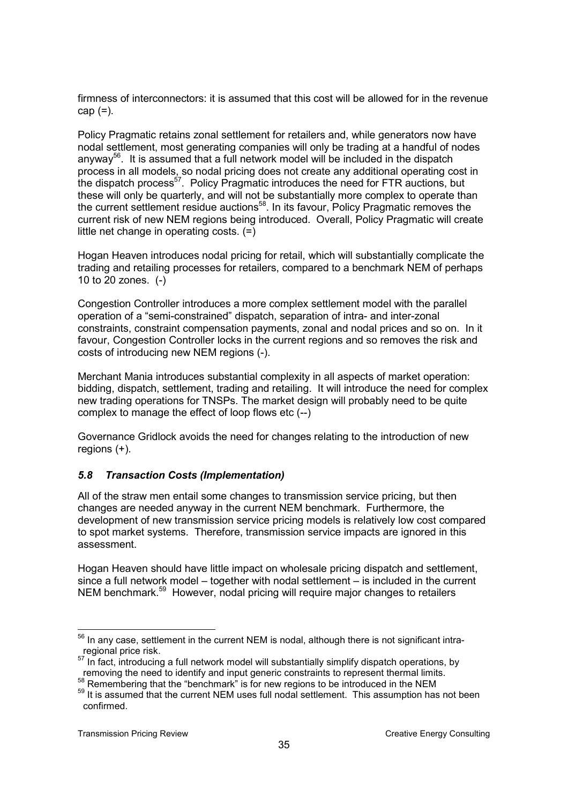firmness of interconnectors: it is assumed that this cost will be allowed for in the revenue cap $(=)$ .

Policy Pragmatic retains zonal settlement for retailers and, while generators now have nodal settlement, most generating companies will only be trading at a handful of nodes anyway<sup>56</sup>. It is assumed that a full network model will be included in the dispatch process in all models, so nodal pricing does not create any additional operating cost in the dispatch process<sup>57</sup>. Policy Pragmatic introduces the need for FTR auctions, but these will only be quarterly, and will not be substantially more complex to operate than the current settlement residue auctions<sup>58</sup>. In its favour, Policy Pragmatic removes the current risk of new NEM regions being introduced. Overall, Policy Pragmatic will create little net change in operating costs. (=)

Hogan Heaven introduces nodal pricing for retail, which will substantially complicate the trading and retailing processes for retailers, compared to a benchmark NEM of perhaps 10 to 20 zones. (-)

Congestion Controller introduces a more complex settlement model with the parallel operation of a "semi-constrained" dispatch, separation of intra- and inter-zonal constraints, constraint compensation payments, zonal and nodal prices and so on. In it favour, Congestion Controller locks in the current regions and so removes the risk and costs of introducing new NEM regions (-).

Merchant Mania introduces substantial complexity in all aspects of market operation: bidding, dispatch, settlement, trading and retailing. It will introduce the need for complex new trading operations for TNSPs. The market design will probably need to be quite complex to manage the effect of loop flows etc (--)

Governance Gridlock avoids the need for changes relating to the introduction of new regions (+).

#### *5.8 Transaction Costs (Implementation)*

All of the straw men entail some changes to transmission service pricing, but then changes are needed anyway in the current NEM benchmark. Furthermore, the development of new transmission service pricing models is relatively low cost compared to spot market systems. Therefore, transmission service impacts are ignored in this assessment.

Hogan Heaven should have little impact on wholesale pricing dispatch and settlement, since a full network model – together with nodal settlement – is included in the current NEM benchmark.<sup>59</sup> However, nodal pricing will require major changes to retailers

 $56$  In any case, settlement in the current NEM is nodal, although there is not significant intraregional price risk.

<sup>&</sup>lt;sup>57</sup> In fact, introducing a full network model will substantially simplify dispatch operations, by removing the need to identify and input generic constraints to represent thermal limits.<br><sup>58</sup> Remembering that the "benchmark" is for new regions to be introduced in the NEM

<sup>59</sup> It is assumed that the current NEM uses full nodal settlement. This assumption has not been confirmed.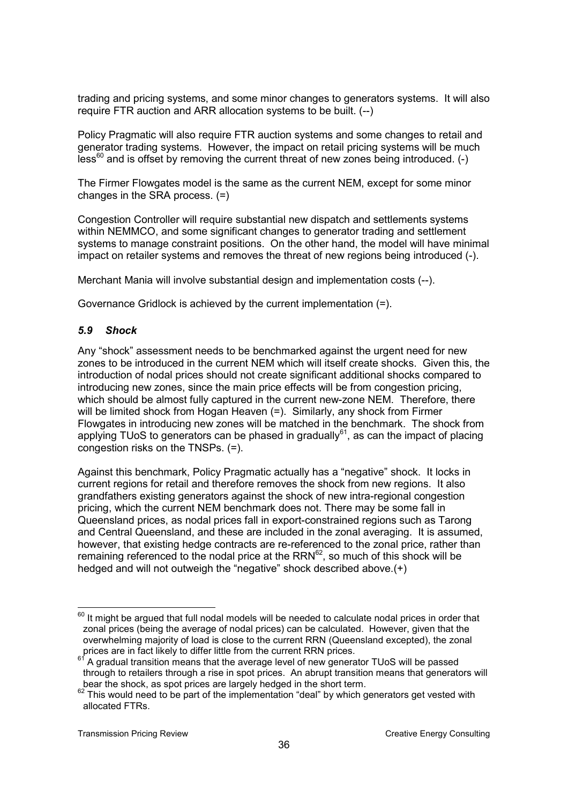trading and pricing systems, and some minor changes to generators systems. It will also require FTR auction and ARR allocation systems to be built. (--)

Policy Pragmatic will also require FTR auction systems and some changes to retail and generator trading systems. However, the impact on retail pricing systems will be much  $\text{less}^{60}$  and is offset by removing the current threat of new zones being introduced. (-)

The Firmer Flowgates model is the same as the current NEM, except for some minor changes in the SRA process. (=)

Congestion Controller will require substantial new dispatch and settlements systems within NEMMCO, and some significant changes to generator trading and settlement systems to manage constraint positions. On the other hand, the model will have minimal impact on retailer systems and removes the threat of new regions being introduced (-).

Merchant Mania will involve substantial design and implementation costs (--).

Governance Gridlock is achieved by the current implementation (=).

#### *5.9 Shock*

Any "shock" assessment needs to be benchmarked against the urgent need for new zones to be introduced in the current NEM which will itself create shocks. Given this, the introduction of nodal prices should not create significant additional shocks compared to introducing new zones, since the main price effects will be from congestion pricing, which should be almost fully captured in the current new-zone NEM. Therefore, there will be limited shock from Hogan Heaven (=). Similarly, any shock from Firmer Flowgates in introducing new zones will be matched in the benchmark. The shock from applying TUoS to generators can be phased in gradually $^{61}$ , as can the impact of placing congestion risks on the TNSPs. (=).

Against this benchmark, Policy Pragmatic actually has a "negative" shock. It locks in current regions for retail and therefore removes the shock from new regions. It also grandfathers existing generators against the shock of new intra-regional congestion pricing, which the current NEM benchmark does not. There may be some fall in Queensland prices, as nodal prices fall in export-constrained regions such as Tarong and Central Queensland, and these are included in the zonal averaging. It is assumed, however, that existing hedge contracts are re-referenced to the zonal price, rather than remaining referenced to the nodal price at the RRN<sup>62</sup>, so much of this shock will be hedged and will not outweigh the "negative" shock described above.(+)

 $\overline{a}$ 

 $^{60}$  It might be argued that full nodal models will be needed to calculate nodal prices in order that zonal prices (being the average of nodal prices) can be calculated. However, given that the overwhelming majority of load is close to the current RRN (Queensland excepted), the zonal prices are in fact likely to differ little from the current RRN prices.

 $61$  A gradual transition means that the average level of new generator TUoS will be passed through to retailers through a rise in spot prices. An abrupt transition means that generators will bear the shock, as spot prices are largely hedged in the short term.

<sup>&</sup>lt;sup>62</sup> This would need to be part of the implementation "deal" by which generators get vested with allocated FTRs.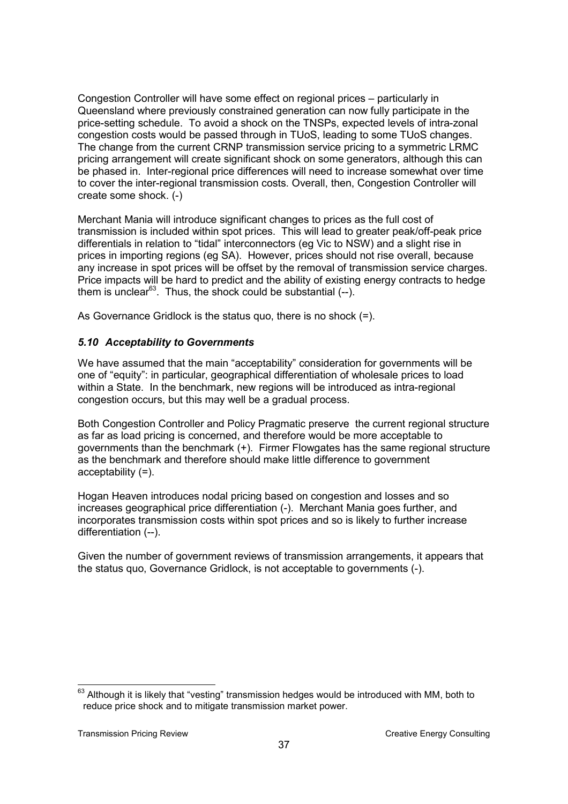Congestion Controller will have some effect on regional prices – particularly in Queensland where previously constrained generation can now fully participate in the price-setting schedule. To avoid a shock on the TNSPs, expected levels of intra-zonal congestion costs would be passed through in TUoS, leading to some TUoS changes. The change from the current CRNP transmission service pricing to a symmetric LRMC pricing arrangement will create significant shock on some generators, although this can be phased in. Inter-regional price differences will need to increase somewhat over time to cover the inter-regional transmission costs. Overall, then, Congestion Controller will create some shock. (-)

Merchant Mania will introduce significant changes to prices as the full cost of transmission is included within spot prices. This will lead to greater peak/off-peak price differentials in relation to "tidal" interconnectors (eg Vic to NSW) and a slight rise in prices in importing regions (eg SA). However, prices should not rise overall, because any increase in spot prices will be offset by the removal of transmission service charges. Price impacts will be hard to predict and the ability of existing energy contracts to hedge them is unclear<sup>63</sup>. Thus, the shock could be substantial  $(-)$ .

As Governance Gridlock is the status quo, there is no shock (=).

#### *5.10 Acceptability to Governments*

We have assumed that the main "acceptability" consideration for governments will be one of "equity": in particular, geographical differentiation of wholesale prices to load within a State. In the benchmark, new regions will be introduced as intra-regional congestion occurs, but this may well be a gradual process.

Both Congestion Controller and Policy Pragmatic preserve the current regional structure as far as load pricing is concerned, and therefore would be more acceptable to governments than the benchmark (+). Firmer Flowgates has the same regional structure as the benchmark and therefore should make little difference to government acceptability (=).

Hogan Heaven introduces nodal pricing based on congestion and losses and so increases geographical price differentiation (-). Merchant Mania goes further, and incorporates transmission costs within spot prices and so is likely to further increase differentiation (--).

Given the number of government reviews of transmission arrangements, it appears that the status quo, Governance Gridlock, is not acceptable to governments (-).

 63 Although it is likely that "vesting" transmission hedges would be introduced with MM, both to reduce price shock and to mitigate transmission market power.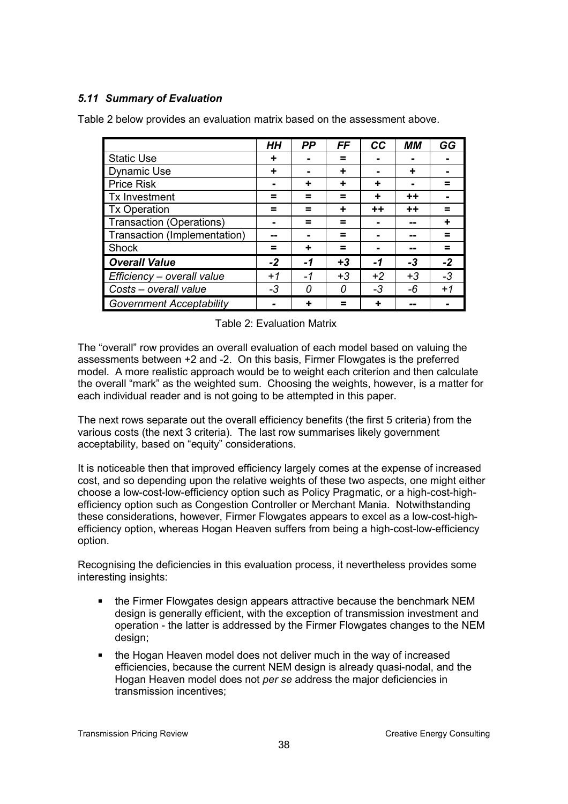#### *5.11 Summary of Evaluation*

|                                 | <b>HH</b> | <b>PP</b> | <b>FF</b> | cc              | <b>MM</b>       | GG   |
|---------------------------------|-----------|-----------|-----------|-----------------|-----------------|------|
| <b>Static Use</b>               | ٠         |           |           |                 |                 |      |
| Dynamic Use                     | ٠         |           | ÷         |                 | ÷               |      |
| <b>Price Risk</b>               |           | ÷         | ÷         | ÷               |                 |      |
| Tx Investment                   |           | ⋍         |           | ÷               | ++              |      |
| <b>Tx Operation</b>             |           |           |           | $^{\mathrm{+}}$ | $^{\mathrm{+}}$ |      |
| <b>Transaction (Operations)</b> |           |           |           |                 |                 |      |
| Transaction (Implementation)    |           |           |           |                 |                 |      |
| Shock                           |           | ÷         |           |                 |                 |      |
| <b>Overall Value</b>            | $-2$      | -1        | $+3$      | -1              | -3              | $-2$ |
| Efficiency – overall value      | $+1$      | -1        | $+3$      | $+2$            | $+3$            | -3   |
| Costs - overall value           | -3        | 0         | O         | -3              | -6              | $+1$ |
| <b>Government Acceptability</b> |           |           |           |                 |                 |      |

Table 2 below provides an evaluation matrix based on the assessment above.

Table 2: Evaluation Matrix

The "overall" row provides an overall evaluation of each model based on valuing the assessments between +2 and -2. On this basis, Firmer Flowgates is the preferred model. A more realistic approach would be to weight each criterion and then calculate the overall "mark" as the weighted sum. Choosing the weights, however, is a matter for each individual reader and is not going to be attempted in this paper.

The next rows separate out the overall efficiency benefits (the first 5 criteria) from the various costs (the next 3 criteria). The last row summarises likely government acceptability, based on "equity" considerations.

It is noticeable then that improved efficiency largely comes at the expense of increased cost, and so depending upon the relative weights of these two aspects, one might either choose a low-cost-low-efficiency option such as Policy Pragmatic, or a high-cost-highefficiency option such as Congestion Controller or Merchant Mania. Notwithstanding these considerations, however, Firmer Flowgates appears to excel as a low-cost-highefficiency option, whereas Hogan Heaven suffers from being a high-cost-low-efficiency option.

Recognising the deficiencies in this evaluation process, it nevertheless provides some interesting insights:

- the Firmer Flowgates design appears attractive because the benchmark NEM design is generally efficient, with the exception of transmission investment and operation - the latter is addressed by the Firmer Flowgates changes to the NEM design;
- the Hogan Heaven model does not deliver much in the way of increased efficiencies, because the current NEM design is already quasi-nodal, and the Hogan Heaven model does not *per se* address the major deficiencies in transmission incentives;

Transmission Pricing Review **Creative Energy Consulting** Creative Energy Consulting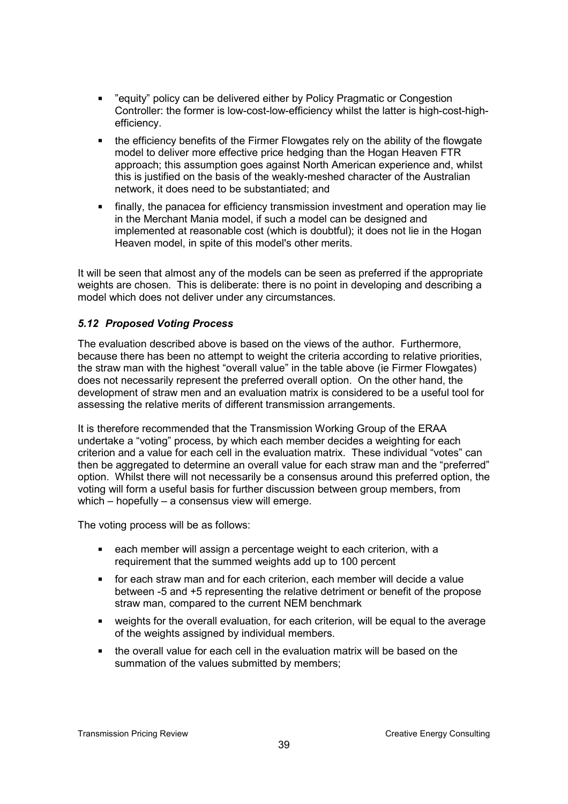- "equity" policy can be delivered either by Policy Pragmatic or Congestion Controller: the former is low-cost-low-efficiency whilst the latter is high-cost-highefficiency.
- the efficiency benefits of the Firmer Flowgates rely on the ability of the flowgate model to deliver more effective price hedging than the Hogan Heaven FTR approach; this assumption goes against North American experience and, whilst this is justified on the basis of the weakly-meshed character of the Australian network, it does need to be substantiated; and
- finally, the panacea for efficiency transmission investment and operation may lie in the Merchant Mania model, if such a model can be designed and implemented at reasonable cost (which is doubtful); it does not lie in the Hogan Heaven model, in spite of this model's other merits.

It will be seen that almost any of the models can be seen as preferred if the appropriate weights are chosen. This is deliberate: there is no point in developing and describing a model which does not deliver under any circumstances.

#### *5.12 Proposed Voting Process*

The evaluation described above is based on the views of the author. Furthermore, because there has been no attempt to weight the criteria according to relative priorities, the straw man with the highest "overall value" in the table above (ie Firmer Flowgates) does not necessarily represent the preferred overall option. On the other hand, the development of straw men and an evaluation matrix is considered to be a useful tool for assessing the relative merits of different transmission arrangements.

It is therefore recommended that the Transmission Working Group of the ERAA undertake a "voting" process, by which each member decides a weighting for each criterion and a value for each cell in the evaluation matrix. These individual "votes" can then be aggregated to determine an overall value for each straw man and the "preferred" option. Whilst there will not necessarily be a consensus around this preferred option, the voting will form a useful basis for further discussion between group members, from which – hopefully – a consensus view will emerge.

The voting process will be as follows:

- **EXEC** each member will assign a percentage weight to each criterion, with a requirement that the summed weights add up to 100 percent
- for each straw man and for each criterion, each member will decide a value between -5 and +5 representing the relative detriment or benefit of the propose straw man, compared to the current NEM benchmark
- weights for the overall evaluation, for each criterion, will be equal to the average of the weights assigned by individual members.
- the overall value for each cell in the evaluation matrix will be based on the summation of the values submitted by members;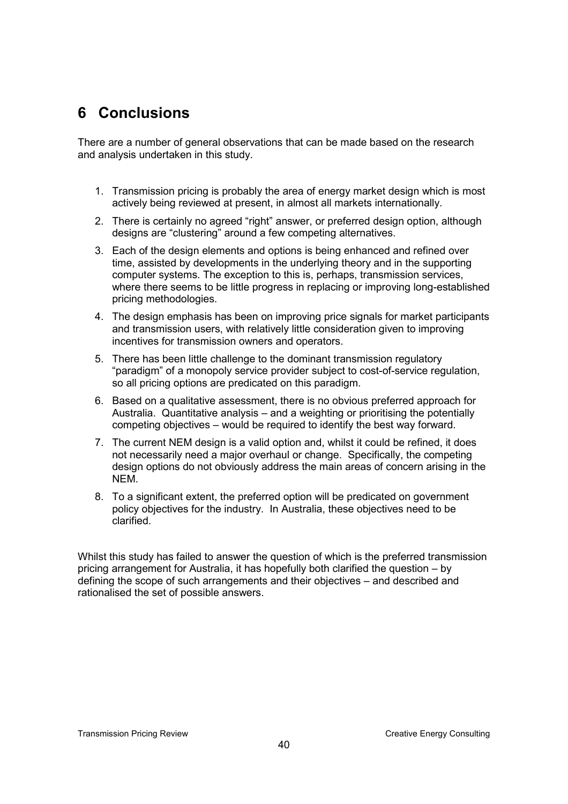# **6 Conclusions**

There are a number of general observations that can be made based on the research and analysis undertaken in this study.

- 1. Transmission pricing is probably the area of energy market design which is most actively being reviewed at present, in almost all markets internationally.
- 2. There is certainly no agreed "right" answer, or preferred design option, although designs are "clustering" around a few competing alternatives.
- 3. Each of the design elements and options is being enhanced and refined over time, assisted by developments in the underlying theory and in the supporting computer systems. The exception to this is, perhaps, transmission services, where there seems to be little progress in replacing or improving long-established pricing methodologies.
- 4. The design emphasis has been on improving price signals for market participants and transmission users, with relatively little consideration given to improving incentives for transmission owners and operators.
- 5. There has been little challenge to the dominant transmission regulatory "paradigm" of a monopoly service provider subject to cost-of-service regulation, so all pricing options are predicated on this paradigm.
- 6. Based on a qualitative assessment, there is no obvious preferred approach for Australia. Quantitative analysis – and a weighting or prioritising the potentially competing objectives – would be required to identify the best way forward.
- 7. The current NEM design is a valid option and, whilst it could be refined, it does not necessarily need a major overhaul or change. Specifically, the competing design options do not obviously address the main areas of concern arising in the NEM.
- 8. To a significant extent, the preferred option will be predicated on government policy objectives for the industry. In Australia, these objectives need to be clarified.

Whilst this study has failed to answer the question of which is the preferred transmission pricing arrangement for Australia, it has hopefully both clarified the question – by defining the scope of such arrangements and their objectives – and described and rationalised the set of possible answers.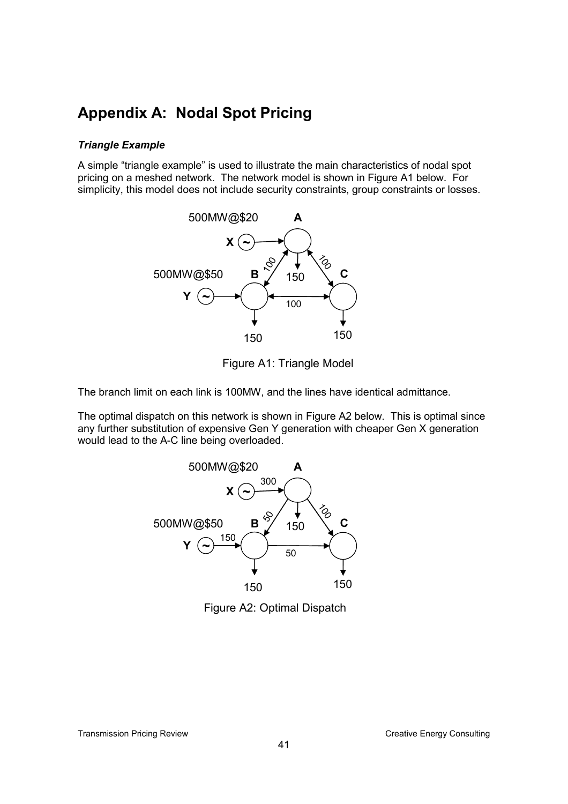## **Appendix A: Nodal Spot Pricing**

#### *Triangle Example*

A simple "triangle example" is used to illustrate the main characteristics of nodal spot pricing on a meshed network. The network model is shown in Figure A1 below. For simplicity, this model does not include security constraints, group constraints or losses.



Figure A1: Triangle Model

The branch limit on each link is 100MW, and the lines have identical admittance.

The optimal dispatch on this network is shown in Figure A2 below. This is optimal since any further substitution of expensive Gen Y generation with cheaper Gen X generation would lead to the A-C line being overloaded.



Figure A2: Optimal Dispatch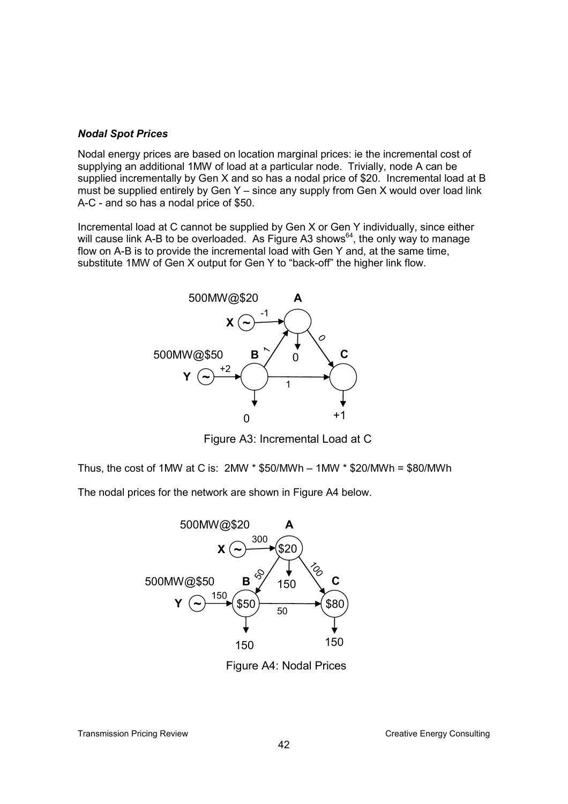#### *Nodal Spot Prices*

Nodal energy prices are based on location marginal prices: ie the incremental cost of supplying an additional 1MW of load at a particular node. Trivially, node A can be supplied incrementally by Gen X and so has a nodal price of \$20. Incremental load at B must be supplied entirely by Gen Y – since any supply from Gen X would over load link A-C - and so has a nodal price of \$50.

Incremental load at C cannot be supplied by Gen X or Gen Y individually, since either will cause link A-B to be overloaded. As Figure A3 shows $64$ , the only way to manage flow on A-B is to provide the incremental load with Gen Y and, at the same time, substitute 1MW of Gen X output for Gen Y to "back-off" the higher link flow.



Figure A3: Incremental Load at C

Thus, the cost of 1MW at C is:  $2MW * $50/MWh - 1MW * $20/MWh = $80/MWh$ 

The nodal prices for the network are shown in Figure A4 below.



Figure A4: Nodal Prices

Transmission Pricing Review Creative Energy Consulting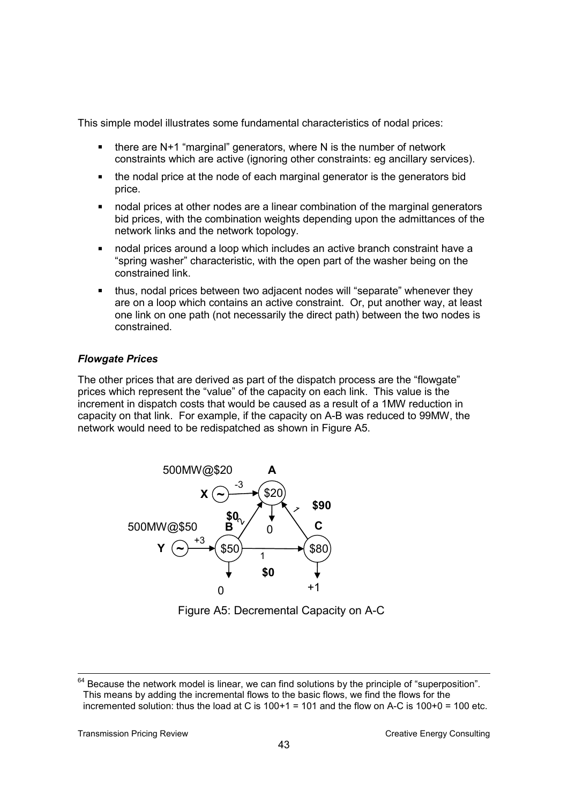This simple model illustrates some fundamental characteristics of nodal prices:

- there are N+1 "marginal" generators, where N is the number of network constraints which are active (ignoring other constraints: eg ancillary services).
- the nodal price at the node of each marginal generator is the generators bid price.
- nodal prices at other nodes are a linear combination of the marginal generators bid prices, with the combination weights depending upon the admittances of the network links and the network topology.
- nodal prices around a loop which includes an active branch constraint have a "spring washer" characteristic, with the open part of the washer being on the constrained link.
- thus, nodal prices between two adjacent nodes will "separate" whenever they are on a loop which contains an active constraint. Or, put another way, at least one link on one path (not necessarily the direct path) between the two nodes is constrained.

#### *Flowgate Prices*

The other prices that are derived as part of the dispatch process are the "flowgate" prices which represent the "value" of the capacity on each link. This value is the increment in dispatch costs that would be caused as a result of a 1MW reduction in capacity on that link. For example, if the capacity on A-B was reduced to 99MW, the network would need to be redispatched as shown in Figure A5.



Figure A5: Decremental Capacity on A-C

Transmission Pricing Review **Creative Energy Consulting** Creative Energy Consulting

Because the network model is linear, we can find solutions by the principle of "superposition". This means by adding the incremental flows to the basic flows, we find the flows for the incremented solution: thus the load at C is  $100+1 = 101$  and the flow on A-C is  $100+0 = 100$  etc.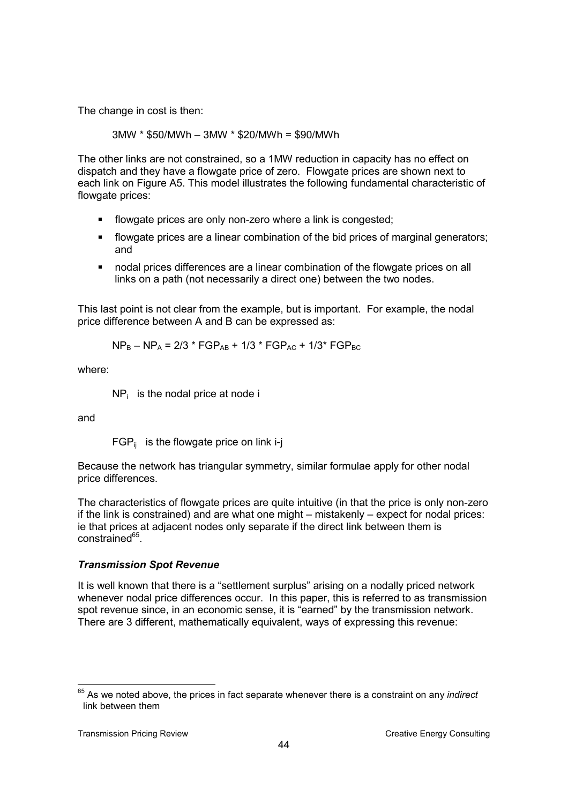The change in cost is then:

3MW \* \$50/MWh – 3MW \* \$20/MWh = \$90/MWh

The other links are not constrained, so a 1MW reduction in capacity has no effect on dispatch and they have a flowgate price of zero. Flowgate prices are shown next to each link on Figure A5. This model illustrates the following fundamental characteristic of flowgate prices:

- flowgate prices are only non-zero where a link is congested;
- flowgate prices are a linear combination of the bid prices of marginal generators; and
- nodal prices differences are a linear combination of the flowgate prices on all links on a path (not necessarily a direct one) between the two nodes.

This last point is not clear from the example, but is important. For example, the nodal price difference between A and B can be expressed as:

$$
NP_B - NP_A = 2/3 * FGP_{AB} + 1/3 * FGP_{AC} + 1/3 * FGP_{BC}
$$

where:

NP<sub>i</sub> is the nodal price at node i

and

 $FGP_{ii}$  is the flowgate price on link i-j

Because the network has triangular symmetry, similar formulae apply for other nodal price differences.

The characteristics of flowgate prices are quite intuitive (in that the price is only non-zero if the link is constrained) and are what one might – mistakenly – expect for nodal prices: ie that prices at adjacent nodes only separate if the direct link between them is  $const$ rained $65$ .

#### *Transmission Spot Revenue*

It is well known that there is a "settlement surplus" arising on a nodally priced network whenever nodal price differences occur. In this paper, this is referred to as transmission spot revenue since, in an economic sense, it is "earned" by the transmission network. There are 3 different, mathematically equivalent, ways of expressing this revenue:

 65 As we noted above, the prices in fact separate whenever there is a constraint on any *indirect* link between them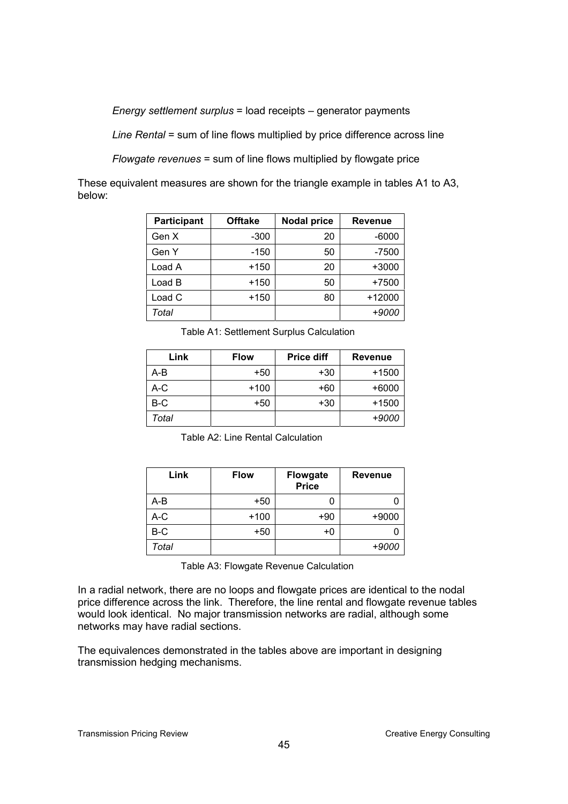*Energy settlement surplus* = load receipts – generator payments

*Line Rental* = sum of line flows multiplied by price difference across line

*Flowgate revenues* = sum of line flows multiplied by flowgate price

These equivalent measures are shown for the triangle example in tables A1 to A3, below:

| Participant | <b>Offtake</b> | <b>Nodal price</b> | <b>Revenue</b> |
|-------------|----------------|--------------------|----------------|
| Gen X       | $-300$         | 20                 | $-6000$        |
| Gen Y       | $-150$         | 50                 | -7500          |
| Load A      | $+150$         | 20                 | $+3000$        |
| Load B      | $+150$         | 50                 | +7500          |
| Load C      | $+150$         | 80                 | +12000         |
| Total       |                |                    | +9000          |

Table A1: Settlement Surplus Calculation

| Link  | <b>Flow</b> | <b>Price diff</b> | <b>Revenue</b> |
|-------|-------------|-------------------|----------------|
| A-B   | $+50$       | $+30$             | $+1500$        |
| A-C   | $+100$      | $+60$             | $+6000$        |
| $B-C$ | $+50$       | $+30$             | $+1500$        |
| Total |             |                   | +9000          |

Table A2: Line Rental Calculation

| Link  | <b>Flow</b> | <b>Flowgate</b><br><b>Price</b> | <b>Revenue</b> |
|-------|-------------|---------------------------------|----------------|
| A-B   | $+50$       |                                 |                |
| A-C   | $+100$      | $+90$                           | $+9000$        |
| $B-C$ | $+50$       | +0                              |                |
| Total |             |                                 | +9000          |

Table A3: Flowgate Revenue Calculation

In a radial network, there are no loops and flowgate prices are identical to the nodal price difference across the link. Therefore, the line rental and flowgate revenue tables would look identical. No major transmission networks are radial, although some networks may have radial sections.

The equivalences demonstrated in the tables above are important in designing transmission hedging mechanisms.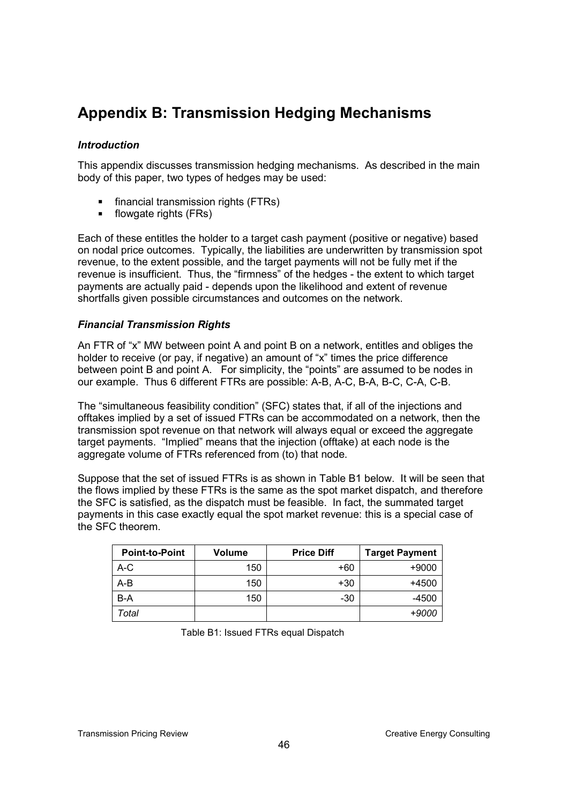# **Appendix B: Transmission Hedging Mechanisms**

#### *Introduction*

This appendix discusses transmission hedging mechanisms. As described in the main body of this paper, two types of hedges may be used:

- financial transmission rights (FTRs)
- **flowgate rights (FRs)**

Each of these entitles the holder to a target cash payment (positive or negative) based on nodal price outcomes. Typically, the liabilities are underwritten by transmission spot revenue, to the extent possible, and the target payments will not be fully met if the revenue is insufficient. Thus, the "firmness" of the hedges - the extent to which target payments are actually paid - depends upon the likelihood and extent of revenue shortfalls given possible circumstances and outcomes on the network.

#### *Financial Transmission Rights*

An FTR of "x" MW between point A and point B on a network, entitles and obliges the holder to receive (or pay, if negative) an amount of "x" times the price difference between point B and point A. For simplicity, the "points" are assumed to be nodes in our example. Thus 6 different FTRs are possible: A-B, A-C, B-A, B-C, C-A, C-B.

The "simultaneous feasibility condition" (SFC) states that, if all of the injections and offtakes implied by a set of issued FTRs can be accommodated on a network, then the transmission spot revenue on that network will always equal or exceed the aggregate target payments. "Implied" means that the injection (offtake) at each node is the aggregate volume of FTRs referenced from (to) that node.

Suppose that the set of issued FTRs is as shown in Table B1 below. It will be seen that the flows implied by these FTRs is the same as the spot market dispatch, and therefore the SFC is satisfied, as the dispatch must be feasible. In fact, the summated target payments in this case exactly equal the spot market revenue: this is a special case of the SFC theorem.

| <b>Point-to-Point</b> | <b>Volume</b> | <b>Price Diff</b> | <b>Target Payment</b> |
|-----------------------|---------------|-------------------|-----------------------|
| A-C                   | 150           | +60               | $+9000$               |
| A-B                   | 150           | $+30$             | +4500                 |
| B-A                   | 150           | $-30$             | -4500                 |
| Total                 |               |                   | +9000                 |

Table B1: Issued FTRs equal Dispatch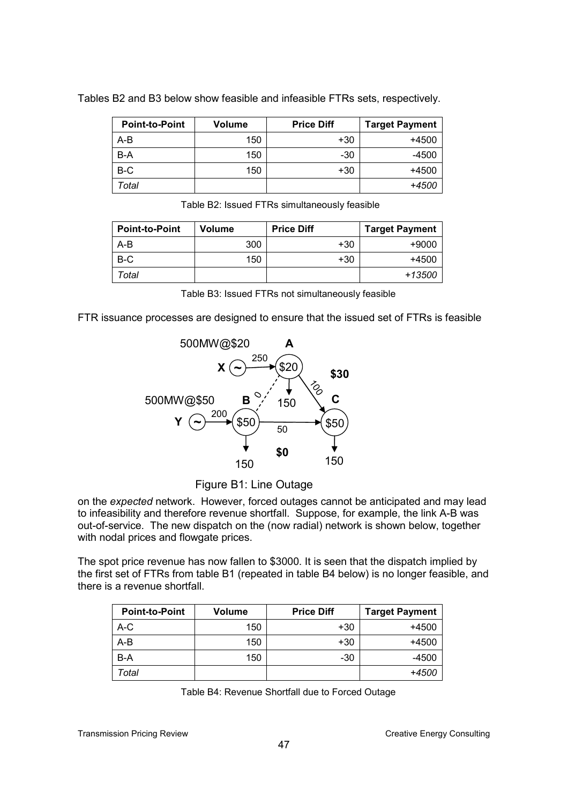| <b>Point-to-Point</b> | <b>Volume</b> | <b>Price Diff</b> | <b>Target Payment</b> |
|-----------------------|---------------|-------------------|-----------------------|
| A-B                   | 150           | $+30$             | +4500                 |
| B-A                   | 150           | -30               | -4500                 |
| $B-C$                 | 150           | $+30$             | +4500                 |
| Total                 |               |                   | +450C                 |

Tables B2 and B3 below show feasible and infeasible FTRs sets, respectively.

Table B2: Issued FTRs simultaneously feasible

| <b>Point-to-Point</b> | <b>Volume</b> | <b>Price Diff</b> | <b>Target Payment</b> |
|-----------------------|---------------|-------------------|-----------------------|
| A-B                   | 300           | $+30$             | +9000                 |
| $B-C$                 | 150           | +30               | +4500                 |
| otal"                 |               |                   | +13500                |

Table B3: Issued FTRs not simultaneously feasible

FTR issuance processes are designed to ensure that the issued set of FTRs is feasible



Figure B1: Line Outage

on the *expected* network. However, forced outages cannot be anticipated and may lead to infeasibility and therefore revenue shortfall. Suppose, for example, the link A-B was out-of-service. The new dispatch on the (now radial) network is shown below, together with nodal prices and flowgate prices.

The spot price revenue has now fallen to \$3000. It is seen that the dispatch implied by the first set of FTRs from table B1 (repeated in table B4 below) is no longer feasible, and there is a revenue shortfall.

| <b>Point-to-Point</b> | <b>Volume</b> | <b>Price Diff</b> | <b>Target Payment</b> |
|-----------------------|---------------|-------------------|-----------------------|
| A-C                   | 150           | $+30$             | $+4500$               |
| $A-B$                 | 150           | $+30$             | +4500                 |
| B-A                   | 150           | -30               | -4500                 |
| Total                 |               |                   | +4500                 |

Transmission Pricing Review Creative Energy Consulting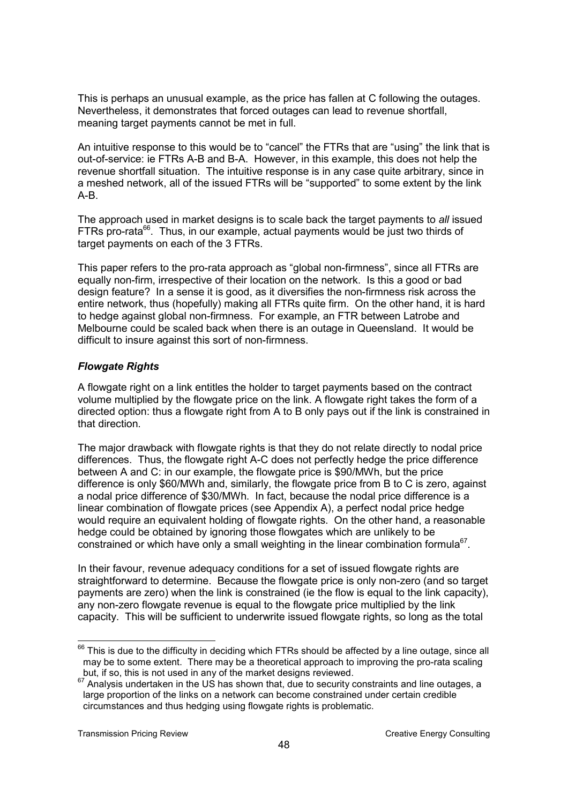This is perhaps an unusual example, as the price has fallen at C following the outages. Nevertheless, it demonstrates that forced outages can lead to revenue shortfall, meaning target payments cannot be met in full.

An intuitive response to this would be to "cancel" the FTRs that are "using" the link that is out-of-service: ie FTRs A-B and B-A. However, in this example, this does not help the revenue shortfall situation. The intuitive response is in any case quite arbitrary, since in a meshed network, all of the issued FTRs will be "supported" to some extent by the link A-B.

The approach used in market designs is to scale back the target payments to *all* issued FTRs pro-rata<sup>66</sup>. Thus, in our example, actual payments would be just two thirds of target payments on each of the 3 FTRs.

This paper refers to the pro-rata approach as "global non-firmness", since all FTRs are equally non-firm, irrespective of their location on the network. Is this a good or bad design feature? In a sense it is good, as it diversifies the non-firmness risk across the entire network, thus (hopefully) making all FTRs quite firm. On the other hand, it is hard to hedge against global non-firmness. For example, an FTR between Latrobe and Melbourne could be scaled back when there is an outage in Queensland. It would be difficult to insure against this sort of non-firmness.

#### *Flowgate Rights*

A flowgate right on a link entitles the holder to target payments based on the contract volume multiplied by the flowgate price on the link. A flowgate right takes the form of a directed option: thus a flowgate right from A to B only pays out if the link is constrained in that direction.

The major drawback with flowgate rights is that they do not relate directly to nodal price differences. Thus, the flowgate right A-C does not perfectly hedge the price difference between A and C: in our example, the flowgate price is \$90/MWh, but the price difference is only \$60/MWh and, similarly, the flowgate price from B to C is zero, against a nodal price difference of \$30/MWh. In fact, because the nodal price difference is a linear combination of flowgate prices (see Appendix A), a perfect nodal price hedge would require an equivalent holding of flowgate rights. On the other hand, a reasonable hedge could be obtained by ignoring those flowgates which are unlikely to be constrained or which have only a small weighting in the linear combination formula<sup>67</sup>.

In their favour, revenue adequacy conditions for a set of issued flowgate rights are straightforward to determine. Because the flowgate price is only non-zero (and so target payments are zero) when the link is constrained (ie the flow is equal to the link capacity), any non-zero flowgate revenue is equal to the flowgate price multiplied by the link capacity. This will be sufficient to underwrite issued flowgate rights, so long as the total

 $\overline{a}$  $^{66}$  This is due to the difficulty in deciding which FTRs should be affected by a line outage, since all may be to some extent. There may be a theoretical approach to improving the pro-rata scaling but, if so, this is not used in any of the market designs reviewed.

<sup>67</sup> Analysis undertaken in the US has shown that, due to security constraints and line outages, a large proportion of the links on a network can become constrained under certain credible circumstances and thus hedging using flowgate rights is problematic.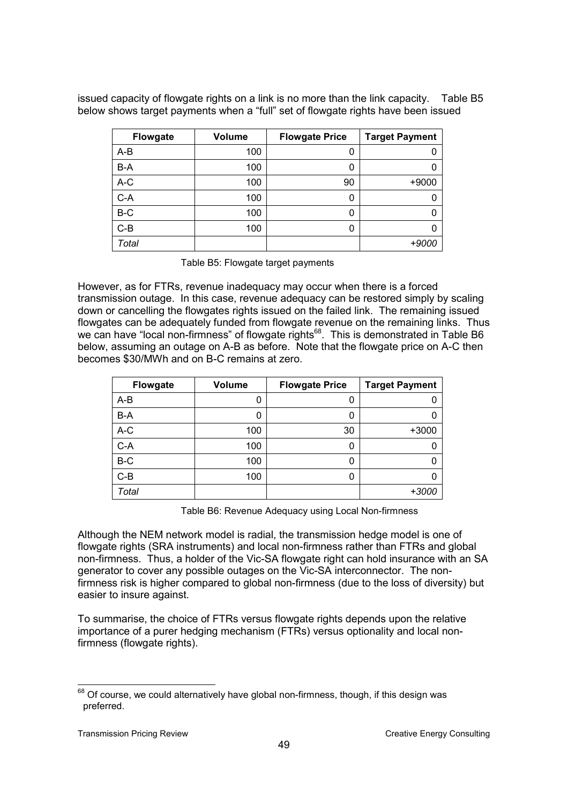issued capacity of flowgate rights on a link is no more than the link capacity. Table B5 below shows target payments when a "full" set of flowgate rights have been issued

| <b>Flowgate</b> | <b>Volume</b> | <b>Flowgate Price</b> | <b>Target Payment</b> |
|-----------------|---------------|-----------------------|-----------------------|
| A-B             | 100           | 0                     |                       |
| B-A             | 100           | 0                     |                       |
| $A-C$           | 100           | 90                    | $+9000$               |
| $C-A$           | 100           | 0                     |                       |
| $B-C$           | 100           | 0                     |                       |
| $C-B$           | 100           | 0                     |                       |
| Total           |               |                       | +90                   |

Table B5: Flowgate target payments

However, as for FTRs, revenue inadequacy may occur when there is a forced transmission outage. In this case, revenue adequacy can be restored simply by scaling down or cancelling the flowgates rights issued on the failed link. The remaining issued flowgates can be adequately funded from flowgate revenue on the remaining links. Thus we can have "local non-firmness" of flowgate rights<sup>68</sup>. This is demonstrated in Table B6 below, assuming an outage on A-B as before. Note that the flowgate price on A-C then becomes \$30/MWh and on B-C remains at zero.

| Flowgate | <b>Volume</b> | <b>Flowgate Price</b> | <b>Target Payment</b> |
|----------|---------------|-----------------------|-----------------------|
| A-B      | Ω             | U                     |                       |
| B-A      | 0             | 0                     |                       |
| $A-C$    | 100           | 30                    | $+3000$               |
| $C-A$    | 100           | 0                     |                       |
| $B-C$    | 100           | 0                     |                       |
| $C-B$    | 100           | 0                     |                       |
| Total    |               |                       | +3000                 |

Table B6: Revenue Adequacy using Local Non-firmness

Although the NEM network model is radial, the transmission hedge model is one of flowgate rights (SRA instruments) and local non-firmness rather than FTRs and global non-firmness. Thus, a holder of the Vic-SA flowgate right can hold insurance with an SA generator to cover any possible outages on the Vic-SA interconnector. The nonfirmness risk is higher compared to global non-firmness (due to the loss of diversity) but easier to insure against.

To summarise, the choice of FTRs versus flowgate rights depends upon the relative importance of a purer hedging mechanism (FTRs) versus optionality and local nonfirmness (flowgate rights).

 Of course, we could alternatively have global non-firmness, though, if this design was preferred.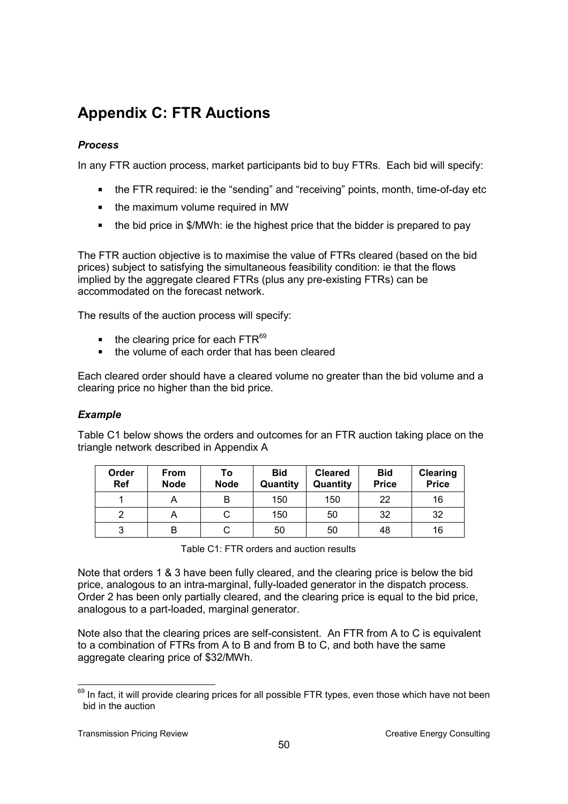# **Appendix C: FTR Auctions**

#### *Process*

In any FTR auction process, market participants bid to buy FTRs. Each bid will specify:

- the FTR required: ie the "sending" and "receiving" points, month, time-of-day etc
- the maximum volume required in MW
- the bid price in \$/MWh: ie the highest price that the bidder is prepared to pay

The FTR auction objective is to maximise the value of FTRs cleared (based on the bid prices) subject to satisfying the simultaneous feasibility condition: ie that the flows implied by the aggregate cleared FTRs (plus any pre-existing FTRs) can be accommodated on the forecast network.

The results of the auction process will specify:

- $\blacksquare$  the clearing price for each FTR $^{69}$
- the volume of each order that has been cleared

Each cleared order should have a cleared volume no greater than the bid volume and a clearing price no higher than the bid price.

#### *Example*

Table C1 below shows the orders and outcomes for an FTR auction taking place on the triangle network described in Appendix A

| Order<br>Ref | <b>From</b><br><b>Node</b> | To<br><b>Node</b> | <b>Bid</b><br>Quantity | <b>Cleared</b><br>Quantity | <b>Bid</b><br><b>Price</b> | <b>Clearing</b><br><b>Price</b> |
|--------------|----------------------------|-------------------|------------------------|----------------------------|----------------------------|---------------------------------|
|              |                            | B                 | 150                    | 150                        | 22                         | 16                              |
|              |                            |                   | 150                    | 50                         | 32                         | 32                              |
| ີ            | B                          |                   | 50                     | 50                         | 48                         | 16                              |

Table C1: FTR orders and auction results

Note that orders 1 & 3 have been fully cleared, and the clearing price is below the bid price, analogous to an intra-marginal, fully-loaded generator in the dispatch process. Order 2 has been only partially cleared, and the clearing price is equal to the bid price, analogous to a part-loaded, marginal generator.

Note also that the clearing prices are self-consistent. An FTR from A to C is equivalent to a combination of FTRs from A to B and from B to C, and both have the same aggregate clearing price of \$32/MWh.

 In fact, it will provide clearing prices for all possible FTR types, even those which have not been bid in the auction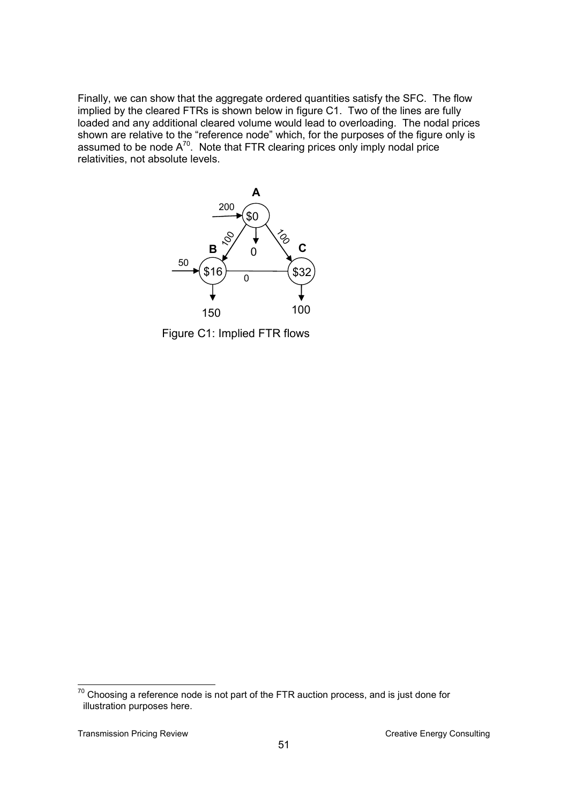Finally, we can show that the aggregate ordered quantities satisfy the SFC. The flow implied by the cleared FTRs is shown below in figure C1. Two of the lines are fully loaded and any additional cleared volume would lead to overloading. The nodal prices shown are relative to the "reference node" which, for the purposes of the figure only is assumed to be node  $A^{70}$ . Note that FTR clearing prices only imply nodal price relativities, not absolute levels.



Figure C1: Implied FTR flows

 $^{70}$  Choosing a reference node is not part of the FTR auction process, and is just done for illustration purposes here.

Transmission Pricing Review **Creative Energy Consulting** Creative Energy Consulting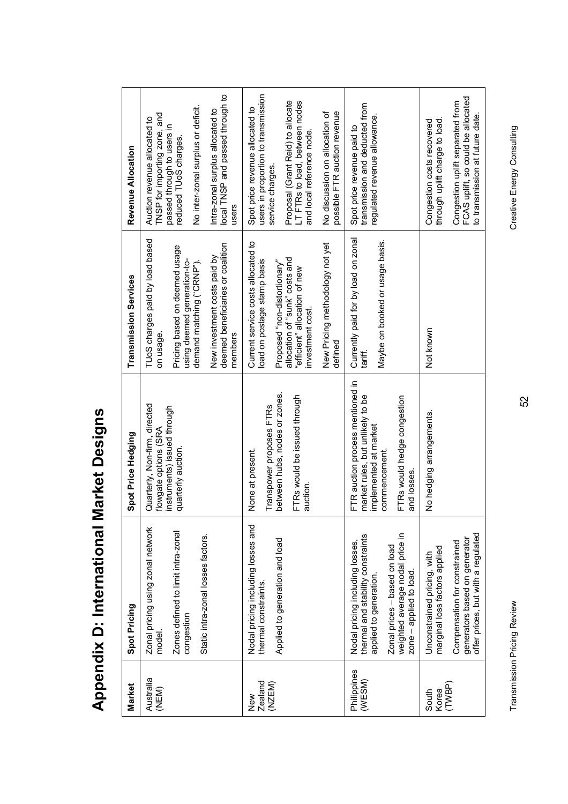| Market                | Spot Pricing                                                                                        | Spot Price Hedging                                                   | Transmission Services                                                               | Revenue Allocation                                                                                        |
|-----------------------|-----------------------------------------------------------------------------------------------------|----------------------------------------------------------------------|-------------------------------------------------------------------------------------|-----------------------------------------------------------------------------------------------------------|
| Australia<br>(NEM)    | Zonal pricing using zonal network<br>model.                                                         | Quarterly, Non-firm, directed<br>flowgate options (SRA               | TUOS charges paid by load based<br>on usage.                                        | TNSP for importing zone, and<br>Auction revenue allocated to                                              |
|                       | Zones defined to limit intra-zonal<br>congestion                                                    | instruments) issued through<br>quarterly auction.                    | Pricing based on deemed usage<br>using deemed generation-to-                        | passed through to users in<br>reduced TUoS charges.                                                       |
|                       | Static intra-zonal losses factors.                                                                  |                                                                      | demand matching ("CRNP").                                                           | No inter-zonal surplus or deficit.                                                                        |
|                       |                                                                                                     |                                                                      | deemed beneficiaries or coalition<br>New investment costs paid by<br>members        | local TNSP and passed through to<br>Intra-zonal surplus allocated to<br>users                             |
| Zealand<br>New        | Nodal pricing including losses and<br>thermal constraints.                                          | None at present.                                                     | Current service costs allocated to<br>load on postage stamp basis                   | users in proportion to transmission<br>Spot price revenue allocated to                                    |
| (NZEM)                | Applied to generation and load                                                                      | between hubs, nodes or zones.<br>Transpower proposes FTRs            | Proposed "non-distortionary"                                                        | service charges.                                                                                          |
|                       |                                                                                                     | FTRs would be issued through<br>auction.                             | allocation of "sunk" costs and<br>"efficient" allocation of new<br>investment cost. | Proposal (Grant Reid) to allocate<br>LT FTRs to load, between nodes<br>and local reference node.          |
|                       |                                                                                                     |                                                                      | New Pricing methodology not yet<br>defined                                          | possible FTR auction revenue<br>No discussion on allocation of                                            |
| Philippines<br>(WESM) | thermal and stability constraints<br>Nodal pricing including losses                                 | FTR auction process mentioned in<br>market rules, but unlikely to be | Currently paid for by load on zonal<br>tariff.                                      | transmission and deducted from<br>Spot price revenue paid to                                              |
|                       | applied to generation.                                                                              | implemented at market<br>commencement.                               | Maybe on booked or usage basis.                                                     | regulated revenue allowance.                                                                              |
|                       | weighted average nodal price in<br>Zonal prices - based on load<br>zone - applied to load.          | FTRs would hedge congestion<br>and losses.                           |                                                                                     |                                                                                                           |
| South<br>Korea        | marginal loss factors applied<br>Unconstrained pricing, with                                        | No hedging arrangements                                              | Not known                                                                           | through uplift charge to load<br>Congestion costs recovered                                               |
| (TWBP)                | offer prices, but with a regulated<br>generators based on generator<br>Compensation for constrained |                                                                      |                                                                                     | FCAS uplift, so could be allocated<br>to transmission at future date.<br>Congestion uplift separated from |

# Appendix D: International Market Designs **Appendix D: International Market Designs**

Transmission Pricing Review Creative Energy Consulting Transmission Pricing Review

Creative Energy Consulting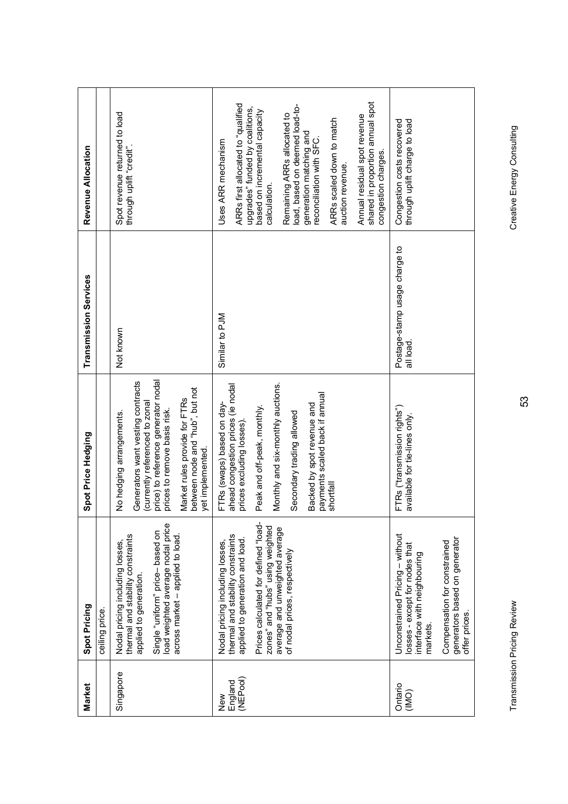| Market              | Spot Pricing                                                                                                 | Spot Price Hedging                                                                   | Transmission Services                      | Revenue Allocation                                                                      |
|---------------------|--------------------------------------------------------------------------------------------------------------|--------------------------------------------------------------------------------------|--------------------------------------------|-----------------------------------------------------------------------------------------|
|                     | ceiling price                                                                                                |                                                                                      |                                            |                                                                                         |
| Singapore           | Nodal pricing including losses,                                                                              | No hedging arrangements.                                                             | Not known                                  | Spot revenue returned to load                                                           |
|                     | thermal and stability constraints<br>applied to generation.                                                  | Generators want vesting contracts<br>currently referenced to zonal                   |                                            | through uplift "credit".                                                                |
|                     | load weighted average nodal price<br>Single "uniform" price-based on                                         | price) to reference generator nodal<br>prices to remove basis risk.                  |                                            |                                                                                         |
|                     | across market - applied to load.                                                                             | between node and "hub", but not<br>Market rules provide for FTRs<br>yet implemented. |                                            |                                                                                         |
| New                 | Nodal pricing including losses,                                                                              | FTRs (swaps) based on day-                                                           | Similar to PJM                             | Uses ARR mechanism                                                                      |
| (NEPool)<br>England | thermal and stability constraints<br>applied to generation and load.                                         | ahead congestion prices (ie nodal<br>prices excluding losses).                       |                                            | ARRs first allocated to "qualified<br>upgrades" funded by coalitions,                   |
|                     | Prices calculated for defined "load-<br>zones" and "hubs" using weighted                                     | Peak and off-peak, monthly.                                                          |                                            | based on incremental capacity<br>calculation.                                           |
|                     | average and unweighted average                                                                               | Monthly and six-monthly auctions.                                                    |                                            |                                                                                         |
|                     | of nodal prices, respectively                                                                                | Secondary trading allowed                                                            |                                            | load, based on deemed load-to-<br>Remaining ARRs allocated to                           |
|                     |                                                                                                              | payments scaled back if annual<br>Backed by spot revenue and                         |                                            | generation matching and<br>reconciliation with SFC.                                     |
|                     |                                                                                                              | shortfall                                                                            |                                            | ARRs scaled down to match<br>auction revenue.                                           |
|                     |                                                                                                              |                                                                                      |                                            | shared in proportion annual spot<br>Annual residual spot revenue<br>congestion charges. |
| Ontario<br>(MIO)    | Unconstrained Pricing - without<br>losses - except for nodes that<br>interface with neighbouring<br>markets. | FTRs ("transmission rights"<br>available for tie-lines only.                         | Postage-stamp usage charge to<br>all load. | through uplift charge to load<br>Congestion costs recovered                             |
|                     | generators based on generator<br>Compensation for constrained<br>offer prices.                               |                                                                                      |                                            |                                                                                         |

Transmission Pricing Review Creative Energy Consulting Transmission Pricing Review

Creative Energy Consulting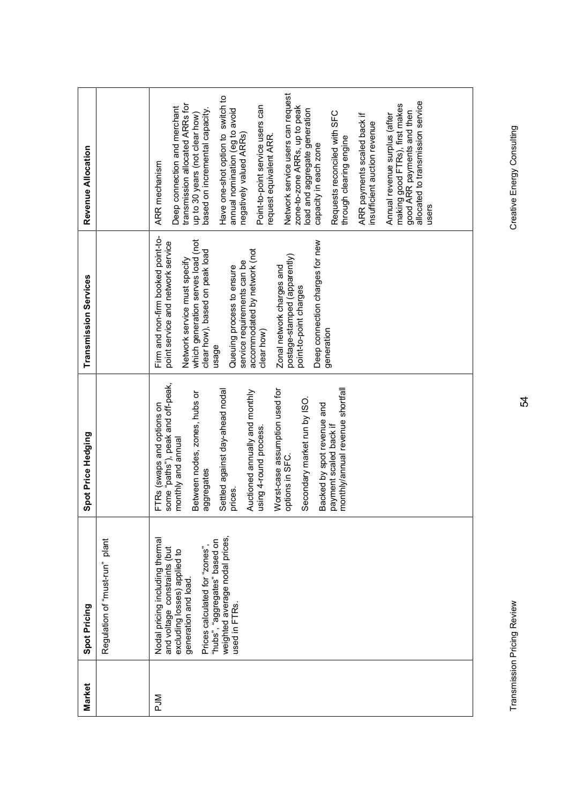| Market | Spot Pricing                                                                                                                                                                                                                                  | Spot Price Hedging                                                                                                                                                                                                                                                                                                                                                                                                              | Transmission Services                                                                                                                                                                                                                                                                                                                                                                                                                     | Revenue Allocation                                                                                                                                                                                                                                                                                                                                                                                                                                                                                                                                                                                                                                                                                                            |
|--------|-----------------------------------------------------------------------------------------------------------------------------------------------------------------------------------------------------------------------------------------------|---------------------------------------------------------------------------------------------------------------------------------------------------------------------------------------------------------------------------------------------------------------------------------------------------------------------------------------------------------------------------------------------------------------------------------|-------------------------------------------------------------------------------------------------------------------------------------------------------------------------------------------------------------------------------------------------------------------------------------------------------------------------------------------------------------------------------------------------------------------------------------------|-------------------------------------------------------------------------------------------------------------------------------------------------------------------------------------------------------------------------------------------------------------------------------------------------------------------------------------------------------------------------------------------------------------------------------------------------------------------------------------------------------------------------------------------------------------------------------------------------------------------------------------------------------------------------------------------------------------------------------|
|        | Regulation of "must-run" plant                                                                                                                                                                                                                |                                                                                                                                                                                                                                                                                                                                                                                                                                 |                                                                                                                                                                                                                                                                                                                                                                                                                                           |                                                                                                                                                                                                                                                                                                                                                                                                                                                                                                                                                                                                                                                                                                                               |
| Μd     | weighted average nodal prices,<br>Nodal pricing including thermal<br>"hubs", "aggregates" based on<br>Prices calculated for "zones",<br>and voltage constraints (but<br>excluding losses) applied to<br>generation and load.<br>used in FTRs. | some "paths"), peak and off-peak,<br>monthly/annual revenue shortfall<br>Worst-case assumption used for<br>Settled against day-ahead nodal<br>Auctioned annually and monthly<br>Between nodes, zones, hubs or<br>Secondary market run by ISO.<br>FTRs (swaps and options on<br>Backed by spot revenue and<br>payment scaled back if<br>using 4-round process.<br>monthly and annual<br>options in SFC.<br>aggregates<br>prices. | Firm and non-firm booked point-to-<br>which generation serves load (not<br>Deep connection charges for new<br>point service and network service<br>accommodated by network (not<br>clear how), based on peak load<br>postage-stamped (apparently)<br>Network service must specify<br>service requirements can be<br>Queuing process to ensure<br>Zonal network charges and<br>point-to-point charges<br>generation<br>clear how)<br>usage | Network service users can request<br>Have one-shot option to switch to<br>allocated to transmission service<br>making good FTRs), first makes<br>transmission allocated ARRs for<br>Point-to-point service users can<br>zone-to-zone ARRs, up to peak<br>Deep connection and merchant<br>load and aggregate generation<br>annual nomination (eg to avoid<br>based on incremental capacity<br>good ARR payments and then<br>Requests reconciled with SFC<br>up to 30 years (not clear how)<br>ARR payments scaled back if<br>Annual revenue surplus (after<br>insufficient auction revenue<br>negatively valued ARRs)<br>request equivalent ARR.<br>through clearing engine<br>capacity in each zone<br>ARR mechanism<br>users |

Creative Energy Consulting

54

Transmission Pricing Review Creative Energy Consulting Transmission Pricing Review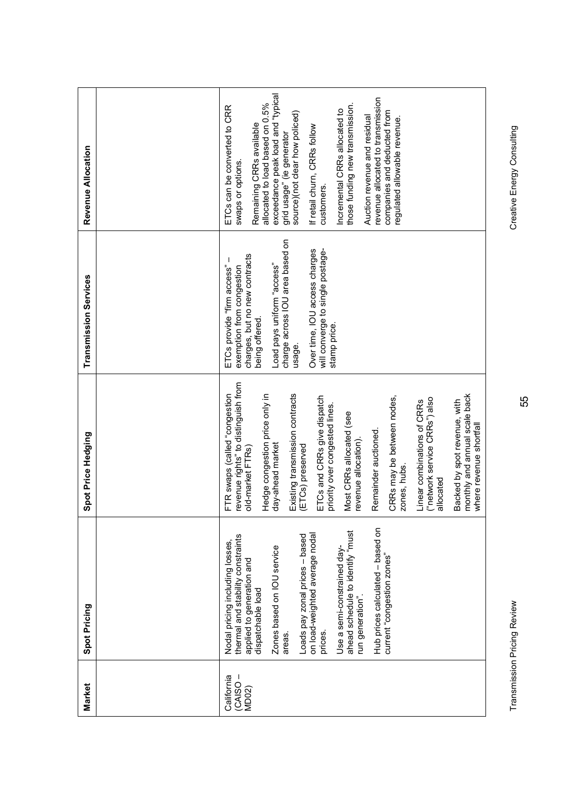| Market                                     | Spot Pricing                                                                                                                                                                                                                                                                                                                                                                                          | Spot Price Hedging                                                                                                                                                                                                                                                                                                                                                                                                                                                                                                                                                        | Transmission Services                                                                                                                                                                                                                                                      | Revenue Allocation                                                                                                                                                                                                                                                                                                                                                                                                                                                         |
|--------------------------------------------|-------------------------------------------------------------------------------------------------------------------------------------------------------------------------------------------------------------------------------------------------------------------------------------------------------------------------------------------------------------------------------------------------------|---------------------------------------------------------------------------------------------------------------------------------------------------------------------------------------------------------------------------------------------------------------------------------------------------------------------------------------------------------------------------------------------------------------------------------------------------------------------------------------------------------------------------------------------------------------------------|----------------------------------------------------------------------------------------------------------------------------------------------------------------------------------------------------------------------------------------------------------------------------|----------------------------------------------------------------------------------------------------------------------------------------------------------------------------------------------------------------------------------------------------------------------------------------------------------------------------------------------------------------------------------------------------------------------------------------------------------------------------|
|                                            |                                                                                                                                                                                                                                                                                                                                                                                                       |                                                                                                                                                                                                                                                                                                                                                                                                                                                                                                                                                                           |                                                                                                                                                                                                                                                                            |                                                                                                                                                                                                                                                                                                                                                                                                                                                                            |
| California<br>CAISO-<br>MD <sub>02</sub> ) | Hub prices calculated - based on<br>ahead schedule to identify "must<br>on load-weighted average nodal<br>Loads pay zonal prices - based<br>thermal and stability constraints<br>Nodal pricing including losses<br>Zones based on IOU service<br>Use a semi-constrained day-<br>current "congestion zones"<br>applied to generation and<br>dispatchable load<br>run generation".<br>prices.<br>areas. | revenue rights" to distinguish from<br>Existing transmission contracts<br>FTR swaps (called "congestion<br>Hedge congestion price only in<br>monthly and annual scale back<br>ETCs and CRRs give dispatch<br>CRRs may be between nodes,<br>("network service CRRs") also<br>Linear combinations of CRRs<br>Backed by spot revenue, with<br>priority over congested lines.<br>Most CRRs allocated (see<br>where revenue shortfall<br>Remainder auctioned.<br>revenue allocation).<br>day-ahead market<br>(ETCs) preserved<br>old-market FTRs)<br>zones, hubs.<br>allocated | charge across IOU area based on<br>Over time, IOU access charges<br>will converge to single postage-<br>charges, but no new contracts<br>Load pays uniform "access"<br>exemption from congestion<br>ETCs provide "firm access"<br>being offered.<br>stamp price.<br>usage. | exceedance peak load and "typical<br>revenue allocated to transmission<br>allocated to load based on 0.5%<br>those funding new transmission.<br>ETCs can be converted to CRR<br>Incremental CRRs allocated to<br>companies and deducted from<br>source)(not clear how policed)<br>Auction revenue and residual<br>regulated allowable revenue.<br>Remaining CRRs available<br>If retail churn, CRRs follow<br>grid usage" (ie generator<br>swaps or options.<br>customers. |

Transmission Pricing Review Creative Energy Consulting Transmission Pricing Review

Creative Energy Consulting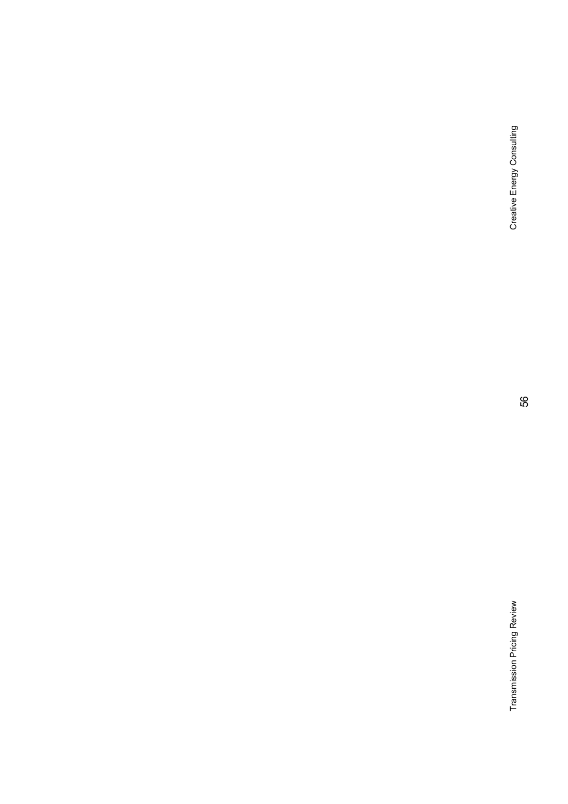Creative Energy Consulting

Transmission Pricing Review Creative Energy Consulting Transmission Pricing Review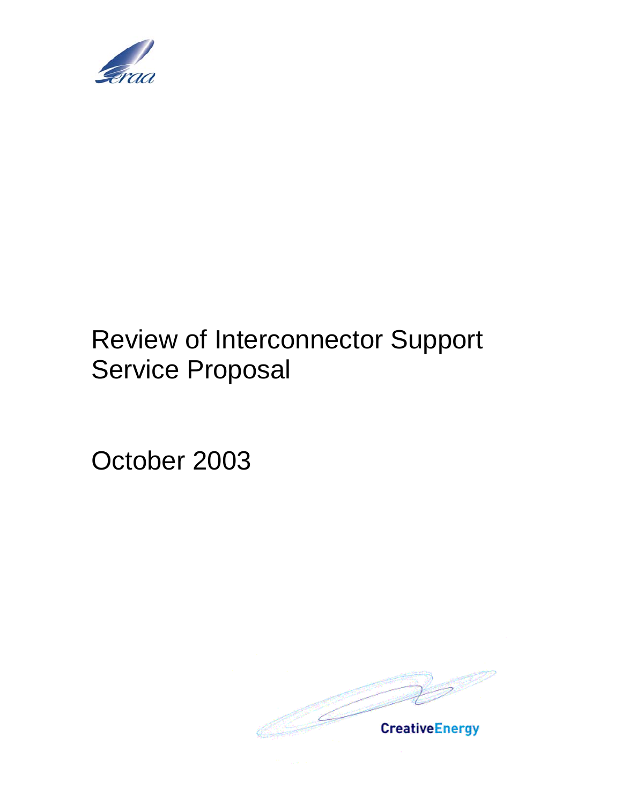

# Review of Interconnector Support Service Proposal

October 2003

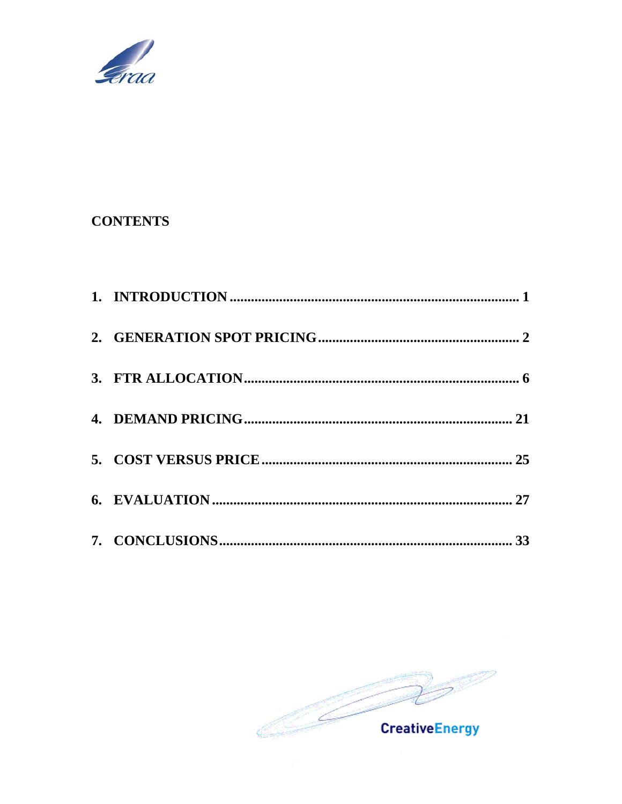

# **CONTENTS**

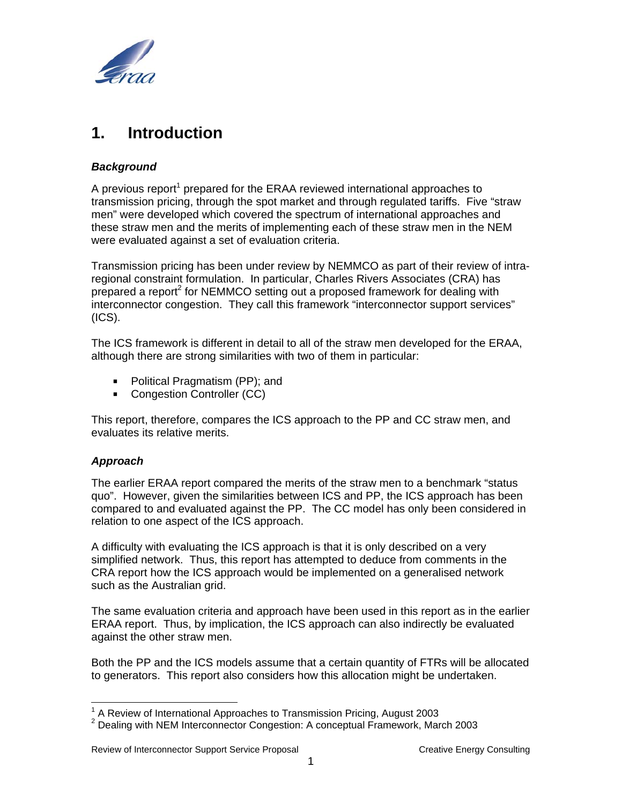<span id="page-69-0"></span>

## **1. Introduction**

#### *Background*

A previous report<sup>[1](#page-69-1)</sup> prepared for the ERAA reviewed international approaches to transmission pricing, through the spot market and through regulated tariffs. Five "straw men" were developed which covered the spectrum of international approaches and these straw men and the merits of implementing each of these straw men in the NEM were evaluated against a set of evaluation criteria.

Transmission pricing has been under review by NEMMCO as part of their review of intraregional constraint formulation. In particular, Charles Rivers Associates (CRA) has prepared a report<sup>2</sup> for NEMMCO setting out a proposed framework for dealing with interconnector congestion. They call this framework "interconnector support services" (ICS).

The ICS framework is different in detail to all of the straw men developed for the ERAA, although there are strong similarities with two of them in particular:

- Political Pragmatism (PP); and
- Congestion Controller (CC)

This report, therefore, compares the ICS approach to the PP and CC straw men, and evaluates its relative merits.

#### *Approach*

The earlier ERAA report compared the merits of the straw men to a benchmark "status quo". However, given the similarities between ICS and PP, the ICS approach has been compared to and evaluated against the PP. The CC model has only been considered in relation to one aspect of the ICS approach.

A difficulty with evaluating the ICS approach is that it is only described on a very simplified network. Thus, this report has attempted to deduce from comments in the CRA report how the ICS approach would be implemented on a generalised network such as the Australian grid.

The same evaluation criteria and approach have been used in this report as in the earlier ERAA report. Thus, by implication, the ICS approach can also indirectly be evaluated against the other straw men.

Both the PP and the ICS models assume that a certain quantity of FTRs will be allocated to generators. This report also considers how this allocation might be undertaken.

<span id="page-69-1"></span> <sup>1</sup> A Review of International Approaches to Transmission Pricing, August 2003

<span id="page-69-2"></span><sup>&</sup>lt;sup>2</sup> Dealing with NEM Interconnector Congestion: A conceptual Framework, March 2003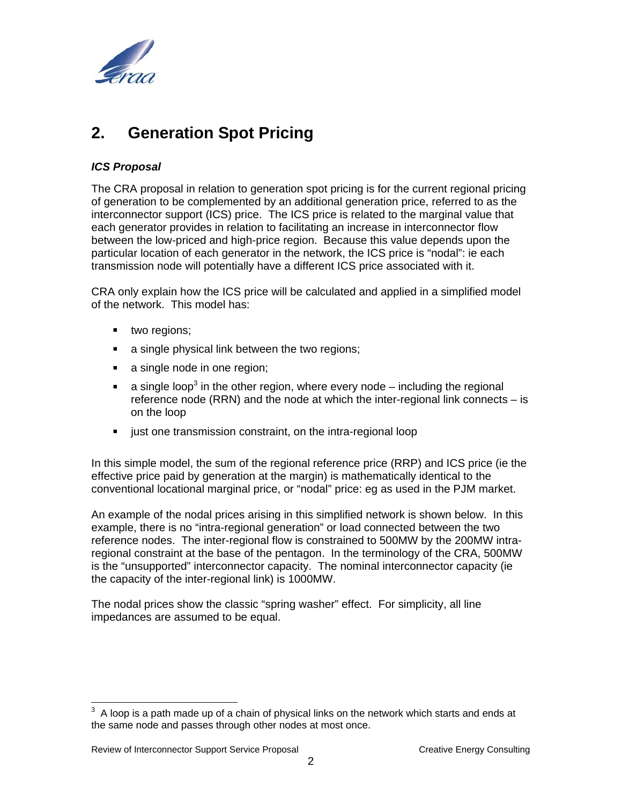<span id="page-70-0"></span>

# **2. Generation Spot Pricing**

#### *ICS Proposal*

The CRA proposal in relation to generation spot pricing is for the current regional pricing of generation to be complemented by an additional generation price, referred to as the interconnector support (ICS) price. The ICS price is related to the marginal value that each generator provides in relation to facilitating an increase in interconnector flow between the low-priced and high-price region. Because this value depends upon the particular location of each generator in the network, the ICS price is "nodal": ie each transmission node will potentially have a different ICS price associated with it.

CRA only explain how the ICS price will be calculated and applied in a simplified model of the network. This model has:

- **two regions;**
- **a** single physical link between the two regions;
- a single node in one region;
- $\blacksquare$  a single loop<sup>[3](#page-70-1)</sup> in the other region, where every node including the regional reference node (RRN) and the node at which the inter-regional link connects – is on the loop
- ust one transmission constraint, on the intra-regional loop

In this simple model, the sum of the regional reference price (RRP) and ICS price (ie the effective price paid by generation at the margin) is mathematically identical to the conventional locational marginal price, or "nodal" price: eg as used in the PJM market.

An example of the nodal prices arising in this simplified network is shown below. In this example, there is no "intra-regional generation" or load connected between the two reference nodes. The inter-regional flow is constrained to 500MW by the 200MW intraregional constraint at the base of the pentagon. In the terminology of the CRA, 500MW is the "unsupported" interconnector capacity. The nominal interconnector capacity (ie the capacity of the inter-regional link) is 1000MW.

The nodal prices show the classic "spring washer" effect. For simplicity, all line impedances are assumed to be equal.

<span id="page-70-1"></span> <sup>3</sup> A loop is a path made up of a chain of physical links on the network which starts and ends at the same node and passes through other nodes at most once.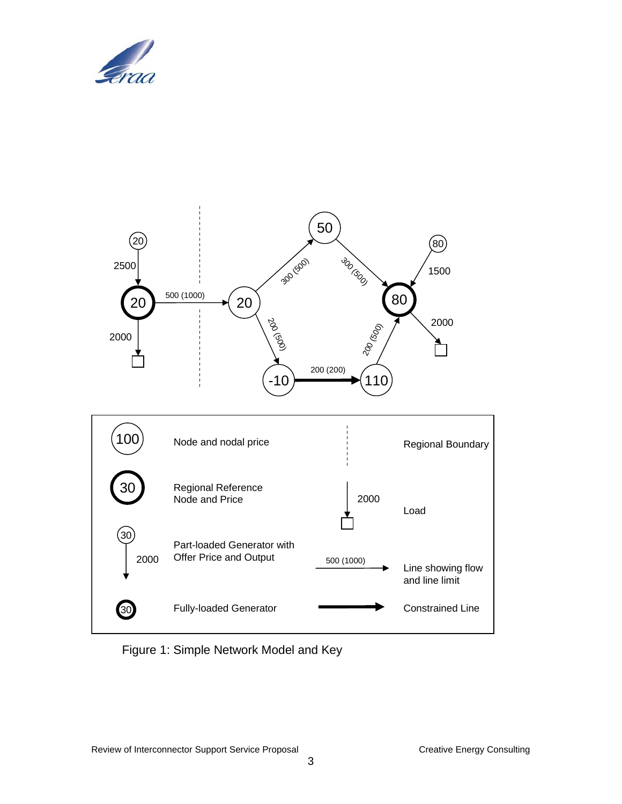



Figure 1: Simple Network Model and Key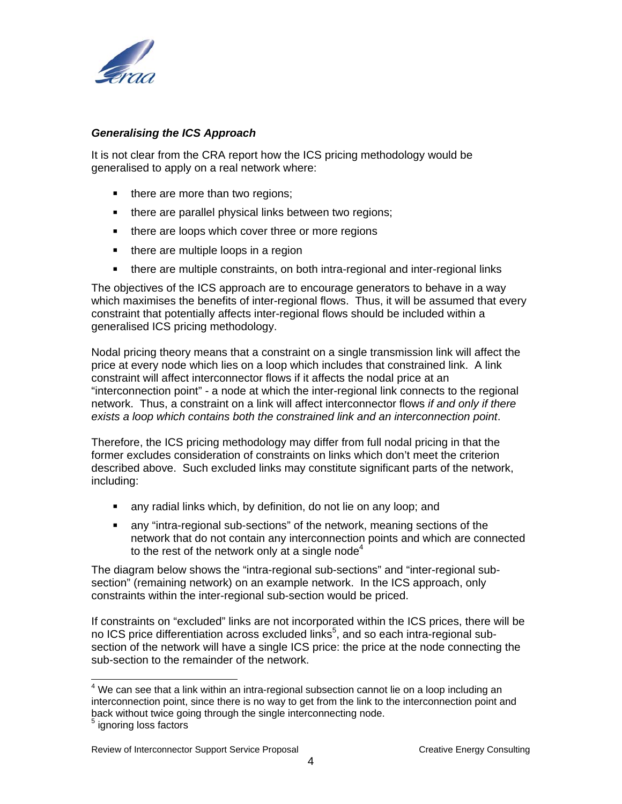

### *Generalising the ICS Approach*

It is not clear from the CRA report how the ICS pricing methodology would be generalised to apply on a real network where:

- there are more than two regions;
- there are parallel physical links between two regions;
- there are loops which cover three or more regions
- there are multiple loops in a region
- there are multiple constraints, on both intra-regional and inter-regional links

The objectives of the ICS approach are to encourage generators to behave in a way which maximises the benefits of inter-regional flows. Thus, it will be assumed that every constraint that potentially affects inter-regional flows should be included within a generalised ICS pricing methodology.

Nodal pricing theory means that a constraint on a single transmission link will affect the price at every node which lies on a loop which includes that constrained link. A link constraint will affect interconnector flows if it affects the nodal price at an "interconnection point" - a node at which the inter-regional link connects to the regional network. Thus, a constraint on a link will affect interconnector flows *if and only if there exists a loop which contains both the constrained link and an interconnection point*.

Therefore, the ICS pricing methodology may differ from full nodal pricing in that the former excludes consideration of constraints on links which don't meet the criterion described above. Such excluded links may constitute significant parts of the network, including:

- any radial links which, by definition, do not lie on any loop; and
- any "intra-regional sub-sections" of the network, meaning sections of the network that do not contain any interconnection points and which are connected to the rest of the network only at a single node<sup>[4](#page-72-0)</sup>

The diagram below shows the "intra-regional sub-sections" and "inter-regional subsection" (remaining network) on an example network. In the ICS approach, only constraints within the inter-regional sub-section would be priced.

If constraints on "excluded" links are not incorporated within the ICS prices, there will be no ICS price differentiation across excluded links<sup>[5](#page-72-1)</sup>, and so each intra-regional subsection of the network will have a single ICS price: the price at the node connecting the sub-section to the remainder of the network.

<span id="page-72-0"></span> <sup>4</sup> We can see that a link within an intra-regional subsection cannot lie on a loop including an interconnection point, since there is no way to get from the link to the interconnection point and back without twice going through the single interconnecting node. 5 ignoring loss factors

<span id="page-72-1"></span>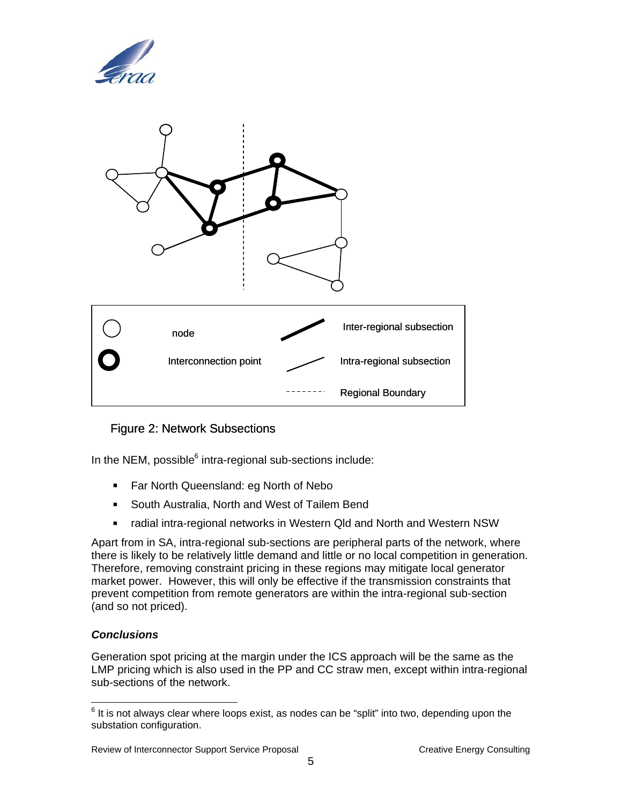



# Figure 2: Network Subsections

In the NEM, possible<sup>6</sup> intra-regional sub-sections include:

- **Far North Queensland: eg North of Nebo**
- **South Australia, North and West of Tailem Bend**
- radial intra-regional networks in Western Qld and North and Western NSW

Apart from in SA, intra-regional sub-sections are peripheral parts of the network, where there is likely to be relatively little demand and little or no local competition in generation. Therefore, removing constraint pricing in these regions may mitigate local generator market power. However, this will only be effective if the transmission constraints that prevent competition from remote generators are within the intra-regional sub-section (and so not priced).

### *Conclusions*

Generation spot pricing at the margin under the ICS approach will be the same as the LMP pricing which is also used in the PP and CC straw men, except within intra-regional sub-sections of the network.

<span id="page-73-0"></span> <sup>6</sup> It is not always clear where loops exist, as nodes can be "split" into two, depending upon the substation configuration.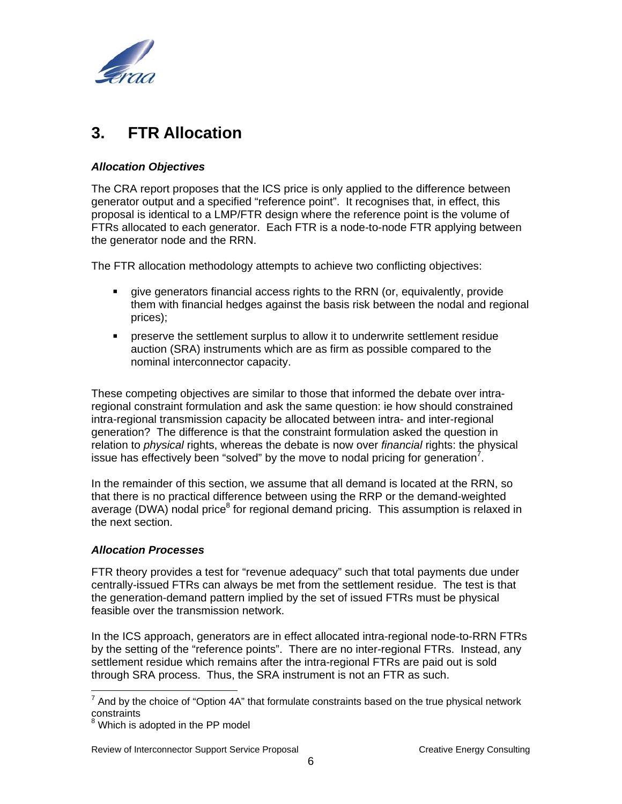

# **3. FTR Allocation**

## *Allocation Objectives*

The CRA report proposes that the ICS price is only applied to the difference between generator output and a specified "reference point". It recognises that, in effect, this proposal is identical to a LMP/FTR design where the reference point is the volume of FTRs allocated to each generator. Each FTR is a node-to-node FTR applying between the generator node and the RRN.

The FTR allocation methodology attempts to achieve two conflicting objectives:

- **qive generators financial access rights to the RRN (or, equivalently, provide** them with financial hedges against the basis risk between the nodal and regional prices);
- preserve the settlement surplus to allow it to underwrite settlement residue auction (SRA) instruments which are as firm as possible compared to the nominal interconnector capacity.

These competing objectives are similar to those that informed the debate over intraregional constraint formulation and ask the same question: ie how should constrained intra-regional transmission capacity be allocated between intra- and inter-regional generation? The difference is that the constraint formulation asked the question in relation to *physical* rights, whereas the debate is now over *financial* rights: the physical issue has effectively been "solved" by the move to nodal pricing for generation<sup>[7](#page-74-0)</sup>.

In the remainder of this section, we assume that all demand is located at the RRN, so that there is no practical difference between using the RRP or the demand-weighted average (DWA) nodal price<sup>[8](#page-74-1)</sup> for regional demand pricing. This assumption is relaxed in the next section.

### *Allocation Processes*

FTR theory provides a test for "revenue adequacy" such that total payments due under centrally-issued FTRs can always be met from the settlement residue. The test is that the generation-demand pattern implied by the set of issued FTRs must be physical feasible over the transmission network.

In the ICS approach, generators are in effect allocated intra-regional node-to-RRN FTRs by the setting of the "reference points". There are no inter-regional FTRs. Instead, any settlement residue which remains after the intra-regional FTRs are paid out is sold through SRA process. Thus, the SRA instrument is not an FTR as such.

<span id="page-74-0"></span><sup>————————————————————&</sup>lt;br><sup>7</sup> And by the choice of "Option 4A" that formulate constraints based on the true physical network

<span id="page-74-1"></span>constraints<br><sup>8</sup> Which is adopted in the PP model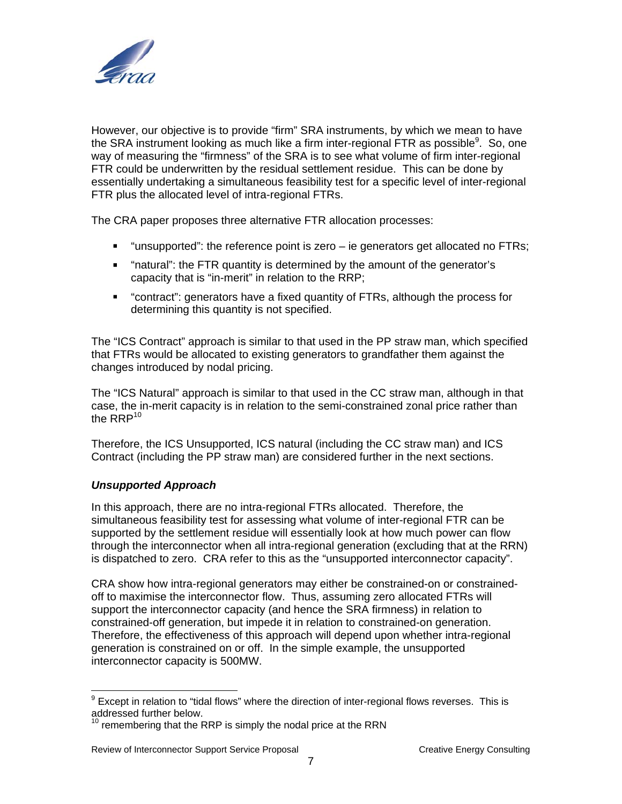

However, our objective is to provide "firm" SRA instruments, by which we mean to have the SRA instrument looking as much like a firm inter-regional FTR as possible<sup>[9](#page-75-0)</sup>. So, one way of measuring the "firmness" of the SRA is to see what volume of firm inter-regional FTR could be underwritten by the residual settlement residue. This can be done by essentially undertaking a simultaneous feasibility test for a specific level of inter-regional FTR plus the allocated level of intra-regional FTRs.

The CRA paper proposes three alternative FTR allocation processes:

- "unsupported": the reference point is zero ie generators get allocated no FTRs;
- "natural": the FTR quantity is determined by the amount of the generator's capacity that is "in-merit" in relation to the RRP;
- "contract": generators have a fixed quantity of FTRs, although the process for determining this quantity is not specified.

The "ICS Contract" approach is similar to that used in the PP straw man, which specified that FTRs would be allocated to existing generators to grandfather them against the changes introduced by nodal pricing.

The "ICS Natural" approach is similar to that used in the CC straw man, although in that case, the in-merit capacity is in relation to the semi-constrained zonal price rather than the RRP $^{10}$  $^{10}$  $^{10}$ 

Therefore, the ICS Unsupported, ICS natural (including the CC straw man) and ICS Contract (including the PP straw man) are considered further in the next sections.

### *Unsupported Approach*

In this approach, there are no intra-regional FTRs allocated. Therefore, the simultaneous feasibility test for assessing what volume of inter-regional FTR can be supported by the settlement residue will essentially look at how much power can flow through the interconnector when all intra-regional generation (excluding that at the RRN) is dispatched to zero. CRA refer to this as the "unsupported interconnector capacity".

CRA show how intra-regional generators may either be constrained-on or constrainedoff to maximise the interconnector flow. Thus, assuming zero allocated FTRs will support the interconnector capacity (and hence the SRA firmness) in relation to constrained-off generation, but impede it in relation to constrained-on generation. Therefore, the effectiveness of this approach will depend upon whether intra-regional generation is constrained on or off. In the simple example, the unsupported interconnector capacity is 500MW.

<span id="page-75-0"></span> <sup>9</sup> Except in relation to "tidal flows" where the direction of inter-regional flows reverses. This is addressed further below.<br><sup>10</sup> remembering that the RRP is simply the nodal price at the RRN

<span id="page-75-1"></span>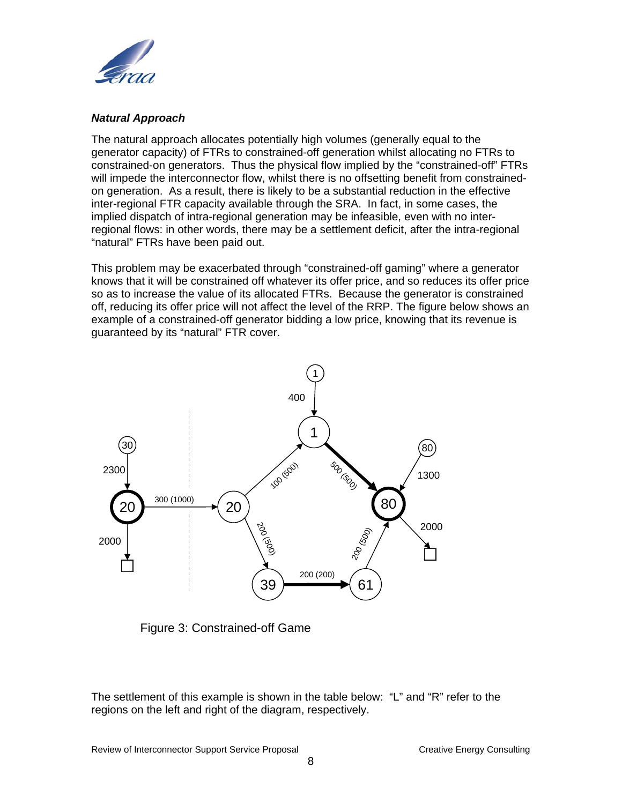

### *Natural Approach*

The natural approach allocates potentially high volumes (generally equal to the generator capacity) of FTRs to constrained-off generation whilst allocating no FTRs to constrained-on generators. Thus the physical flow implied by the "constrained-off" FTRs will impede the interconnector flow, whilst there is no offsetting benefit from constrainedon generation. As a result, there is likely to be a substantial reduction in the effective inter-regional FTR capacity available through the SRA. In fact, in some cases, the implied dispatch of intra-regional generation may be infeasible, even with no interregional flows: in other words, there may be a settlement deficit, after the intra-regional "natural" FTRs have been paid out.

This problem may be exacerbated through "constrained-off gaming" where a generator knows that it will be constrained off whatever its offer price, and so reduces its offer price so as to increase the value of its allocated FTRs. Because the generator is constrained off, reducing its offer price will not affect the level of the RRP. The figure below shows an example of a constrained-off generator bidding a low price, knowing that its revenue is guaranteed by its "natural" FTR cover.



Figure 3: Constrained-off Game

The settlement of this example is shown in the table below: "L" and "R" refer to the regions on the left and right of the diagram, respectively.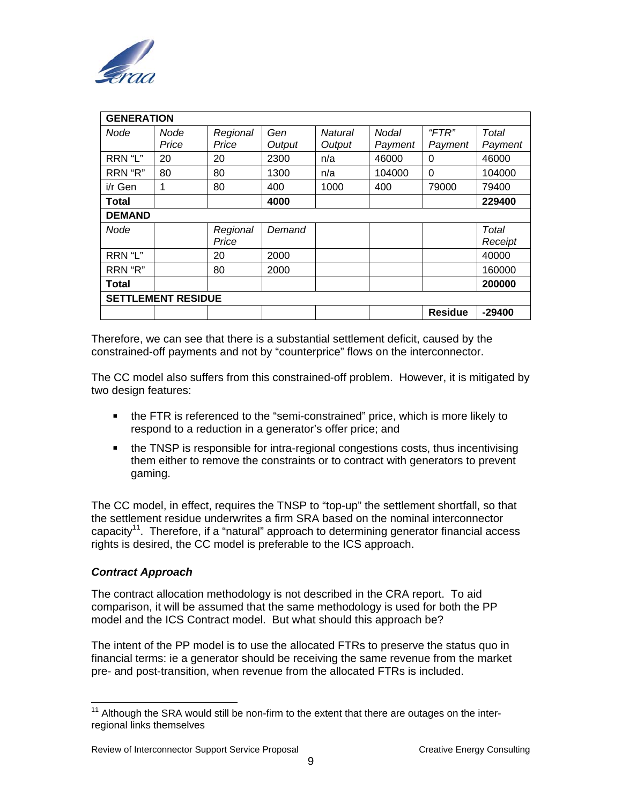

|                           |               |                   |               |                   |                  | <b>Residue</b>   | $-29400$         |
|---------------------------|---------------|-------------------|---------------|-------------------|------------------|------------------|------------------|
| <b>SETTLEMENT RESIDUE</b> |               |                   |               |                   |                  |                  |                  |
| <b>Total</b>              |               |                   |               |                   |                  |                  | 200000           |
| RRN "R"                   |               | 80                | 2000          |                   |                  |                  | 160000           |
| RRN "L"                   |               | 20                | 2000          |                   |                  |                  | 40000            |
| Node                      |               | Regional<br>Price | Demand        |                   |                  |                  | Total<br>Receipt |
| <b>DEMAND</b>             |               |                   |               |                   |                  |                  |                  |
| Total                     |               |                   | 4000          |                   |                  |                  | 229400           |
| i/r Gen                   | 1             | 80                | 400           | 1000              | 400              | 79000            | 79400            |
| RRN "R"                   | 80            | 80                | 1300          | n/a               | 104000           | 0                | 104000           |
| RRN "L"                   | 20            | 20                | 2300          | n/a               | 46000            | 0                | 46000            |
| Node                      | Node<br>Price | Regional<br>Price | Gen<br>Output | Natural<br>Output | Nodal<br>Payment | "FTP"<br>Payment | Total<br>Payment |
| <b>GENERATION</b>         |               |                   |               |                   |                  |                  |                  |

Therefore, we can see that there is a substantial settlement deficit, caused by the constrained-off payments and not by "counterprice" flows on the interconnector.

The CC model also suffers from this constrained-off problem. However, it is mitigated by two design features:

- the FTR is referenced to the "semi-constrained" price, which is more likely to respond to a reduction in a generator's offer price; and
- the TNSP is responsible for intra-regional congestions costs, thus incentivising them either to remove the constraints or to contract with generators to prevent gaming.

The CC model, in effect, requires the TNSP to "top-up" the settlement shortfall, so that the settlement residue underwrites a firm SRA based on the nominal interconnector capacity<sup>11</sup>. Therefore, if a "natural" approach to determining generator financial access rights is desired, the CC model is preferable to the ICS approach.

### *Contract Approach*

The contract allocation methodology is not described in the CRA report. To aid comparison, it will be assumed that the same methodology is used for both the PP model and the ICS Contract model. But what should this approach be?

The intent of the PP model is to use the allocated FTRs to preserve the status quo in financial terms: ie a generator should be receiving the same revenue from the market pre- and post-transition, when revenue from the allocated FTRs is included.

<span id="page-77-0"></span> $11$  Although the SRA would still be non-firm to the extent that there are outages on the interregional links themselves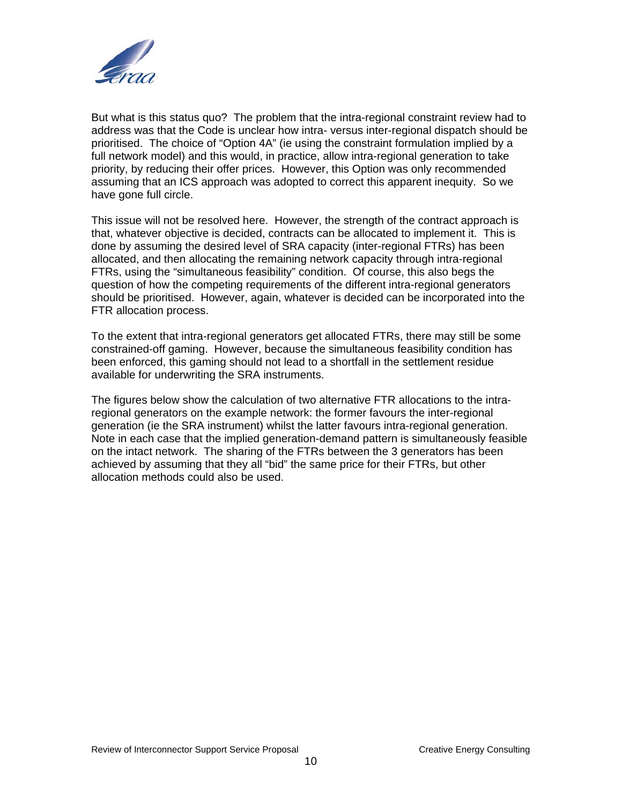

But what is this status quo? The problem that the intra-regional constraint review had to address was that the Code is unclear how intra- versus inter-regional dispatch should be prioritised. The choice of "Option 4A" (ie using the constraint formulation implied by a full network model) and this would, in practice, allow intra-regional generation to take priority, by reducing their offer prices. However, this Option was only recommended assuming that an ICS approach was adopted to correct this apparent inequity. So we have gone full circle.

This issue will not be resolved here. However, the strength of the contract approach is that, whatever objective is decided, contracts can be allocated to implement it. This is done by assuming the desired level of SRA capacity (inter-regional FTRs) has been allocated, and then allocating the remaining network capacity through intra-regional FTRs, using the "simultaneous feasibility" condition. Of course, this also begs the question of how the competing requirements of the different intra-regional generators should be prioritised. However, again, whatever is decided can be incorporated into the FTR allocation process.

To the extent that intra-regional generators get allocated FTRs, there may still be some constrained-off gaming. However, because the simultaneous feasibility condition has been enforced, this gaming should not lead to a shortfall in the settlement residue available for underwriting the SRA instruments.

The figures below show the calculation of two alternative FTR allocations to the intraregional generators on the example network: the former favours the inter-regional generation (ie the SRA instrument) whilst the latter favours intra-regional generation. Note in each case that the implied generation-demand pattern is simultaneously feasible on the intact network. The sharing of the FTRs between the 3 generators has been achieved by assuming that they all "bid" the same price for their FTRs, but other allocation methods could also be used.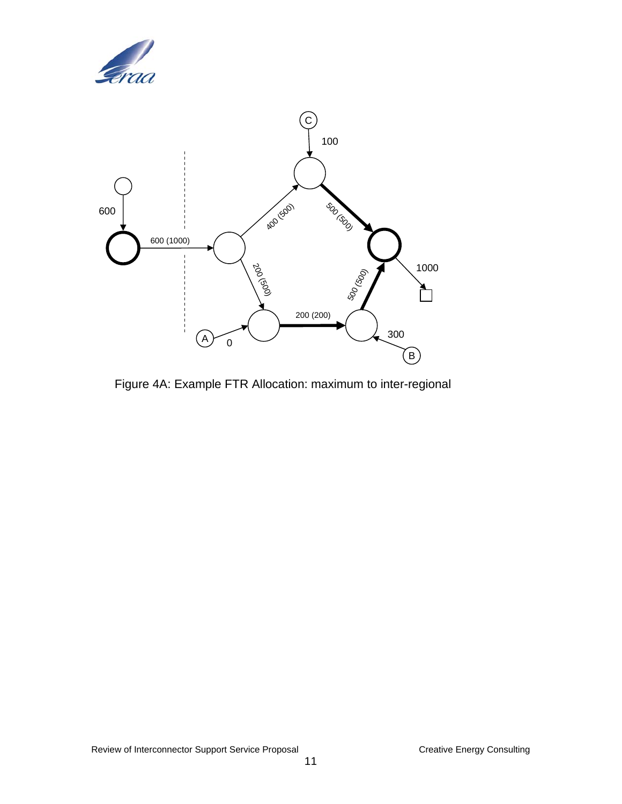



Figure 4A: Example FTR Allocation: maximum to inter-regional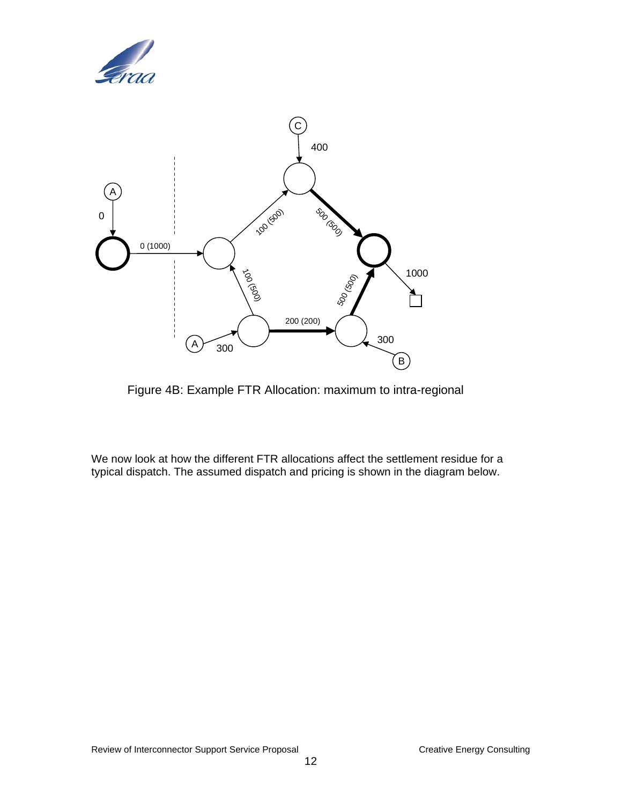



Figure 4B: Example FTR Allocation: maximum to intra-regional

We now look at how the different FTR allocations affect the settlement residue for a typical dispatch. The assumed dispatch and pricing is shown in the diagram below.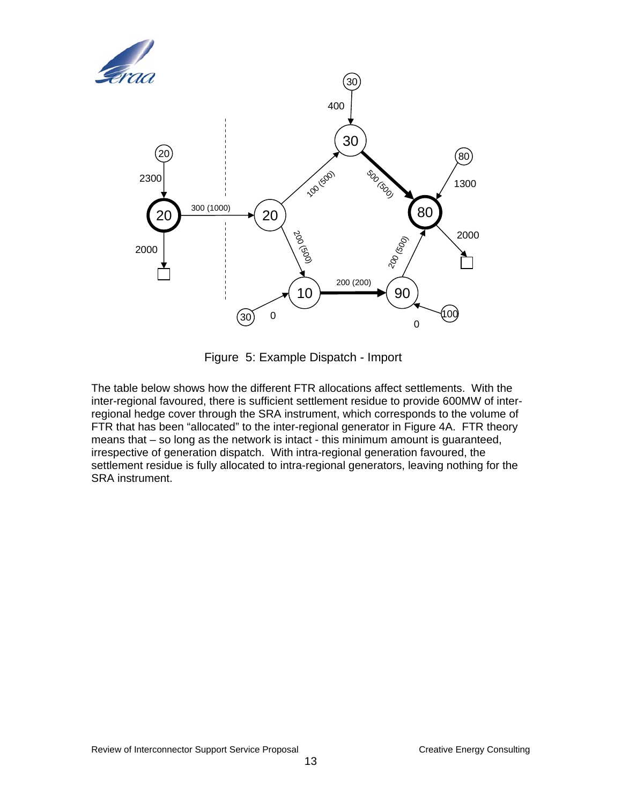

Figure 5: Example Dispatch - Import

The table below shows how the different FTR allocations affect settlements. With the inter-regional favoured, there is sufficient settlement residue to provide 600MW of interregional hedge cover through the SRA instrument, which corresponds to the volume of FTR that has been "allocated" to the inter-regional generator in Figure 4A. FTR theory means that – so long as the network is intact - this minimum amount is guaranteed, irrespective of generation dispatch. With intra-regional generation favoured, the settlement residue is fully allocated to intra-regional generators, leaving nothing for the SRA instrument.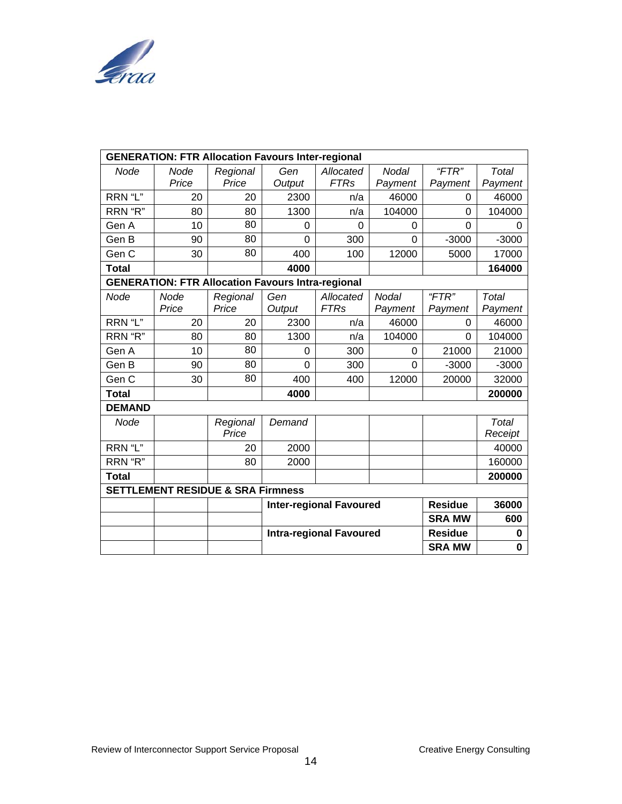

| <b>GENERATION: FTR Allocation Favours Inter-regional</b> |                                                          |          |                                                  |                                |              |                |         |
|----------------------------------------------------------|----------------------------------------------------------|----------|--------------------------------------------------|--------------------------------|--------------|----------------|---------|
| Node                                                     | Node                                                     | Regional | Gen                                              | Allocated                      | <b>Nodal</b> | $H$ FTR"       | Total   |
|                                                          | Price                                                    | Price    | Output                                           | <b>FTRs</b>                    | Payment      | Payment        | Payment |
| RRN "L"                                                  | 20                                                       | 20       | 2300                                             | n/a                            | 46000        | 0              | 46000   |
| RRN "R"                                                  | 80                                                       | 80       | 1300                                             | n/a                            | 104000       | $\Omega$       | 104000  |
| Gen A                                                    | 10                                                       | 80       | 0                                                | $\Omega$                       | 0            | $\Omega$       | 0       |
| Gen B                                                    | 90                                                       | 80       | $\overline{0}$                                   | 300                            | 0            | $-3000$        | $-3000$ |
| Gen C                                                    | 30                                                       | 80       | 400                                              | 100                            | 12000        | 5000           | 17000   |
| <b>Total</b>                                             |                                                          |          | 4000                                             |                                |              |                | 164000  |
|                                                          | <b>GENERATION: FTR Allocation Favours Intra-regional</b> |          |                                                  |                                |              |                |         |
| Node                                                     | Node                                                     | Regional | Gen                                              | Allocated                      | <b>Nodal</b> | $H$ FTR"       | Total   |
|                                                          | Price                                                    | Price    | Output                                           | <b>FTRs</b>                    | Payment      | Payment        | Payment |
| RRN "L"                                                  | 20                                                       | 20       | 2300                                             | n/a                            | 46000        | 0              | 46000   |
| RRN "R"                                                  | 80                                                       | 80       | 1300                                             | n/a                            | 104000       | $\Omega$       | 104000  |
| Gen A                                                    | 10                                                       | 80       | 0                                                | 300                            | 0            | 21000          | 21000   |
| Gen B                                                    | 90                                                       | 80       | $\mathbf 0$                                      | 300                            | 0            | $-3000$        | $-3000$ |
| Gen C                                                    | 30                                                       | 80       | 400                                              | 400                            | 12000        | 20000          | 32000   |
| <b>Total</b>                                             |                                                          |          | 4000                                             |                                |              |                | 200000  |
| <b>DEMAND</b>                                            |                                                          |          |                                                  |                                |              |                |         |
| Node                                                     |                                                          | Regional | Demand                                           |                                |              |                | Total   |
|                                                          |                                                          | Price    |                                                  |                                |              |                | Receipt |
| RRN "L"                                                  |                                                          | 20       | 2000                                             |                                |              |                | 40000   |
| RRN "R"                                                  |                                                          | 80       | 2000                                             |                                |              |                | 160000  |
| <b>Total</b>                                             |                                                          |          |                                                  |                                |              |                | 200000  |
| <b>SETTLEMENT RESIDUE &amp; SRA Firmness</b>             |                                                          |          |                                                  |                                |              |                |         |
|                                                          |                                                          |          |                                                  | <b>Inter-regional Favoured</b> |              | <b>Residue</b> | 36000   |
|                                                          |                                                          |          |                                                  |                                |              | <b>SRA MW</b>  | 600     |
|                                                          |                                                          |          | <b>Intra-regional Favoured</b><br><b>Residue</b> |                                |              | 0              |         |
|                                                          |                                                          |          |                                                  |                                |              | <b>SRA MW</b>  | 0       |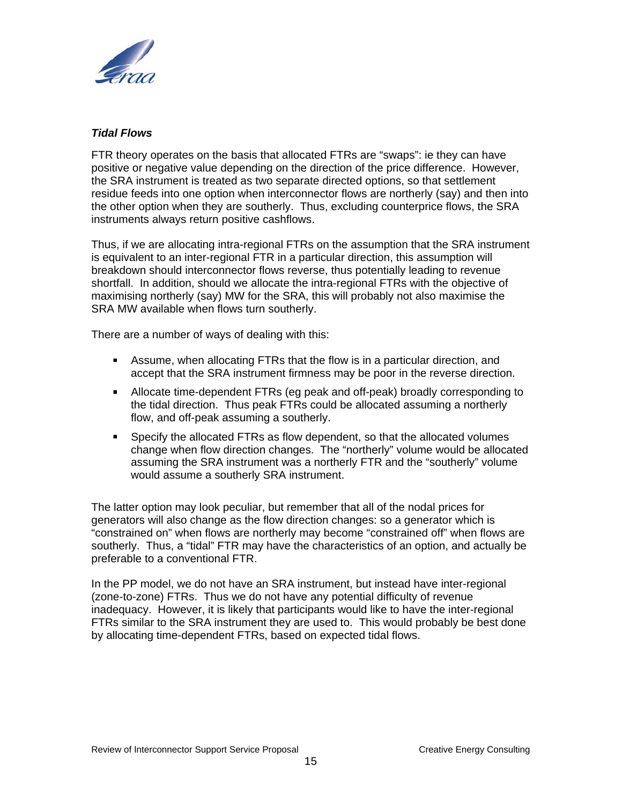

### *Tidal Flows*

FTR theory operates on the basis that allocated FTRs are "swaps": ie they can have positive or negative value depending on the direction of the price difference. However, the SRA instrument is treated as two separate directed options, so that settlement residue feeds into one option when interconnector flows are northerly (say) and then into the other option when they are southerly. Thus, excluding counterprice flows, the SRA instruments always return positive cashflows.

Thus, if we are allocating intra-regional FTRs on the assumption that the SRA instrument is equivalent to an inter-regional FTR in a particular direction, this assumption will breakdown should interconnector flows reverse, thus potentially leading to revenue shortfall. In addition, should we allocate the intra-regional FTRs with the objective of maximising northerly (say) MW for the SRA, this will probably not also maximise the SRA MW available when flows turn southerly.

There are a number of ways of dealing with this:

- Assume, when allocating FTRs that the flow is in a particular direction, and accept that the SRA instrument firmness may be poor in the reverse direction.
- Allocate time-dependent FTRs (eg peak and off-peak) broadly corresponding to the tidal direction. Thus peak FTRs could be allocated assuming a northerly flow, and off-peak assuming a southerly.
- Specify the allocated FTRs as flow dependent, so that the allocated volumes change when flow direction changes. The "northerly" volume would be allocated assuming the SRA instrument was a northerly FTR and the "southerly" volume would assume a southerly SRA instrument.

The latter option may look peculiar, but remember that all of the nodal prices for generators will also change as the flow direction changes: so a generator which is "constrained on" when flows are northerly may become "constrained off" when flows are southerly. Thus, a "tidal" FTR may have the characteristics of an option, and actually be preferable to a conventional FTR.

In the PP model, we do not have an SRA instrument, but instead have inter-regional (zone-to-zone) FTRs. Thus we do not have any potential difficulty of revenue inadequacy. However, it is likely that participants would like to have the inter-regional FTRs similar to the SRA instrument they are used to. This would probably be best done by allocating time-dependent FTRs, based on expected tidal flows.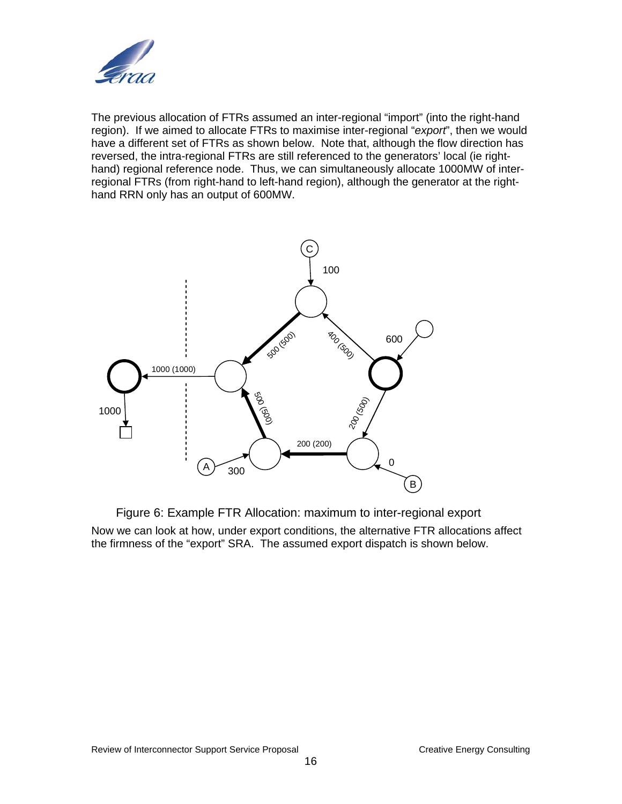

The previous allocation of FTRs assumed an inter-regional "import" (into the right-hand region). If we aimed to allocate FTRs to maximise inter-regional "*export*", then we would have a different set of FTRs as shown below. Note that, although the flow direction has reversed, the intra-regional FTRs are still referenced to the generators' local (ie righthand) regional reference node. Thus, we can simultaneously allocate 1000MW of interregional FTRs (from right-hand to left-hand region), although the generator at the righthand RRN only has an output of 600MW.



Figure 6: Example FTR Allocation: maximum to inter-regional export

Now we can look at how, under export conditions, the alternative FTR allocations affect the firmness of the "export" SRA. The assumed export dispatch is shown below.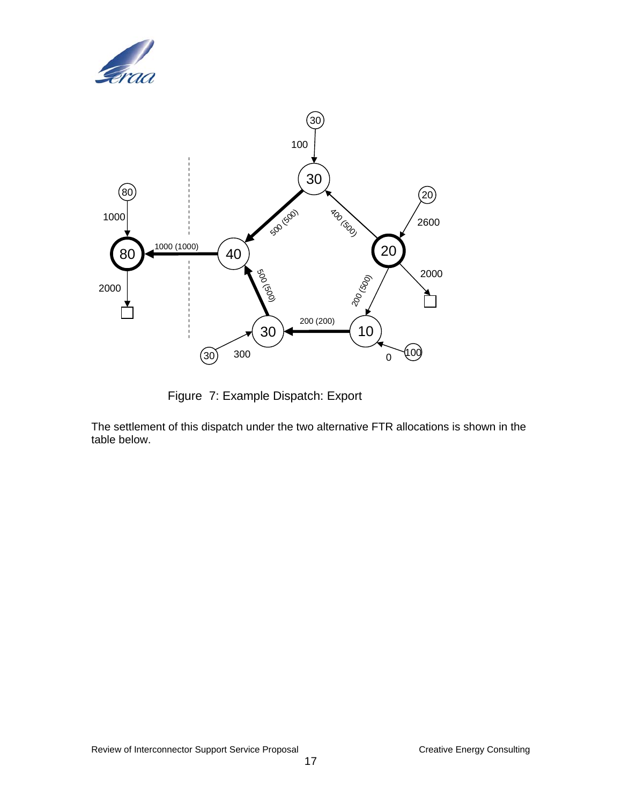



Figure 7: Example Dispatch: Export

The settlement of this dispatch under the two alternative FTR allocations is shown in the table below.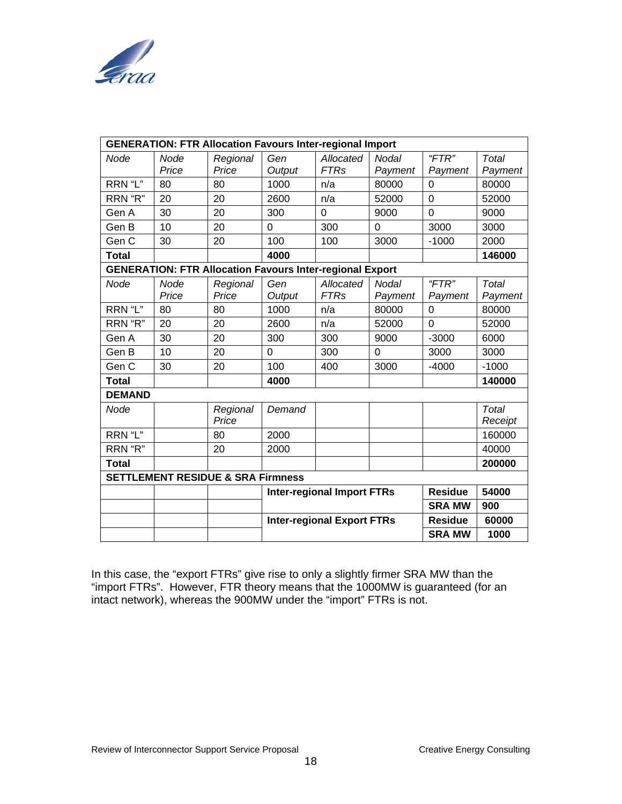

| <b>GENERATION: FTR Allocation Favours Inter-regional Import</b> |                                                                 |                   |                                                                                       |             |                |                |                  |
|-----------------------------------------------------------------|-----------------------------------------------------------------|-------------------|---------------------------------------------------------------------------------------|-------------|----------------|----------------|------------------|
| Node                                                            | Node                                                            | Regional          | Gen                                                                                   | Allocated   | Nodal          | $H$ FTR"       | Total            |
|                                                                 | Price                                                           | Price             | Output                                                                                | <b>FTRs</b> | Payment        | Payment        | Payment          |
| RRN "L"                                                         | 80                                                              | 80                | 1000                                                                                  | n/a         | 80000          | 0              | 80000            |
| RRN "R"                                                         | 20                                                              | 20                | 2600                                                                                  | n/a         | 52000          | $\overline{0}$ | 52000            |
| Gen A                                                           | 30                                                              | 20                | 300                                                                                   | 0           | 9000           | $\Omega$       | 9000             |
| Gen B                                                           | 10                                                              | 20                | $\Omega$                                                                              | 300         | $\overline{0}$ | 3000           | 3000             |
| Gen C                                                           | 30                                                              | 20                | 100                                                                                   | 100         | 3000           | $-1000$        | 2000             |
| <b>Total</b>                                                    |                                                                 |                   | 4000                                                                                  |             |                |                | 146000           |
|                                                                 | <b>GENERATION: FTR Allocation Favours Inter-regional Export</b> |                   |                                                                                       |             |                |                |                  |
| Node                                                            | Node                                                            | Regional          | Gen                                                                                   | Allocated   | <b>Nodal</b>   | "FTR"          | Total            |
|                                                                 | Price                                                           | Price             | Output                                                                                | <b>FTRs</b> | Payment        | Payment        | Payment          |
| RRN "L"                                                         | 80                                                              | 80                | 1000                                                                                  | n/a         | 80000          | 0              | 80000            |
| RRN "R"                                                         | 20                                                              | 20                | 2600                                                                                  | n/a         | 52000          | $\Omega$       | 52000            |
| Gen A                                                           | 30                                                              | 20                | 300                                                                                   | 300         | 9000           | $-3000$        | 6000             |
| Gen B                                                           | 10                                                              | 20                | $\overline{0}$                                                                        | 300         | $\mathbf 0$    | 3000           | 3000             |
| Gen C                                                           | 30                                                              | 20                | 100                                                                                   | 400         | 3000           | $-4000$        | $-1000$          |
| <b>Total</b>                                                    |                                                                 |                   | 4000                                                                                  |             |                |                | 140000           |
| <b>DEMAND</b>                                                   |                                                                 |                   |                                                                                       |             |                |                |                  |
| Node                                                            |                                                                 | Regional<br>Price | Demand                                                                                |             |                |                | Total<br>Receipt |
| RRN "L"                                                         |                                                                 | 80                | 2000                                                                                  |             |                |                | 160000           |
| RRN "R"                                                         |                                                                 | 20                | 2000                                                                                  |             |                |                | 40000            |
| <b>Total</b>                                                    |                                                                 |                   |                                                                                       |             |                |                | 200000           |
| <b>SETTLEMENT RESIDUE &amp; SRA Firmness</b>                    |                                                                 |                   |                                                                                       |             |                |                |                  |
|                                                                 |                                                                 |                   | <b>Residue</b><br><b>Inter-regional Import FTRs</b>                                   |             |                |                | 54000            |
|                                                                 |                                                                 |                   | <b>SRA MW</b><br>900                                                                  |             |                |                |                  |
|                                                                 |                                                                 |                   | <b>Inter-regional Export FTRs</b><br>60000<br><b>Residue</b><br><b>SRA MW</b><br>1000 |             |                |                |                  |
|                                                                 |                                                                 |                   |                                                                                       |             |                |                |                  |

In this case, the "export FTRs" give rise to only a slightly firmer SRA MW than the "import FTRs". However, FTR theory means that the 1000MW is guaranteed (for an intact network), whereas the 900MW under the "import" FTRs is not.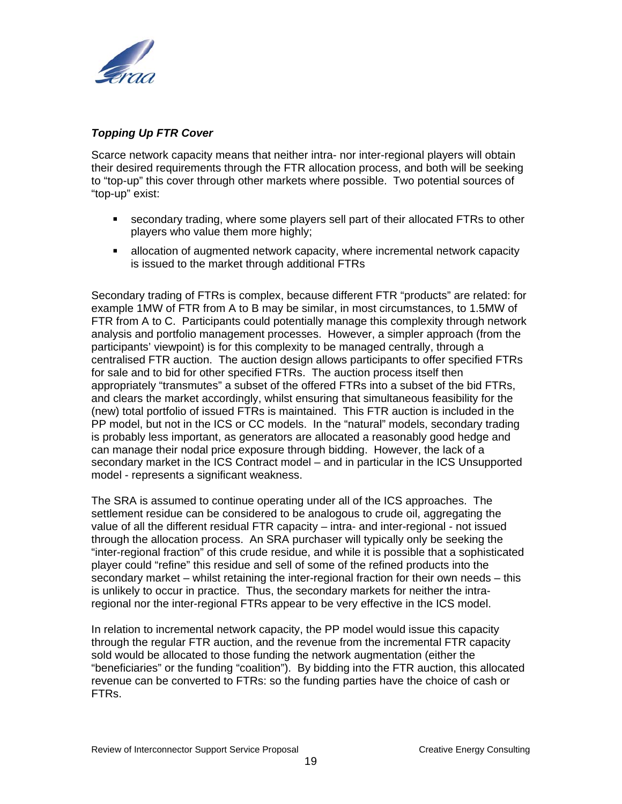

## *Topping Up FTR Cover*

Scarce network capacity means that neither intra- nor inter-regional players will obtain their desired requirements through the FTR allocation process, and both will be seeking to "top-up" this cover through other markets where possible. Two potential sources of "top-up" exist:

- secondary trading, where some players sell part of their allocated FTRs to other players who value them more highly;
- allocation of augmented network capacity, where incremental network capacity is issued to the market through additional FTRs

Secondary trading of FTRs is complex, because different FTR "products" are related: for example 1MW of FTR from A to B may be similar, in most circumstances, to 1.5MW of FTR from A to C. Participants could potentially manage this complexity through network analysis and portfolio management processes. However, a simpler approach (from the participants' viewpoint) is for this complexity to be managed centrally, through a centralised FTR auction. The auction design allows participants to offer specified FTRs for sale and to bid for other specified FTRs. The auction process itself then appropriately "transmutes" a subset of the offered FTRs into a subset of the bid FTRs, and clears the market accordingly, whilst ensuring that simultaneous feasibility for the (new) total portfolio of issued FTRs is maintained. This FTR auction is included in the PP model, but not in the ICS or CC models. In the "natural" models, secondary trading is probably less important, as generators are allocated a reasonably good hedge and can manage their nodal price exposure through bidding. However, the lack of a secondary market in the ICS Contract model – and in particular in the ICS Unsupported model - represents a significant weakness.

The SRA is assumed to continue operating under all of the ICS approaches. The settlement residue can be considered to be analogous to crude oil, aggregating the value of all the different residual FTR capacity – intra- and inter-regional - not issued through the allocation process. An SRA purchaser will typically only be seeking the "inter-regional fraction" of this crude residue, and while it is possible that a sophisticated player could "refine" this residue and sell of some of the refined products into the secondary market – whilst retaining the inter-regional fraction for their own needs – this is unlikely to occur in practice. Thus, the secondary markets for neither the intraregional nor the inter-regional FTRs appear to be very effective in the ICS model.

In relation to incremental network capacity, the PP model would issue this capacity through the regular FTR auction, and the revenue from the incremental FTR capacity sold would be allocated to those funding the network augmentation (either the "beneficiaries" or the funding "coalition"). By bidding into the FTR auction, this allocated revenue can be converted to FTRs: so the funding parties have the choice of cash or FTRs.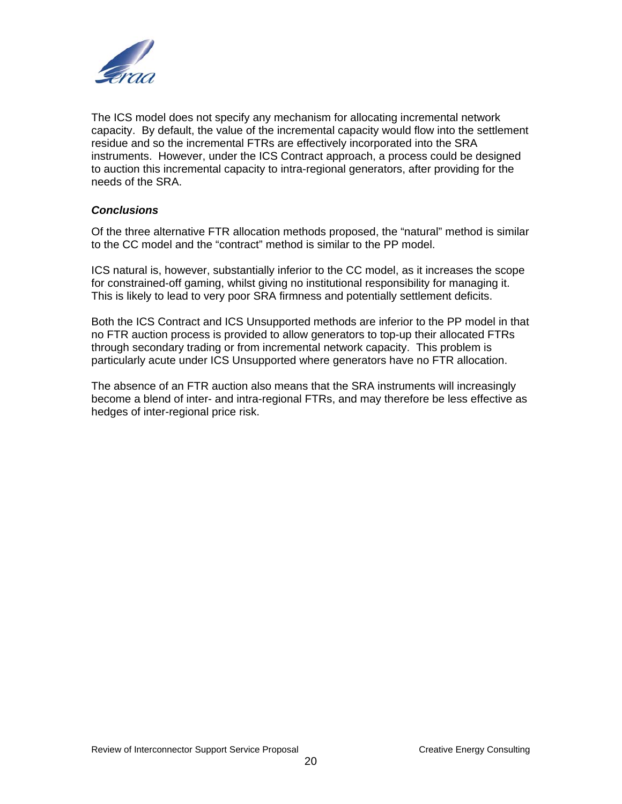

The ICS model does not specify any mechanism for allocating incremental network capacity. By default, the value of the incremental capacity would flow into the settlement residue and so the incremental FTRs are effectively incorporated into the SRA instruments. However, under the ICS Contract approach, a process could be designed to auction this incremental capacity to intra-regional generators, after providing for the needs of the SRA.

#### *Conclusions*

Of the three alternative FTR allocation methods proposed, the "natural" method is similar to the CC model and the "contract" method is similar to the PP model.

ICS natural is, however, substantially inferior to the CC model, as it increases the scope for constrained-off gaming, whilst giving no institutional responsibility for managing it. This is likely to lead to very poor SRA firmness and potentially settlement deficits.

Both the ICS Contract and ICS Unsupported methods are inferior to the PP model in that no FTR auction process is provided to allow generators to top-up their allocated FTRs through secondary trading or from incremental network capacity. This problem is particularly acute under ICS Unsupported where generators have no FTR allocation.

The absence of an FTR auction also means that the SRA instruments will increasingly become a blend of inter- and intra-regional FTRs, and may therefore be less effective as hedges of inter-regional price risk.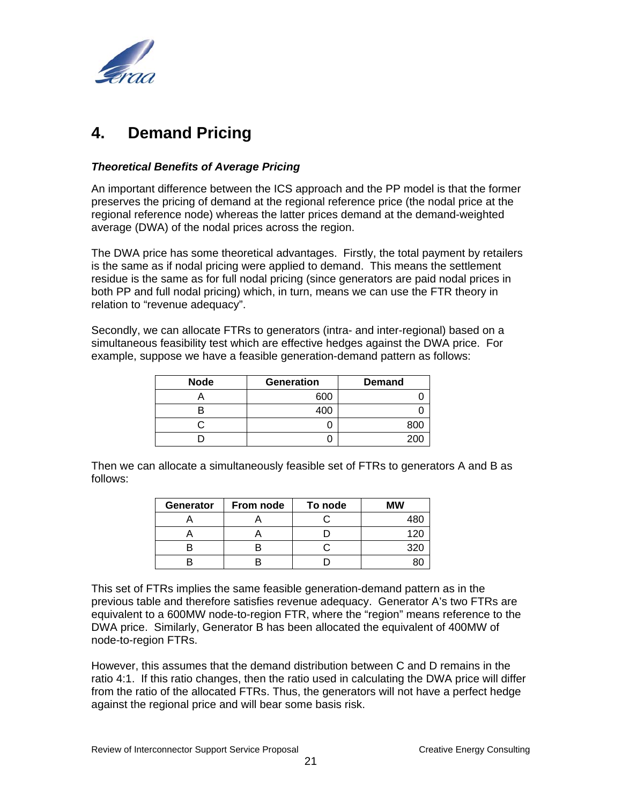

# **4. Demand Pricing**

### *Theoretical Benefits of Average Pricing*

An important difference between the ICS approach and the PP model is that the former preserves the pricing of demand at the regional reference price (the nodal price at the regional reference node) whereas the latter prices demand at the demand-weighted average (DWA) of the nodal prices across the region.

The DWA price has some theoretical advantages. Firstly, the total payment by retailers is the same as if nodal pricing were applied to demand. This means the settlement residue is the same as for full nodal pricing (since generators are paid nodal prices in both PP and full nodal pricing) which, in turn, means we can use the FTR theory in relation to "revenue adequacy".

Secondly, we can allocate FTRs to generators (intra- and inter-regional) based on a simultaneous feasibility test which are effective hedges against the DWA price. For example, suppose we have a feasible generation-demand pattern as follows:

| <b>Node</b> | Generation | <b>Demand</b> |
|-------------|------------|---------------|
|             | 600        |               |
|             | 4በር        |               |
|             |            |               |
|             |            |               |

Then we can allocate a simultaneously feasible set of FTRs to generators A and B as follows:

| Generator | From node | To node | <b>MW</b> |
|-----------|-----------|---------|-----------|
|           |           |         |           |
|           |           |         |           |
|           |           |         |           |
|           |           |         |           |

This set of FTRs implies the same feasible generation-demand pattern as in the previous table and therefore satisfies revenue adequacy. Generator A's two FTRs are equivalent to a 600MW node-to-region FTR, where the "region" means reference to the DWA price. Similarly, Generator B has been allocated the equivalent of 400MW of node-to-region FTRs.

However, this assumes that the demand distribution between C and D remains in the ratio 4:1. If this ratio changes, then the ratio used in calculating the DWA price will differ from the ratio of the allocated FTRs. Thus, the generators will not have a perfect hedge against the regional price and will bear some basis risk.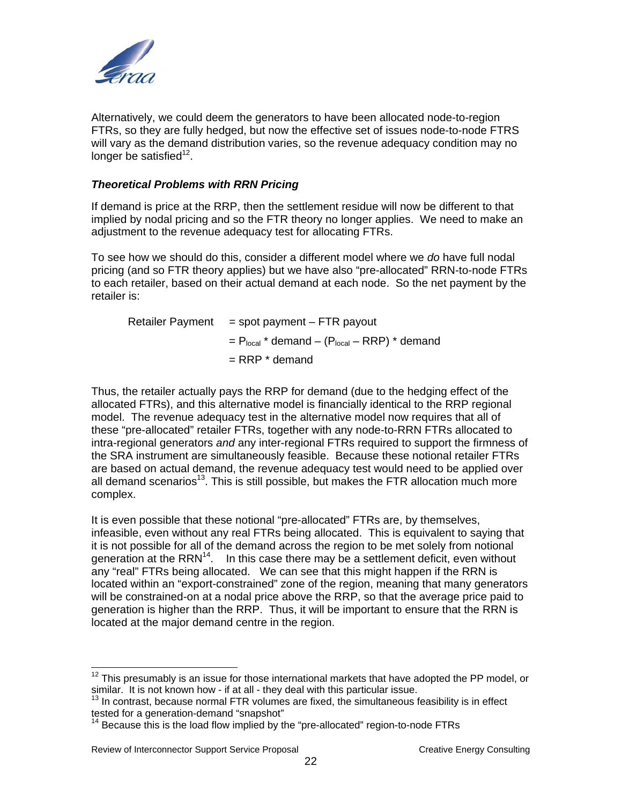

Alternatively, we could deem the generators to have been allocated node-to-region FTRs, so they are fully hedged, but now the effective set of issues node-to-node FTRS will vary as the demand distribution varies, so the revenue adequacy condition may no longer be satisfied $12$ .

#### *Theoretical Problems with RRN Pricing*

If demand is price at the RRP, then the settlement residue will now be different to that implied by nodal pricing and so the FTR theory no longer applies. We need to make an adjustment to the revenue adequacy test for allocating FTRs.

To see how we should do this, consider a different model where we *do* have full nodal pricing (and so FTR theory applies) but we have also "pre-allocated" RRN-to-node FTRs to each retailer, based on their actual demand at each node. So the net payment by the retailer is:

Retailer Payment  $=$  spot payment – FTR payout  $= P_{local}$  \* demand – ( $P_{local}$  – RRP) \* demand  $=$  RRP  $*$  demand

Thus, the retailer actually pays the RRP for demand (due to the hedging effect of the allocated FTRs), and this alternative model is financially identical to the RRP regional model. The revenue adequacy test in the alternative model now requires that all of these "pre-allocated" retailer FTRs, together with any node-to-RRN FTRs allocated to intra-regional generators *and* any inter-regional FTRs required to support the firmness of the SRA instrument are simultaneously feasible. Because these notional retailer FTRs are based on actual demand, the revenue adequacy test would need to be applied over all demand scenarios<sup>13</sup>. This is still possible, but makes the FTR allocation much more complex.

It is even possible that these notional "pre-allocated" FTRs are, by themselves, infeasible, even without any real FTRs being allocated. This is equivalent to saying that it is not possible for all of the demand across the region to be met solely from notional generation at the  $RRN^{14}$ . In this case there may be a settlement deficit, even without any "real" FTRs being allocated. We can see that this might happen if the RRN is located within an "export-constrained" zone of the region, meaning that many generators will be constrained-on at a nodal price above the RRP, so that the average price paid to generation is higher than the RRP. Thus, it will be important to ensure that the RRN is located at the major demand centre in the region.

<span id="page-90-0"></span> $12$  This presumably is an issue for those international markets that have adopted the PP model, or similar. It is not known how - if at all - they deal with this particular issue.

<span id="page-90-1"></span> $13$  In contrast, because normal FTR volumes are fixed, the simultaneous feasibility is in effect tested for a generation-demand "snapshot"

<span id="page-90-2"></span> $14$  Because this is the load flow implied by the "pre-allocated" region-to-node FTRs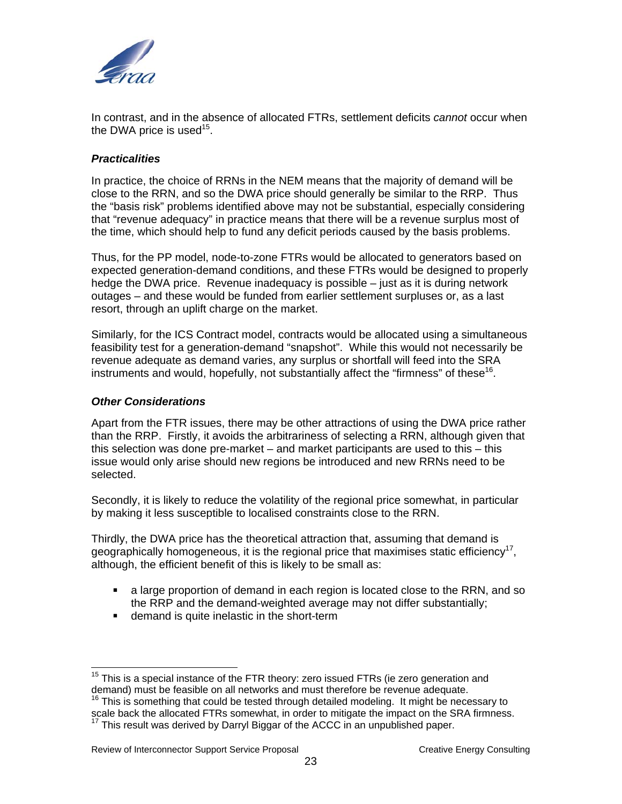

In contrast, and in the absence of allocated FTRs, settlement deficits *cannot* occur when the DWA price is used<sup>15</sup>.

### *Practicalities*

In practice, the choice of RRNs in the NEM means that the majority of demand will be close to the RRN, and so the DWA price should generally be similar to the RRP. Thus the "basis risk" problems identified above may not be substantial, especially considering that "revenue adequacy" in practice means that there will be a revenue surplus most of the time, which should help to fund any deficit periods caused by the basis problems.

Thus, for the PP model, node-to-zone FTRs would be allocated to generators based on expected generation-demand conditions, and these FTRs would be designed to properly hedge the DWA price. Revenue inadequacy is possible – just as it is during network outages – and these would be funded from earlier settlement surpluses or, as a last resort, through an uplift charge on the market.

Similarly, for the ICS Contract model, contracts would be allocated using a simultaneous feasibility test for a generation-demand "snapshot". While this would not necessarily be revenue adequate as demand varies, any surplus or shortfall will feed into the SRA instruments and would, hopefully, not substantially affect the "firmness" of these $^{16}$ .

### *Other Considerations*

Apart from the FTR issues, there may be other attractions of using the DWA price rather than the RRP. Firstly, it avoids the arbitrariness of selecting a RRN, although given that this selection was done pre-market – and market participants are used to this – this issue would only arise should new regions be introduced and new RRNs need to be selected.

Secondly, it is likely to reduce the volatility of the regional price somewhat, in particular by making it less susceptible to localised constraints close to the RRN.

Thirdly, the DWA price has the theoretical attraction that, assuming that demand is geographically homogeneous, it is the regional price that maximises static efficiency<sup>17</sup>. although, the efficient benefit of this is likely to be small as:

- a large proportion of demand in each region is located close to the RRN, and so the RRP and the demand-weighted average may not differ substantially;
- **EXEC** demand is quite inelastic in the short-term

<span id="page-91-0"></span> $15$  This is a special instance of the FTR theory: zero issued FTRs (ie zero generation and demand) must be feasible on all networks and must therefore be revenue adequate.

<span id="page-91-1"></span> $16$  This is something that could be tested through detailed modeling. It might be necessary to scale back the allocated FTRs somewhat, in order to mitigate the impact on the SRA firmness.

<span id="page-91-2"></span>This result was derived by Darryl Biggar of the ACCC in an unpublished paper.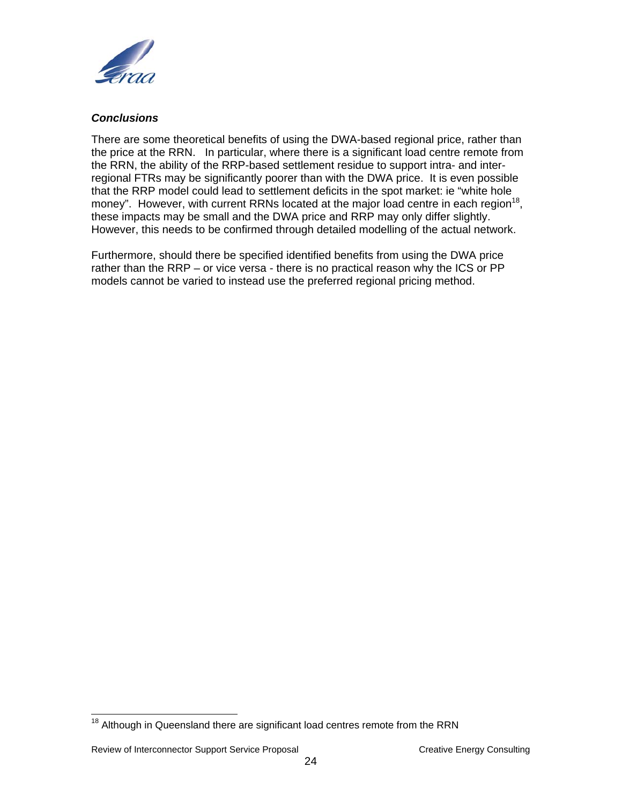

### *Conclusions*

There are some theoretical benefits of using the DWA-based regional price, rather than the price at the RRN. In particular, where there is a significant load centre remote from the RRN, the ability of the RRP-based settlement residue to support intra- and interregional FTRs may be significantly poorer than with the DWA price. It is even possible that the RRP model could lead to settlement deficits in the spot market: ie "white hole money". However, with current RRNs located at the major load centre in each region<sup>18</sup>, these impacts may be small and the DWA price and RRP may only differ slightly. However, this needs to be confirmed through detailed modelling of the actual network.

Furthermore, should there be specified identified benefits from using the DWA price rather than the RRP – or vice versa - there is no practical reason why the ICS or PP models cannot be varied to instead use the preferred regional pricing method.

<span id="page-92-0"></span> $18$  Although in Queensland there are significant load centres remote from the RRN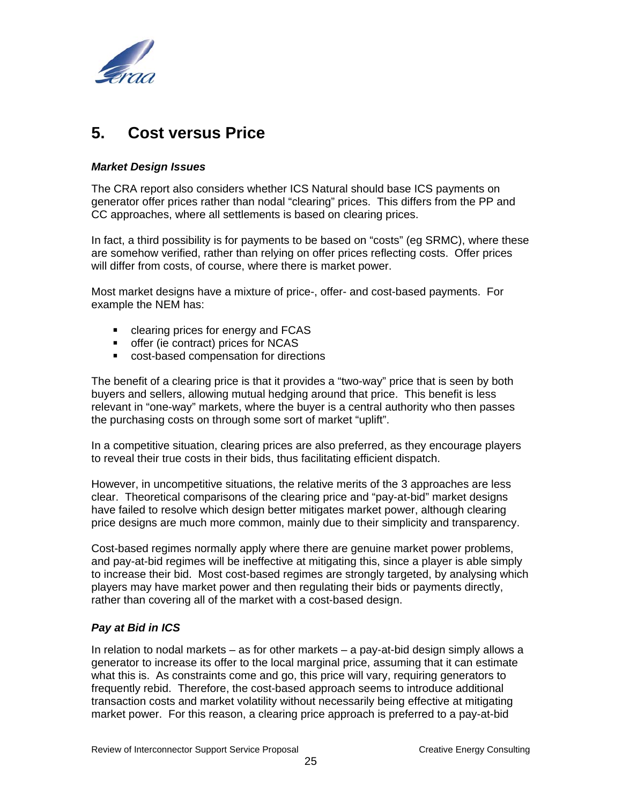

# **5. Cost versus Price**

### *Market Design Issues*

The CRA report also considers whether ICS Natural should base ICS payments on generator offer prices rather than nodal "clearing" prices. This differs from the PP and CC approaches, where all settlements is based on clearing prices.

In fact, a third possibility is for payments to be based on "costs" (eg SRMC), where these are somehow verified, rather than relying on offer prices reflecting costs. Offer prices will differ from costs, of course, where there is market power.

Most market designs have a mixture of price-, offer- and cost-based payments. For example the NEM has:

- clearing prices for energy and FCAS
- offer (ie contract) prices for NCAS
- cost-based compensation for directions

The benefit of a clearing price is that it provides a "two-way" price that is seen by both buyers and sellers, allowing mutual hedging around that price. This benefit is less relevant in "one-way" markets, where the buyer is a central authority who then passes the purchasing costs on through some sort of market "uplift".

In a competitive situation, clearing prices are also preferred, as they encourage players to reveal their true costs in their bids, thus facilitating efficient dispatch.

However, in uncompetitive situations, the relative merits of the 3 approaches are less clear. Theoretical comparisons of the clearing price and "pay-at-bid" market designs have failed to resolve which design better mitigates market power, although clearing price designs are much more common, mainly due to their simplicity and transparency.

Cost-based regimes normally apply where there are genuine market power problems, and pay-at-bid regimes will be ineffective at mitigating this, since a player is able simply to increase their bid. Most cost-based regimes are strongly targeted, by analysing which players may have market power and then regulating their bids or payments directly, rather than covering all of the market with a cost-based design.

### *Pay at Bid in ICS*

In relation to nodal markets – as for other markets – a pay-at-bid design simply allows a generator to increase its offer to the local marginal price, assuming that it can estimate what this is. As constraints come and go, this price will vary, requiring generators to frequently rebid. Therefore, the cost-based approach seems to introduce additional transaction costs and market volatility without necessarily being effective at mitigating market power. For this reason, a clearing price approach is preferred to a pay-at-bid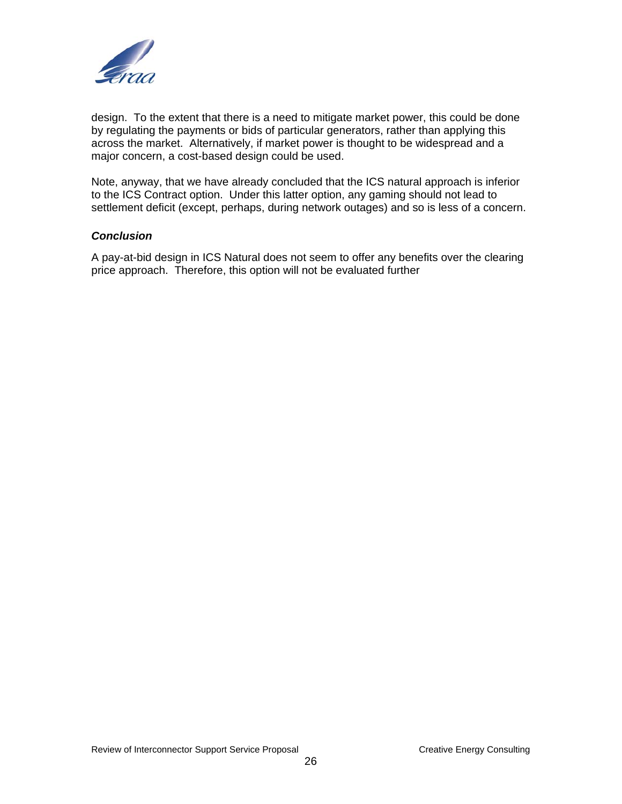

design. To the extent that there is a need to mitigate market power, this could be done by regulating the payments or bids of particular generators, rather than applying this across the market. Alternatively, if market power is thought to be widespread and a major concern, a cost-based design could be used.

Note, anyway, that we have already concluded that the ICS natural approach is inferior to the ICS Contract option. Under this latter option, any gaming should not lead to settlement deficit (except, perhaps, during network outages) and so is less of a concern.

#### *Conclusion*

A pay-at-bid design in ICS Natural does not seem to offer any benefits over the clearing price approach. Therefore, this option will not be evaluated further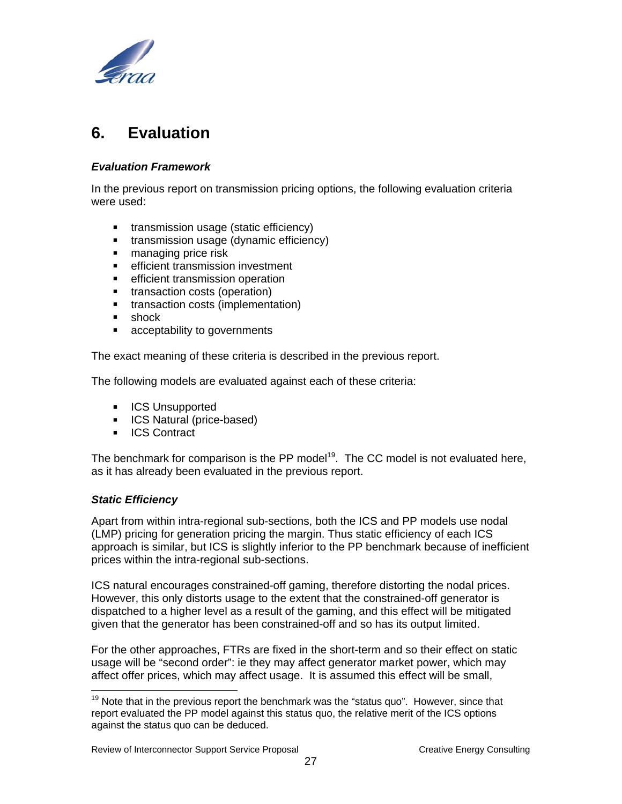

# **6. Evaluation**

### *Evaluation Framework*

In the previous report on transmission pricing options, the following evaluation criteria were used:

- **transmission usage (static efficiency)**
- **transmission usage (dynamic efficiency)**
- **n** managing price risk
- **EXECTED** Efficient transmission investment
- **EXECUTE:** efficient transmission operation
- **transaction costs (operation)**
- **transaction costs (implementation)**
- **shock**
- acceptability to governments

The exact meaning of these criteria is described in the previous report.

The following models are evaluated against each of these criteria:

- ICS Unsupported
- **ICS Natural (price-based)**
- **ICS Contract**

The benchmark for comparison is the PP model<sup>19</sup>. The CC model is not evaluated here, as it has already been evaluated in the previous report.

### *Static Efficiency*

Apart from within intra-regional sub-sections, both the ICS and PP models use nodal (LMP) pricing for generation pricing the margin. Thus static efficiency of each ICS approach is similar, but ICS is slightly inferior to the PP benchmark because of inefficient prices within the intra-regional sub-sections.

ICS natural encourages constrained-off gaming, therefore distorting the nodal prices. However, this only distorts usage to the extent that the constrained-off generator is dispatched to a higher level as a result of the gaming, and this effect will be mitigated given that the generator has been constrained-off and so has its output limited.

For the other approaches, FTRs are fixed in the short-term and so their effect on static usage will be "second order": ie they may affect generator market power, which may affect offer prices, which may affect usage. It is assumed this effect will be small,

<span id="page-95-0"></span> $19$  Note that in the previous report the benchmark was the "status quo". However, since that report evaluated the PP model against this status quo, the relative merit of the ICS options against the status quo can be deduced.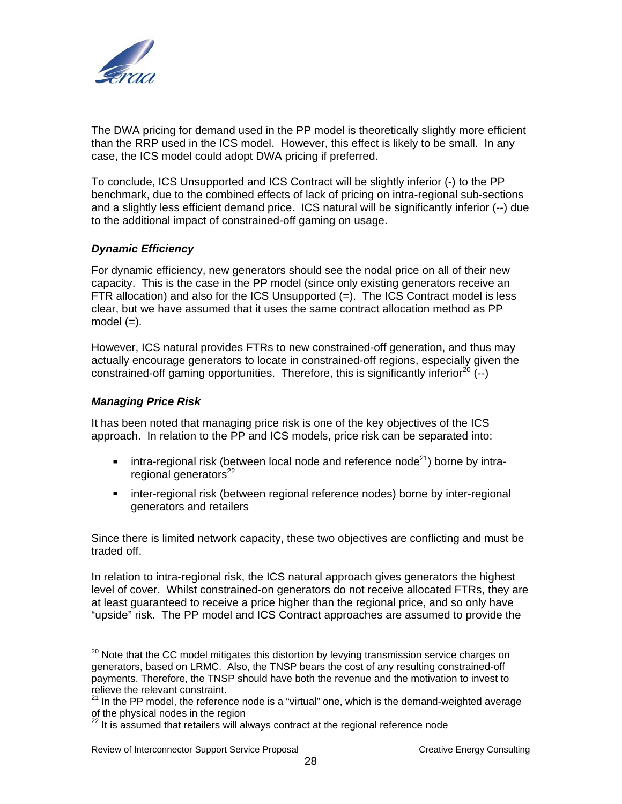

The DWA pricing for demand used in the PP model is theoretically slightly more efficient than the RRP used in the ICS model. However, this effect is likely to be small. In any case, the ICS model could adopt DWA pricing if preferred.

To conclude, ICS Unsupported and ICS Contract will be slightly inferior (-) to the PP benchmark, due to the combined effects of lack of pricing on intra-regional sub-sections and a slightly less efficient demand price. ICS natural will be significantly inferior (--) due to the additional impact of constrained-off gaming on usage.

### *Dynamic Efficiency*

For dynamic efficiency, new generators should see the nodal price on all of their new capacity. This is the case in the PP model (since only existing generators receive an FTR allocation) and also for the ICS Unsupported (=). The ICS Contract model is less clear, but we have assumed that it uses the same contract allocation method as PP model  $(=)$ .

However, ICS natural provides FTRs to new constrained-off generation, and thus may actually encourage generators to locate in constrained-off regions, especially given the constrained-off gaming opportunities. Therefore, this is significantly inferior<sup>20</sup>  $(-)$ 

#### *Managing Price Risk*

It has been noted that managing price risk is one of the key objectives of the ICS approach. In relation to the PP and ICS models, price risk can be separated into:

- **intra-regional risk (between local node and reference node**<sup>21</sup>) borne by intraregional generators $^{22}$  $^{22}$  $^{22}$
- inter-regional risk (between regional reference nodes) borne by inter-regional generators and retailers

Since there is limited network capacity, these two objectives are conflicting and must be traded off.

In relation to intra-regional risk, the ICS natural approach gives generators the highest level of cover. Whilst constrained-on generators do not receive allocated FTRs, they are at least guaranteed to receive a price higher than the regional price, and so only have "upside" risk. The PP model and ICS Contract approaches are assumed to provide the

<span id="page-96-0"></span> $20$  Note that the CC model mitigates this distortion by levying transmission service charges on generators, based on LRMC. Also, the TNSP bears the cost of any resulting constrained-off payments. Therefore, the TNSP should have both the revenue and the motivation to invest to relieve the relevant constraint.

<span id="page-96-1"></span> $21$  In the PP model, the reference node is a "virtual" one, which is the demand-weighted average of the physical nodes in the region

<span id="page-96-2"></span> $22$  It is assumed that retailers will always contract at the regional reference node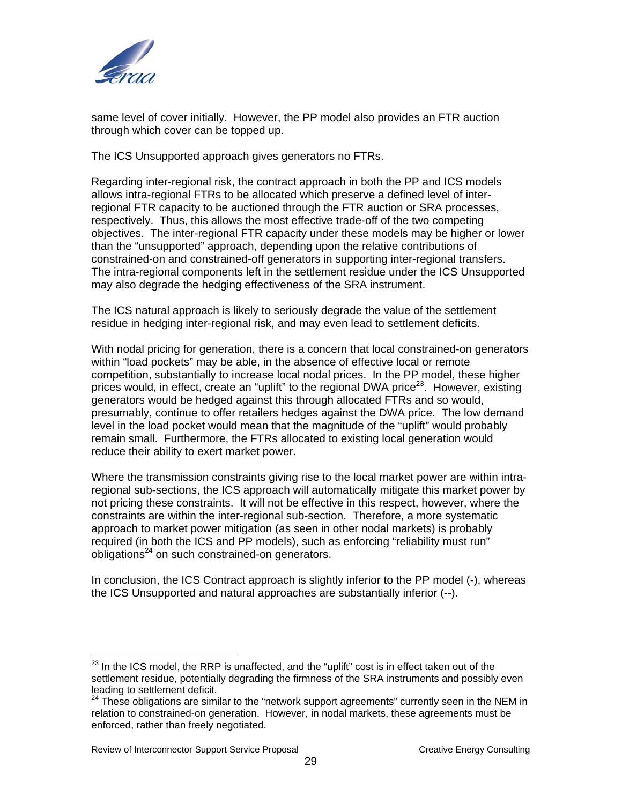

same level of cover initially. However, the PP model also provides an FTR auction through which cover can be topped up.

The ICS Unsupported approach gives generators no FTRs.

Regarding inter-regional risk, the contract approach in both the PP and ICS models allows intra-regional FTRs to be allocated which preserve a defined level of interregional FTR capacity to be auctioned through the FTR auction or SRA processes, respectively. Thus, this allows the most effective trade-off of the two competing objectives. The inter-regional FTR capacity under these models may be higher or lower than the "unsupported" approach, depending upon the relative contributions of constrained-on and constrained-off generators in supporting inter-regional transfers. The intra-regional components left in the settlement residue under the ICS Unsupported may also degrade the hedging effectiveness of the SRA instrument.

The ICS natural approach is likely to seriously degrade the value of the settlement residue in hedging inter-regional risk, and may even lead to settlement deficits.

With nodal pricing for generation, there is a concern that local constrained-on generators within "load pockets" may be able, in the absence of effective local or remote competition, substantially to increase local nodal prices. In the PP model, these higher prices would, in effect, create an "uplift" to the regional DWA price<sup>23</sup>. However, existing generators would be hedged against this through allocated FTRs and so would, presumably, continue to offer retailers hedges against the DWA price. The low demand level in the load pocket would mean that the magnitude of the "uplift" would probably remain small. Furthermore, the FTRs allocated to existing local generation would reduce their ability to exert market power.

Where the transmission constraints giving rise to the local market power are within intraregional sub-sections, the ICS approach will automatically mitigate this market power by not pricing these constraints. It will not be effective in this respect, however, where the constraints are within the inter-regional sub-section. Therefore, a more systematic approach to market power mitigation (as seen in other nodal markets) is probably required (in both the ICS and PP models), such as enforcing "reliability must run" obligations<sup>[24](#page-97-1)</sup> on such constrained-on generators.

In conclusion, the ICS Contract approach is slightly inferior to the PP model (-), whereas the ICS Unsupported and natural approaches are substantially inferior (--).

<span id="page-97-0"></span> $23$  In the ICS model, the RRP is unaffected, and the "uplift" cost is in effect taken out of the settlement residue, potentially degrading the firmness of the SRA instruments and possibly even leading to settlement deficit.

<span id="page-97-1"></span> $24$  These obligations are similar to the "network support agreements" currently seen in the NEM in relation to constrained-on generation. However, in nodal markets, these agreements must be enforced, rather than freely negotiated.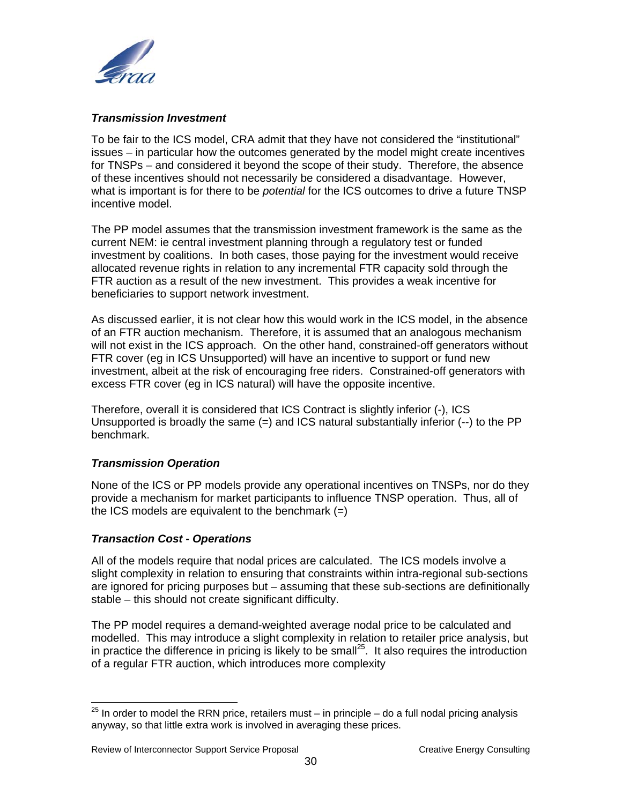

### *Transmission Investment*

To be fair to the ICS model, CRA admit that they have not considered the "institutional" issues – in particular how the outcomes generated by the model might create incentives for TNSPs – and considered it beyond the scope of their study. Therefore, the absence of these incentives should not necessarily be considered a disadvantage. However, what is important is for there to be *potential* for the ICS outcomes to drive a future TNSP incentive model.

The PP model assumes that the transmission investment framework is the same as the current NEM: ie central investment planning through a regulatory test or funded investment by coalitions. In both cases, those paying for the investment would receive allocated revenue rights in relation to any incremental FTR capacity sold through the FTR auction as a result of the new investment. This provides a weak incentive for beneficiaries to support network investment.

As discussed earlier, it is not clear how this would work in the ICS model, in the absence of an FTR auction mechanism. Therefore, it is assumed that an analogous mechanism will not exist in the ICS approach. On the other hand, constrained-off generators without FTR cover (eg in ICS Unsupported) will have an incentive to support or fund new investment, albeit at the risk of encouraging free riders. Constrained-off generators with excess FTR cover (eg in ICS natural) will have the opposite incentive.

Therefore, overall it is considered that ICS Contract is slightly inferior (-), ICS Unsupported is broadly the same  $(=)$  and ICS natural substantially inferior  $(-)$  to the PP benchmark.

### *Transmission Operation*

None of the ICS or PP models provide any operational incentives on TNSPs, nor do they provide a mechanism for market participants to influence TNSP operation. Thus, all of the ICS models are equivalent to the benchmark  $(=)$ 

#### *Transaction Cost - Operations*

All of the models require that nodal prices are calculated. The ICS models involve a slight complexity in relation to ensuring that constraints within intra-regional sub-sections are ignored for pricing purposes but – assuming that these sub-sections are definitionally stable – this should not create significant difficulty.

The PP model requires a demand-weighted average nodal price to be calculated and modelled. This may introduce a slight complexity in relation to retailer price analysis, but in practice the difference in pricing is likely to be small<sup>25</sup>. It also requires the introduction of a regular FTR auction, which introduces more complexity

<span id="page-98-0"></span> $25$  In order to model the RRN price, retailers must – in principle – do a full nodal pricing analysis anyway, so that little extra work is involved in averaging these prices.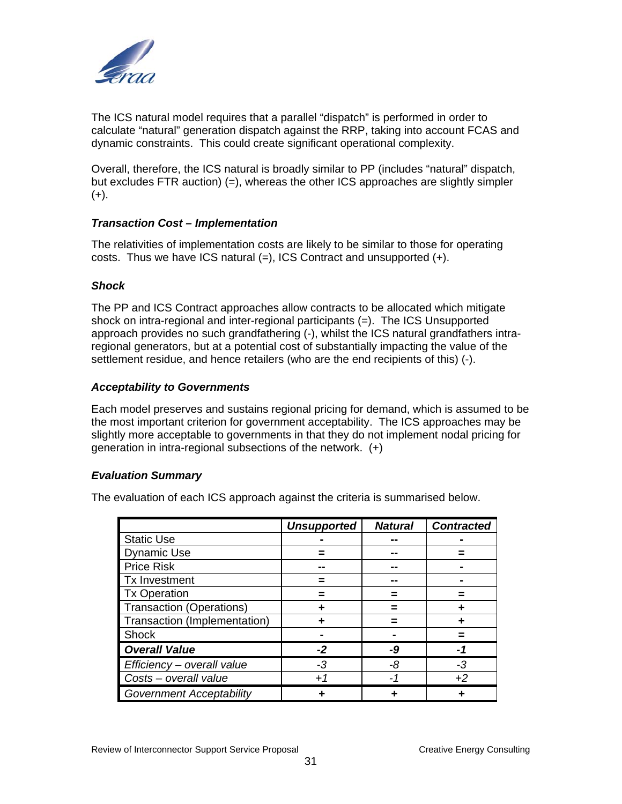

The ICS natural model requires that a parallel "dispatch" is performed in order to calculate "natural" generation dispatch against the RRP, taking into account FCAS and dynamic constraints. This could create significant operational complexity.

Overall, therefore, the ICS natural is broadly similar to PP (includes "natural" dispatch, but excludes FTR auction) (=), whereas the other ICS approaches are slightly simpler  $(+)$ .

#### *Transaction Cost – Implementation*

The relativities of implementation costs are likely to be similar to those for operating costs. Thus we have ICS natural  $(=)$ , ICS Contract and unsupported  $(+)$ .

#### *Shock*

The PP and ICS Contract approaches allow contracts to be allocated which mitigate shock on intra-regional and inter-regional participants (=). The ICS Unsupported approach provides no such grandfathering (-), whilst the ICS natural grandfathers intraregional generators, but at a potential cost of substantially impacting the value of the settlement residue, and hence retailers (who are the end recipients of this) (-).

### *Acceptability to Governments*

Each model preserves and sustains regional pricing for demand, which is assumed to be the most important criterion for government acceptability. The ICS approaches may be slightly more acceptable to governments in that they do not implement nodal pricing for generation in intra-regional subsections of the network. (+)

#### *Evaluation Summary*

The evaluation of each ICS approach against the criteria is summarised below.

|                                 | <b>Unsupported</b> | <b>Natural</b> | <b>Contracted</b> |
|---------------------------------|--------------------|----------------|-------------------|
| <b>Static Use</b>               |                    |                |                   |
| <b>Dynamic Use</b>              |                    |                |                   |
| <b>Price Risk</b>               |                    |                |                   |
| Tx Investment                   |                    | --             |                   |
| <b>Tx Operation</b>             |                    |                |                   |
| <b>Transaction (Operations)</b> |                    |                |                   |
| Transaction (Implementation)    |                    |                |                   |
| Shock                           |                    |                |                   |
| <b>Overall Value</b>            | $-2$               | -9             | -1                |
| Efficiency - overall value      | -3                 | -8             | -3                |
| Costs - overall value           | $+1$               |                | $+2$              |
| <b>Government Acceptability</b> |                    |                |                   |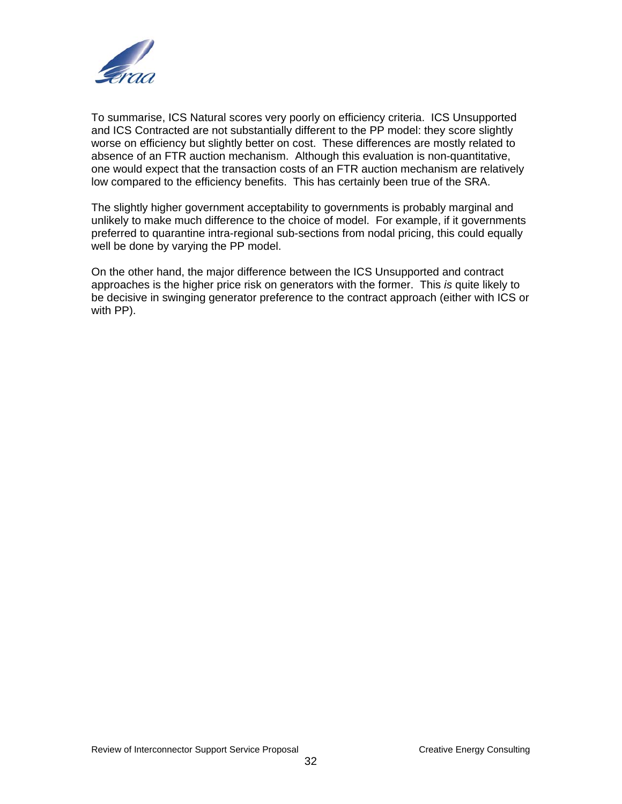

To summarise, ICS Natural scores very poorly on efficiency criteria. ICS Unsupported and ICS Contracted are not substantially different to the PP model: they score slightly worse on efficiency but slightly better on cost. These differences are mostly related to absence of an FTR auction mechanism. Although this evaluation is non-quantitative, one would expect that the transaction costs of an FTR auction mechanism are relatively low compared to the efficiency benefits. This has certainly been true of the SRA.

The slightly higher government acceptability to governments is probably marginal and unlikely to make much difference to the choice of model. For example, if it governments preferred to quarantine intra-regional sub-sections from nodal pricing, this could equally well be done by varying the PP model.

On the other hand, the major difference between the ICS Unsupported and contract approaches is the higher price risk on generators with the former. This *is* quite likely to be decisive in swinging generator preference to the contract approach (either with ICS or with PP).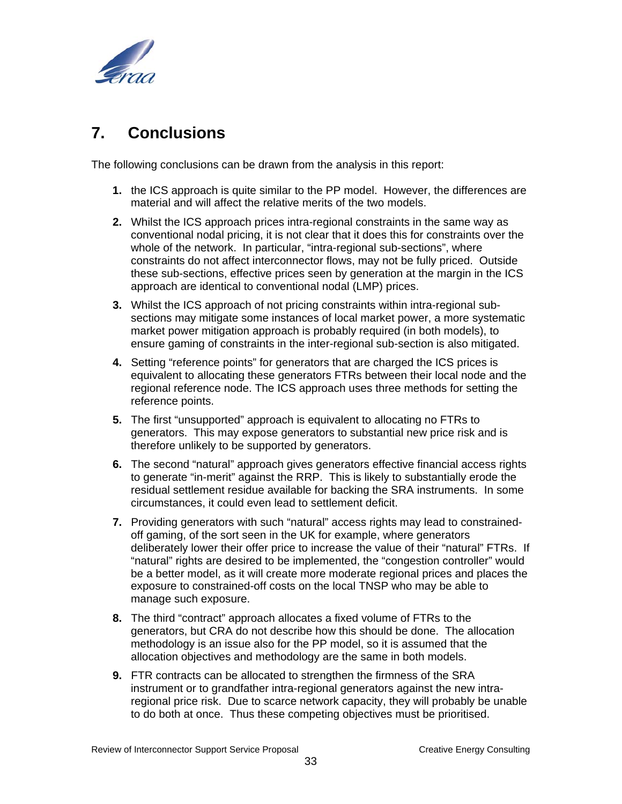

# **7. Conclusions**

The following conclusions can be drawn from the analysis in this report:

- **1.** the ICS approach is quite similar to the PP model. However, the differences are material and will affect the relative merits of the two models.
- **2.** Whilst the ICS approach prices intra-regional constraints in the same way as conventional nodal pricing, it is not clear that it does this for constraints over the whole of the network. In particular, "intra-regional sub-sections", where constraints do not affect interconnector flows, may not be fully priced. Outside these sub-sections, effective prices seen by generation at the margin in the ICS approach are identical to conventional nodal (LMP) prices.
- **3.** Whilst the ICS approach of not pricing constraints within intra-regional subsections may mitigate some instances of local market power, a more systematic market power mitigation approach is probably required (in both models), to ensure gaming of constraints in the inter-regional sub-section is also mitigated.
- **4.** Setting "reference points" for generators that are charged the ICS prices is equivalent to allocating these generators FTRs between their local node and the regional reference node. The ICS approach uses three methods for setting the reference points.
- **5.** The first "unsupported" approach is equivalent to allocating no FTRs to generators. This may expose generators to substantial new price risk and is therefore unlikely to be supported by generators.
- **6.** The second "natural" approach gives generators effective financial access rights to generate "in-merit" against the RRP. This is likely to substantially erode the residual settlement residue available for backing the SRA instruments. In some circumstances, it could even lead to settlement deficit.
- **7.** Providing generators with such "natural" access rights may lead to constrainedoff gaming, of the sort seen in the UK for example, where generators deliberately lower their offer price to increase the value of their "natural" FTRs. If "natural" rights are desired to be implemented, the "congestion controller" would be a better model, as it will create more moderate regional prices and places the exposure to constrained-off costs on the local TNSP who may be able to manage such exposure.
- **8.** The third "contract" approach allocates a fixed volume of FTRs to the generators, but CRA do not describe how this should be done. The allocation methodology is an issue also for the PP model, so it is assumed that the allocation objectives and methodology are the same in both models.
- **9.** FTR contracts can be allocated to strengthen the firmness of the SRA instrument or to grandfather intra-regional generators against the new intraregional price risk. Due to scarce network capacity, they will probably be unable to do both at once. Thus these competing objectives must be prioritised.